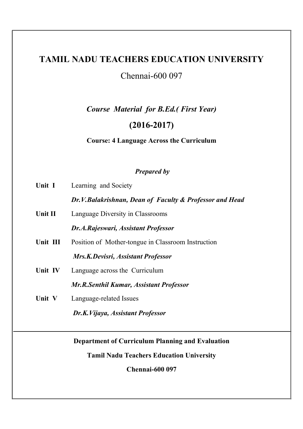# TAMIL NADU TEACHERS EDUCATION UNIVERSITY

Chennai-600 097

Course Material for B.Ed.( First Year)

# (2016-2017)

Course: 4 Language Across the Curriculum

# Prepared by

Unit I Learning and Society

Dr.V.Balakrishnan, Dean of Faculty & Professor and Head

Unit II Language Diversity in Classrooms

Dr.A.Rajeswari, Assistant Professor

Unit III Position of Mother-tongue in Classroom Instruction

Mrs.K.Devisri, Assistant Professor

Unit **IV** Language across the Curriculum

Mr.R.Senthil Kumar, Assistant Professor

Unit V Language-related Issues

Dr.K.Vijaya, Assistant Professor

# Department of Curriculum Planning and Evaluation

Tamil Nadu Teachers Education University

Chennai-600 097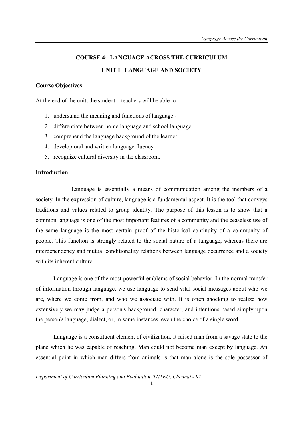# COURSE 4: LANGUAGE ACROSS THE CURRICULUM UNIT I LANGUAGE AND SOCIETY

#### Course Objectives

At the end of the unit, the student – teachers will be able to

- 1. understand the meaning and functions of language.-
- 2. differentiate between home language and school language.
- 3. comprehend the language background of the learner.
- 4. develop oral and written language fluency.
- 5. recognize cultural diversity in the classroom.

# **Introduction**

 Language is essentially a means of communication among the members of a society. In the expression of culture, language is a fundamental aspect. It is the tool that conveys traditions and values related to group identity. The purpose of this lesson is to show that a common language is one of the most important features of a community and the ceaseless use of the same language is the most certain proof of the historical continuity of a community of people. This function is strongly related to the social nature of a language, whereas there are interdependency and mutual conditionality relations between language occurrence and a society with its inherent culture.

Language is one of the most powerful emblems of social behavior. In the normal transfer of information through language, we use language to send vital social messages about who we are, where we come from, and who we associate with. It is often shocking to realize how extensively we may judge a person's background, character, and intentions based simply upon the person's language, dialect, or, in some instances, even the choice of a single word.

Language is a constituent element of civilization. It raised man from a savage state to the plane which he was capable of reaching. Man could not become man except by language. An essential point in which man differs from animals is that man alone is the sole possessor of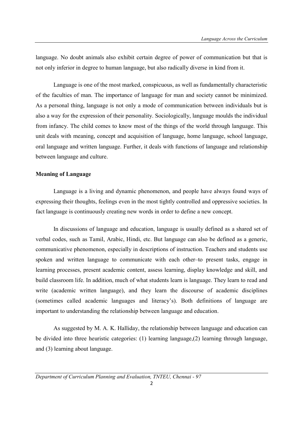language. No doubt animals also exhibit certain degree of power of communication but that is not only inferior in degree to human language, but also radically diverse in kind from it.

Language is one of the most marked, conspicuous, as well as fundamentally characteristic of the faculties of man. The importance of language for man and society cannot be minimized. As a personal thing, language is not only a mode of communication between individuals but is also a way for the expression of their personality. Sociologically, language moulds the individual from infancy. The child comes to know most of the things of the world through language. This unit deals with meaning, concept and acquisition of language, home language, school language, oral language and written language. Further, it deals with functions of language and relationship between language and culture.

#### Meaning of Language

Language is a living and dynamic phenomenon, and people have always found ways of expressing their thoughts, feelings even in the most tightly controlled and oppressive societies. In fact language is continuously creating new words in order to define a new concept.

In discussions of language and education, language is usually defined as a shared set of verbal codes, such as Tamil, Arabic, Hindi, etc. But language can also be defined as a generic, communicative phenomenon, especially in descriptions of instruction. Teachers and students use spoken and written language to communicate with each other–to present tasks, engage in learning processes, present academic content, assess learning, display knowledge and skill, and build classroom life. In addition, much of what students learn is language. They learn to read and write (academic written language), and they learn the discourse of academic disciplines (sometimes called academic languages and literacy's). Both definitions of language are important to understanding the relationship between language and education.

As suggested by M. A. K. Halliday, the relationship between language and education can be divided into three heuristic categories: (1) learning language,(2) learning through language, and (3) learning about language.

Department of Curriculum Planning and Evaluation, TNTEU, Chennai - 97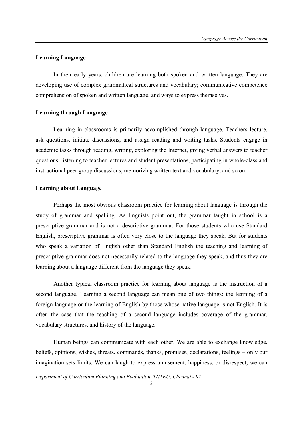# Learning Language

In their early years, children are learning both spoken and written language. They are developing use of complex grammatical structures and vocabulary; communicative competence comprehension of spoken and written language; and ways to express themselves.

#### Learning through Language

Learning in classrooms is primarily accomplished through language. Teachers lecture, ask questions, initiate discussions, and assign reading and writing tasks. Students engage in academic tasks through reading, writing, exploring the Internet, giving verbal answers to teacher questions, listening to teacher lectures and student presentations, participating in whole-class and instructional peer group discussions, memorizing written text and vocabulary, and so on.

# Learning about Language

Perhaps the most obvious classroom practice for learning about language is through the study of grammar and spelling. As linguists point out, the grammar taught in school is a prescriptive grammar and is not a descriptive grammar. For those students who use Standard English, prescriptive grammar is often very close to the language they speak. But for students who speak a variation of English other than Standard English the teaching and learning of prescriptive grammar does not necessarily related to the language they speak, and thus they are learning about a language different from the language they speak.

Another typical classroom practice for learning about language is the instruction of a second language. Learning a second language can mean one of two things: the learning of a foreign language or the learning of English by those whose native language is not English. It is often the case that the teaching of a second language includes coverage of the grammar, vocabulary structures, and history of the language.

Human beings can communicate with each other. We are able to exchange knowledge, beliefs, opinions, wishes, threats, commands, thanks, promises, declarations, feelings – only our imagination sets limits. We can laugh to express amusement, happiness, or disrespect, we can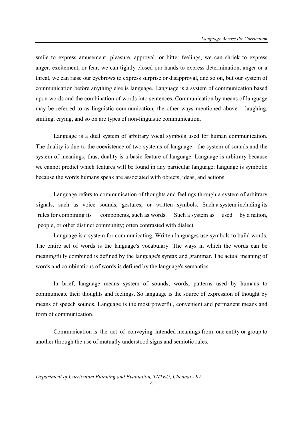smile to express amusement, pleasure, approval, or bitter feelings, we can shriek to express anger, excitement, or fear, we can tightly closed our hands to express determination, anger or a threat, we can raise our eyebrows to express surprise or disapproval, and so on, but our system of communication before anything else is language. Language is a system of communication based upon words and the combination of words into sentences. Communication by means of language may be referred to as linguistic communication, the other ways mentioned above – laughing, smiling, crying, and so on are types of non-linguistic communication.

Language is a dual system of arbitrary vocal symbols used for human communication. The duality is due to the coexistence of two systems of language - the system of sounds and the system of meanings; thus, duality is a basic feature of language. Language is arbitrary because we cannot predict which features will be found in any particular language; language is symbolic because the words humans speak are associated with objects, ideas, and actions.

Language refers to communication of thoughts and feelings through a system of arbitrary signals, such as voice sounds, gestures, or written symbols. Such a system including its rules for combining its components, such as words. Such a system as used by a nation, people, or other distinct community; often contrasted with dialect.

 Language is a system for communicating. Written languages use symbols to build words. The entire set of words is the language's vocabulary. The ways in which the words can be meaningfully combined is defined by the language's syntax and grammar. The actual meaning of words and combinations of words is defined by the language's semantics.

In brief, language means system of sounds, words, patterns used by humans to communicate their thoughts and feelings. So language is the source of expression of thought by means of speech sounds. Language is the most powerful, convenient and permanent means and form of communication.

Communication is the act of conveying intended meanings from one entity or group to another through the use of mutually understood signs and semiotic rules.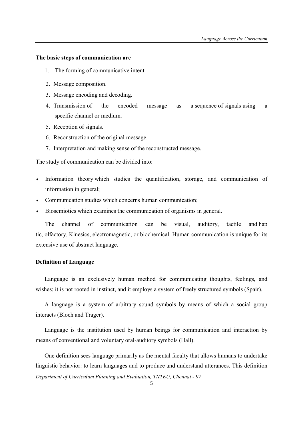#### The basic steps of communication are

- 1. The forming of communicative intent.
- 2. Message composition.
- 3. Message encoding and decoding.
- 4. Transmission of the encoded message as a sequence of signals using a specific channel or medium.
- 5. Reception of signals.
- 6. Reconstruction of the original message.
- 7. Interpretation and making sense of the reconstructed message.

The study of communication can be divided into:

- Information theory which studies the quantification, storage, and communication of information in general;
- Communication studies which concerns human communication;
- Biosemiotics which examines the communication of organisms in general.

The channel of communication can be visual, auditory, tactile and hap tic, olfactory, Kinesics, electromagnetic, or biochemical. Human communication is unique for its extensive use of abstract language.

#### Definition of Language

Language is an exclusively human method for communicating thoughts, feelings, and wishes; it is not rooted in instinct, and it employs a system of freely structured symbols (Spair).

A language is a system of arbitrary sound symbols by means of which a social group interacts (Bloch and Trager).

Language is the institution used by human beings for communication and interaction by means of conventional and voluntary oral-auditory symbols (Hall).

One definition sees language primarily as the mental faculty that allows humans to undertake linguistic behavior: to learn languages and to produce and understand utterances. This definition

Department of Curriculum Planning and Evaluation, TNTEU, Chennai - 97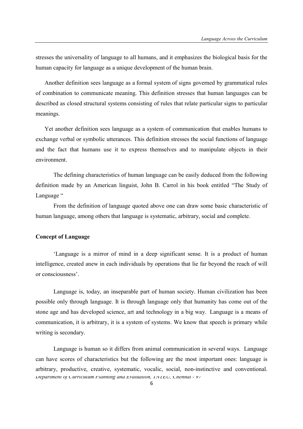stresses the universality of language to all humans, and it emphasizes the biological basis for the human capacity for language as a unique development of the human brain.

Another definition sees language as a formal system of signs governed by grammatical rules of combination to communicate meaning. This definition stresses that human languages can be described as closed structural systems consisting of rules that relate particular signs to particular meanings.

Yet another definition sees language as a system of communication that enables humans to exchange verbal or symbolic utterances. This definition stresses the social functions of language and the fact that humans use it to express themselves and to manipulate objects in their environment.

The defining characteristics of human language can be easily deduced from the following definition made by an American linguist, John B. Carrol in his book entitled "The Study of Language "

From the definition of language quoted above one can draw some basic characteristic of human language, among others that language is systematic, arbitrary, social and complete.

# Concept of Language

'Language is a mirror of mind in a deep significant sense. It is a product of human intelligence, created anew in each individuals by operations that lie far beyond the reach of will or consciousness'.

Language is, today, an inseparable part of human society. Human civilization has been possible only through language. It is through language only that humanity has come out of the stone age and has developed science, art and technology in a big way. Language is a means of communication, it is arbitrary, it is a system of systems. We know that speech is primary while writing is secondary.

Department of Curriculum Planning and Evaluation, TNTEU, Chennai - 97 Language is human so it differs from animal communication in several ways. Language can have scores of characteristics but the following are the most important ones: language is arbitrary, productive, creative, systematic, vocalic, social, non-instinctive and conventional.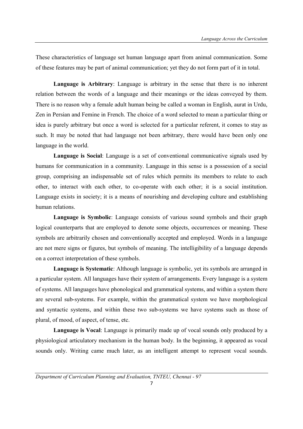These characteristics of language set human language apart from animal communication. Some of these features may be part of animal communication; yet they do not form part of it in total.

Language is Arbitrary: Language is arbitrary in the sense that there is no inherent relation between the words of a language and their meanings or the ideas conveyed by them. There is no reason why a female adult human being be called a woman in English, aurat in Urdu, Zen in Persian and Femine in French. The choice of a word selected to mean a particular thing or idea is purely arbitrary but once a word is selected for a particular referent, it comes to stay as such. It may be noted that had language not been arbitrary, there would have been only one language in the world.

Language is Social: Language is a set of conventional communicative signals used by humans for communication in a community. Language in this sense is a possession of a social group, comprising an indispensable set of rules which permits its members to relate to each other, to interact with each other, to co-operate with each other; it is a social institution. Language exists in society; it is a means of nourishing and developing culture and establishing human relations.

Language is Symbolic: Language consists of various sound symbols and their graph logical counterparts that are employed to denote some objects, occurrences or meaning. These symbols are arbitrarily chosen and conventionally accepted and employed. Words in a language are not mere signs or figures, but symbols of meaning. The intelligibility of a language depends on a correct interpretation of these symbols.

Language is Systematic: Although language is symbolic, yet its symbols are arranged in a particular system. All languages have their system of arrangements. Every language is a system of systems. All languages have phonological and grammatical systems, and within a system there are several sub-systems. For example, within the grammatical system we have morphological and syntactic systems, and within these two sub-systems we have systems such as those of plural, of mood, of aspect, of tense, etc.

Language is Vocal: Language is primarily made up of vocal sounds only produced by a physiological articulatory mechanism in the human body. In the beginning, it appeared as vocal sounds only. Writing came much later, as an intelligent attempt to represent vocal sounds.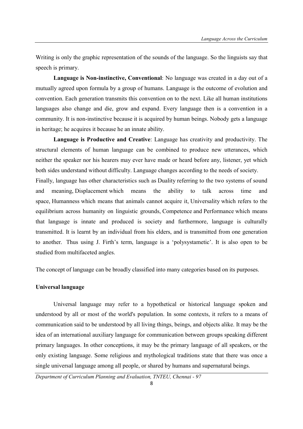Writing is only the graphic representation of the sounds of the language. So the linguists say that speech is primary.

Language is Non-instinctive, Conventional: No language was created in a day out of a mutually agreed upon formula by a group of humans. Language is the outcome of evolution and convention. Each generation transmits this convention on to the next. Like all human institutions languages also change and die, grow and expand. Every language then is a convention in a community. It is non-instinctive because it is acquired by human beings. Nobody gets a language in heritage; he acquires it because he an innate ability.

Language is Productive and Creative: Language has creativity and productivity. The structural elements of human language can be combined to produce new utterances, which neither the speaker nor his hearers may ever have made or heard before any, listener, yet which both sides understand without difficulty. Language changes according to the needs of society.

Finally, language has other characteristics such as Duality referring to the two systems of sound and meaning, Displacement which means the ability to talk across time and space, Humanness which means that animals cannot acquire it, Universality which refers to the equilibrium across humanity on linguistic grounds, Competence and Performance which means that language is innate and produced is society and furthermore, language is culturally transmitted. It is learnt by an individual from his elders, and is transmitted from one generation to another. Thus using J. Firth's term, language is a 'polysystametic'. It is also open to be studied from multifaceted angles.

The concept of language can be broadly classified into many categories based on its purposes.

# Universal language

Universal language may refer to a hypothetical or historical language spoken and understood by all or most of the world's population. In some contexts, it refers to a means of communication said to be understood by all living things, beings, and objects alike. It may be the idea of an international auxiliary language for communication between groups speaking different primary languages. In other conceptions, it may be the primary language of all speakers, or the only existing language. Some religious and mythological traditions state that there was once a single universal language among all people, or shared by humans and supernatural beings.

Department of Curriculum Planning and Evaluation, TNTEU, Chennai - 97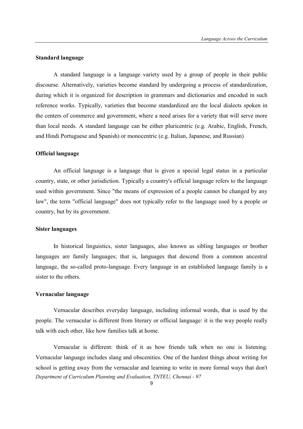# Standard language

A standard language is a language variety used by a group of people in their public discourse. Alternatively, varieties become standard by undergoing a process of standardization, during which it is organized for description in grammars and dictionaries and encoded in such reference works. Typically, varieties that become standardized are the local dialects spoken in the centers of commerce and government, where a need arises for a variety that will serve more than local needs. A standard language can be either pluricentric (e.g. Arabic, English, French, and Hindi Portuguese and Spanish) or monocentric (e.g. Italian, Japanese, and Russian)

#### Official language

An official language is a language that is given a special legal status in a particular country, state, or other jurisdiction. Typically a country's official language refers to the language used within government. Since "the means of expression of a people cannot be changed by any law", the term "official language" does not typically refer to the language used by a people or country, but by its government.

#### Sister languages

In historical linguistics, sister languages, also known as sibling languages or brother languages are family languages; that is, languages that descend from a common ancestral language, the so-called proto-language. Every language in an established language family is a sister to the others.

#### Vernacular language

Vernacular describes everyday language, including informal words, that is used by the people. The vernacular is different from literary or official language: it is the way people really talk with each other, like how families talk at home.

Department of Curriculum Planning and Evaluation, TNTEU, Chennai - 97 Vernacular is different: think of it as how friends talk when no one is listening. Vernacular language includes slang and obscenities. One of the hardest things about writing for school is getting away from the vernacular and learning to write in more formal ways that don't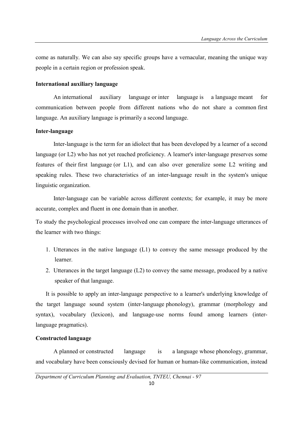come as naturally. We can also say specific groups have a vernacular, meaning the unique way people in a certain region or profession speak.

# International auxiliary language

An international auxiliary language or inter language is a language meant for communication between people from different nations who do not share a common first language. An auxiliary language is primarily a second language.

# Inter-language

Inter-language is the term for an idiolect that has been developed by a learner of a second language (or L2) who has not yet reached proficiency. A learner's inter-language preserves some features of their first language (or L1), and can also over generalize some L2 writing and speaking rules. These two characteristics of an inter-language result in the system's unique linguistic organization.

Inter-language can be variable across different contexts; for example, it may be more accurate, complex and fluent in one domain than in another.

To study the psychological processes involved one can compare the inter-language utterances of the learner with two things:

- 1. Utterances in the native language (L1) to convey the same message produced by the learner.
- 2. Utterances in the target language (L2) to convey the same message, produced by a native speaker of that language.

It is possible to apply an inter-language perspective to a learner's underlying knowledge of the target language sound system (inter-language phonology), grammar (morphology and syntax), vocabulary (lexicon), and language-use norms found among learners (interlanguage pragmatics).

# Constructed language

A planned or constructed language is a language whose phonology, grammar, and vocabulary have been consciously devised for human or human-like communication, instead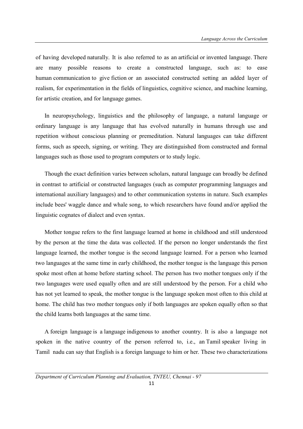of having developed naturally. It is also referred to as an artificial or invented language. There are many possible reasons to create a constructed language, such as: to ease human communication to give fiction or an associated constructed setting an added layer of realism, for experimentation in the fields of linguistics, cognitive science, and machine learning, for artistic creation, and for language games.

In neuropsychology, linguistics and the philosophy of language, a natural language or ordinary language is any language that has evolved naturally in humans through use and repetition without conscious planning or premeditation. Natural languages can take different forms, such as speech, signing, or writing. They are distinguished from constructed and formal languages such as those used to program computers or to study logic.

Though the exact definition varies between scholars, natural language can broadly be defined in contrast to artificial or constructed languages (such as computer programming languages and international auxiliary languages) and to other communication systems in nature. Such examples include bees' waggle dance and whale song, to which researchers have found and/or applied the linguistic cognates of dialect and even syntax.

Mother tongue refers to the first language learned at home in childhood and still understood by the person at the time the data was collected. If the person no longer understands the first language learned, the mother tongue is the second language learned. For a person who learned two languages at the same time in early childhood, the mother tongue is the language this person spoke most often at home before starting school. The person has two mother tongues only if the two languages were used equally often and are still understood by the person. For a child who has not yet learned to speak, the mother tongue is the language spoken most often to this child at home. The child has two mother tongues only if both languages are spoken equally often so that the child learns both languages at the same time.

A foreign language is a language indigenous to another country. It is also a language not spoken in the native country of the person referred to, i.e., an Tamil speaker living in Tamil nadu can say that English is a foreign language to him or her. These two characterizations

Department of Curriculum Planning and Evaluation, TNTEU, Chennai - 97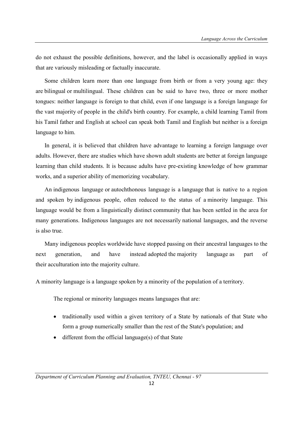do not exhaust the possible definitions, however, and the label is occasionally applied in ways that are variously misleading or factually inaccurate.

Some children learn more than one language from birth or from a very young age: they are bilingual or multilingual. These children can be said to have two, three or more mother tongues: neither language is foreign to that child, even if one language is a foreign language for the vast majority of people in the child's birth country. For example, a child learning Tamil from his Tamil father and English at school can speak both Tamil and English but neither is a foreign language to him.

In general, it is believed that children have advantage to learning a foreign language over adults. However, there are studies which have shown adult students are better at foreign language learning than child students. It is because adults have pre-existing knowledge of how grammar works, and a superior ability of memorizing vocabulary.

An indigenous language or autochthonous language is a language that is native to a region and spoken by indigenous people, often reduced to the status of a minority language. This language would be from a linguistically distinct community that has been settled in the area for many generations. Indigenous languages are not necessarily national languages, and the reverse is also true.

Many indigenous peoples worldwide have stopped passing on their ancestral languages to the next generation, and have instead adopted the majority language as part of their acculturation into the majority culture.

A minority language is a language spoken by a minority of the population of a territory.

The regional or minority languages means languages that are:

- traditionally used within a given territory of a State by nationals of that State who form a group numerically smaller than the rest of the State's population; and
- $\bullet$  different from the official language(s) of that State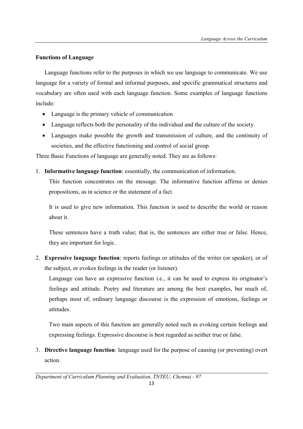# Functions of Language

Language functions refer to the purposes in which we use language to communicate. We use language for a variety of formal and informal purposes, and specific grammatical structures and vocabulary are often used with each language function. Some examples of language functions include:

- Language is the primary vehicle of communication
- Language reflects both the personality of the individual and the culture of the society.
- Languages make possible the growth and transmission of culture, and the continuity of societies, and the effective functioning and control of social group.

Three Basic Functions of language are generally noted. They are as follows:

1. Informative language function: essentially, the communication of information.

This function concentrates on the message. The informative function affirms or denies propositions, as in science or the statement of a fact.

It is used to give new information. This function is used to describe the world or reason about it.

These sentences have a truth value; that is, the sentences are either true or false. Hence, they are important for logic.

2. Expressive language function: reports feelings or attitudes of the writer (or speaker), or of the subject, or evokes feelings in the reader (or listener).

Language can have an expressive function i.e., it can be used to express its originator's feelings and attitude. Poetry and literature are among the best examples, but much of, perhaps most of, ordinary language discourse is the expression of emotions, feelings or attitudes.

Two main aspects of this function are generally noted such as evoking certain feelings and expressing feelings. Expressive discourse is best regarded as neither true or false.

3. Directive language function: language used for the purpose of causing (or preventing) overt action.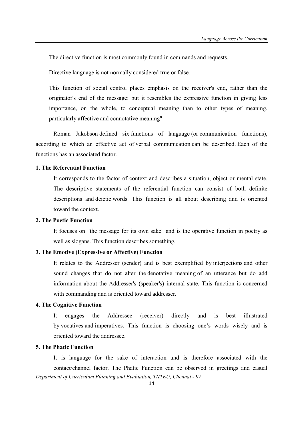The directive function is most commonly found in commands and requests.

Directive language is not normally considered true or false.

This function of social control places emphasis on the receiver's end, rather than the originator's end of the message: but it resembles the expressive function in giving less importance, on the whole, to conceptual meaning than to other types of meaning, particularly affective and connotative meaning"

Roman Jakobson defined six functions of language (or communication functions), according to which an effective act of verbal communication can be described. Each of the functions has an associated factor.

#### 1. The Referential Function

It corresponds to the factor of context and describes a situation, object or mental state. The descriptive statements of the referential function can consist of both definite descriptions and deictic words. This function is all about describing and is oriented toward the context.

# 2. The Poetic Function

It focuses on "the message for its own sake" and is the operative function in poetry as well as slogans. This function describes something.

# 3. The Emotive (Expressive or Affective) Function

It relates to the Addresser (sender) and is best exemplified by interjections and other sound changes that do not alter the denotative meaning of an utterance but do add information about the Addresser's (speaker's) internal state. This function is concerned with commanding and is oriented toward addresser.

#### 4. The Cognitive Function

It engages the Addressee (receiver) directly and is best illustrated by vocatives and imperatives. This function is choosing one's words wisely and is oriented toward the addressee.

# 5. The Phatic Function

Department of Curriculum Planning and Evaluation, TNTEU, Chennai - 97 It is language for the sake of interaction and is therefore associated with the contact/channel factor. The Phatic Function can be observed in greetings and casual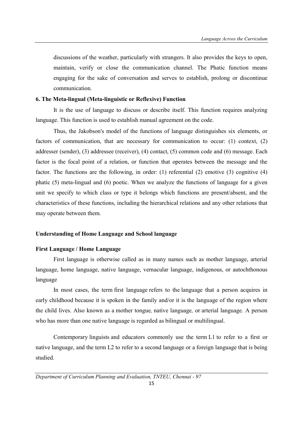discussions of the weather, particularly with strangers. It also provides the keys to open, maintain, verify or close the communication channel. The Phatic function means engaging for the sake of conversation and serves to establish, prolong or discontinue communication.

# 6. The Meta-lingual (Meta-linguistic or Reflexive) Function

It is the use of language to discuss or describe itself. This function requires analyzing language. This function is used to establish manual agreement on the code.

Thus, the Jakobson's model of the functions of language distinguishes six elements, or factors of communication, that are necessary for communication to occur: (1) context, (2) addresser (sender), (3) addressee (receiver), (4) contact, (5) common code and (6) message. Each factor is the focal point of a relation, or function that operates between the message and the factor. The functions are the following, in order: (1) referential (2) emotive (3) cognitive (4) phatic (5) meta-lingual and (6) poetic. When we analyze the functions of language for a given unit we specify to which class or type it belongs which functions are present/absent, and the characteristics of these functions, including the hierarchical relations and any other relations that may operate between them.

#### Understanding of Home Language and School language

# First Language / Home Language

First language is otherwise called as in many names such as mother language, arterial language, home language, native language, vernacular language, indigenous, or autochthonous language

In most cases, the term first language refers to the language that a person acquires in early childhood because it is spoken in the family and/or it is the language of the region where the child lives. Also known as a mother tongue, native language, or arterial language. A person who has more than one native language is regarded as bilingual or multilingual.

Contemporary linguists and educators commonly use the term L1 to refer to a first or native language, and the term L2 to refer to a second language or a foreign language that is being studied.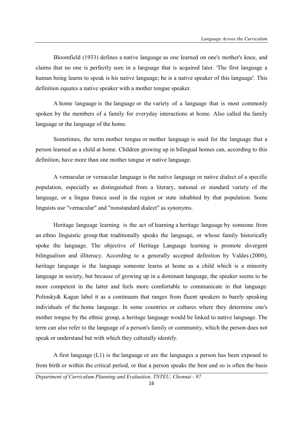Bloomfield (1933) defines a native language as one learned on one's mother's knee, and claims that no one is perfectly sure in a language that is acquired later. 'The first language a human being learns to speak is his native language; he is a native speaker of this language'. This definition equates a native speaker with a mother tongue speaker.

A home language is the language or the variety of a language that is most commonly spoken by the members of a family for everyday interactions at home. Also called the family language or the language of the home.

Sometimes, the term mother tongue or mother language is used for the language that a person learned as a child at home. Children growing up in bilingual homes can, according to this definition, have more than one mother tongue or native language.

A vernacular or vernacular language is the native language or native dialect of a specific population, especially as distinguished from a literary, national or standard variety of the language, or a lingua franca used in the region or state inhabited by that population. Some linguists use "vernacular" and "nonstandard dialect" as synonyms.

Heritage language learning is the act of learning a heritage language by someone from an ethno linguistic group that traditionally speaks the language, or whose family historically spoke the language. The objective of Heritage Language learning is promote divergent bilingualism and illiteracy. According to a generally accepted definition by Valdes (2000), heritage language is the language someone learns at home as a child which is a minority language in society, but because of growing up in a dominant language, the speaker seems to be more competent in the latter and feels more comfortable to communicate in that language. Polinsky& Kagan label it as a continuum that ranges from fluent speakers to barely speaking individuals of the home language. In some countries or cultures where they determine one's mother tongue by the ethnic group, a heritage language would be linked to native language. The term can also refer to the language of a person's family or community, which the person does not speak or understand but with which they culturally identify.

A first language (L1) is the language or are the languages a person has been exposed to from birth or within the critical period, or that a person speaks the best and so is often the basis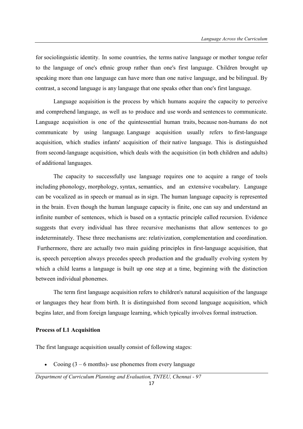for sociolinguistic identity. In some countries, the terms native language or mother tongue refer to the language of one's ethnic group rather than one's first language. Children brought up speaking more than one language can have more than one native language, and be bilingual. By contrast, a second language is any language that one speaks other than one's first language.

Language acquisition is the process by which humans acquire the capacity to perceive and comprehend language, as well as to produce and use words and sentences to communicate. Language acquisition is one of the quintessential human traits, because non-humans do not communicate by using language. Language acquisition usually refers to first-language acquisition, which studies infants' acquisition of their native language. This is distinguished from second-language acquisition, which deals with the acquisition (in both children and adults) of additional languages.

The capacity to successfully use language requires one to acquire a range of tools including phonology, morphology, syntax, semantics, and an extensive vocabulary. Language can be vocalized as in speech or manual as in sign. The human language capacity is represented in the brain. Even though the human language capacity is finite, one can say and understand an infinite number of sentences, which is based on a syntactic principle called recursion. Evidence suggests that every individual has three recursive mechanisms that allow sentences to go indeterminately. These three mechanisms are: relativization, complementation and coordination. Furthermore, there are actually two main guiding principles in first-language acquisition, that is, speech perception always precedes speech production and the gradually evolving system by which a child learns a language is built up one step at a time, beginning with the distinction between individual phonemes.

The term first language acquisition refers to children's natural acquisition of the language or languages they hear from birth. It is distinguished from second language acquisition, which begins later, and from foreign language learning, which typically involves formal instruction.

#### Process of L1 Acquisition

The first language acquisition usually consist of following stages:

• Cooing  $(3 - 6$  months)- use phonemes from every language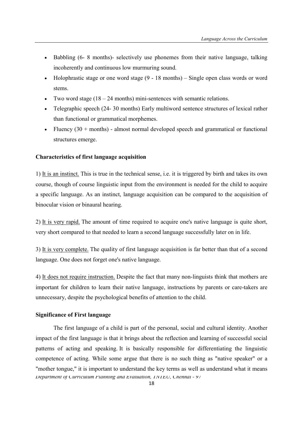- Babbling (6- 8 months)- selectively use phonemes from their native language, talking incoherently and continuous low murmuring sound.
- $\bullet$  Holophrastic stage or one word stage (9 18 months) Single open class words or word stems.
- Two word stage (18 24 months) mini-sentences with semantic relations.
- Telegraphic speech (24- 30 months) Early multiword sentence structures of lexical rather than functional or grammatical morphemes.
- Fluency  $(30 + \text{months})$  almost normal developed speech and grammatical or functional structures emerge.

#### Characteristics of first language acquisition

1) It is an instinct. This is true in the technical sense, i.e. it is triggered by birth and takes its own course, though of course linguistic input from the environment is needed for the child to acquire a specific language. As an instinct, language acquisition can be compared to the acquisition of binocular vision or binaural hearing.

2) It is very rapid. The amount of time required to acquire one's native language is quite short, very short compared to that needed to learn a second language successfully later on in life.

3) It is very complete. The quality of first language acquisition is far better than that of a second language. One does not forget one's native language.

4) It does not require instruction. Despite the fact that many non-linguists think that mothers are important for children to learn their native language, instructions by parents or care-takers are unnecessary, despite the psychological benefits of attention to the child.

# Significance of First language

Department of Curriculum Planning and Evaluation, INIEU, Chennai - 9/ The first language of a child is part of the personal, social and cultural identity. Another impact of the first language is that it brings about the reflection and learning of successful social patterns of acting and speaking. It is basically responsible for differentiating the linguistic competence of acting. While some argue that there is no such thing as "native speaker" or a "mother tongue," it is important to understand the key terms as well as understand what it means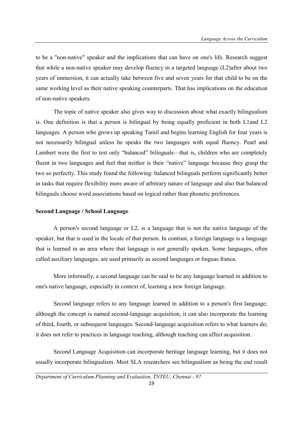to be a "non-native" speaker and the implications that can have on one's life. Research suggest that while a non-native speaker may develop fluency in a targeted language (L2)after about two years of immersion, it can actually take between five and seven years for that child to be on the same working level as their native speaking counterparts. That has implications on the education of non-native speakers.

The topic of native speaker also gives way to discussion about what exactly bilingualism is. One definition is that a person is bilingual by being equally proficient in both L1and L2 languages. A person who grows up speaking Tamil and begins learning English for four years is not necessarily bilingual unless he speaks the two languages with equal fluency. Pearl and Lambert were the first to test only "balanced" bilinguals—that is, children who are completely fluent in two languages and feel that neither is their "native" language because they grasp the two so perfectly. This study found the following: balanced bilinguals perform significantly better in tasks that require flexibility more aware of arbitrary nature of language and also that balanced bilinguals choose word associations based on logical rather than phonetic preferences.

# Second Language / School Language

A person's second language or L2, is a language that is not the native language of the speaker, but that is used in the locale of that person. In contrast, a foreign language is a language that is learned in an area where that language is not generally spoken. Some languages, often called auxiliary languages, are used primarily as second languages or linguas franca.

More informally, a second language can be said to be any language learned in addition to one's native language, especially in context of, learning a new foreign language.

Second language refers to any language learned in addition to a person's first language; although the concept is named second-language acquisition, it can also incorporate the learning of third, fourth, or subsequent languages. Second-language acquisition refers to what learners do; it does not refer to practices in language teaching, although teaching can affect acquisition.

Second Language Acquisition can incorporate heritage language learning, but it does not usually incorporate bilingualism. Most SLA researchers see bilingualism as being the end result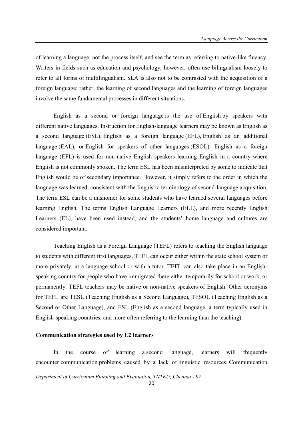of learning a language, not the process itself, and see the term as referring to native-like fluency. Writers in fields such as education and psychology, however, often use bilingualism loosely to refer to all forms of multilingualism. SLA is also not to be contrasted with the acquisition of a foreign language; rather, the learning of second languages and the learning of foreign languages involve the same fundamental processes in different situations.

English as a second or foreign language is the use of English by speakers with different native languages. Instruction for English-language learners may be known as English as a second language (ESL), English as a foreign language (EFL), English as an additional language (EAL), or English for speakers of other languages (ESOL). English as a foreign language (EFL) is used for non-native English speakers learning English in a country where English is not commonly spoken. The term ESL has been misinterpreted by some to indicate that English would be of secondary importance. However, it simply refers to the order in which the language was learned, consistent with the linguistic terminology of second-language acquisition. The term ESL can be a misnomer for some students who have learned several languages before learning English. The terms English Language Learners (ELL), and more recently English Learners (EL), have been used instead, and the students' home language and cultures are considered important.

Teaching English as a Foreign Language (TEFL) refers to teaching the English language to students with different first languages. TEFL can occur either within the state school system or more privately, at a language school or with a tutor. TEFL can also take place in an Englishspeaking country for people who have immigrated there either temporarily for school or work, or permanently. TEFL teachers may be native or non-native speakers of English. Other acronyms for TEFL are TESL (Teaching English as a Second Language), TESOL (Teaching English as a Second or Other Language), and ESL (English as a second language, a term typically used in English-speaking countries, and more often referring to the learning than the teaching).

#### Communication strategies used by L2 learners

 In the course of learning a second language, learners will frequently encounter communication problems caused by a lack of linguistic resources. Communication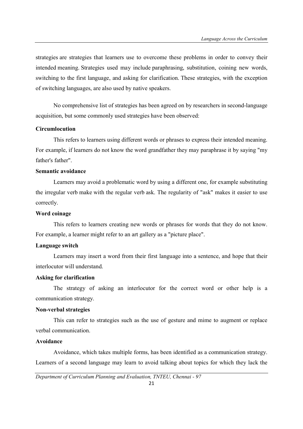strategies are strategies that learners use to overcome these problems in order to convey their intended meaning. Strategies used may include paraphrasing, substitution, coining new words, switching to the first language, and asking for clarification. These strategies, with the exception of switching languages, are also used by native speakers.

No comprehensive list of strategies has been agreed on by researchers in second-language acquisition, but some commonly used strategies have been observed:

#### Circumlocution

This refers to learners using different words or phrases to express their intended meaning. For example, if learners do not know the word grandfather they may paraphrase it by saying "my father's father".

# Semantic avoidance

Learners may avoid a problematic word by using a different one, for example substituting the irregular verb make with the regular verb ask. The regularity of "ask" makes it easier to use correctly.

#### Word coinage

This refers to learners creating new words or phrases for words that they do not know. For example, a learner might refer to an art gallery as a "picture place".

#### Language switch

Learners may insert a word from their first language into a sentence, and hope that their interlocutor will understand.

#### Asking for clarification

The strategy of asking an interlocutor for the correct word or other help is a communication strategy.

#### Non-verbal strategies

This can refer to strategies such as the use of gesture and mime to augment or replace verbal communication.

#### Avoidance

Avoidance, which takes multiple forms, has been identified as a communication strategy. Learners of a second language may learn to avoid talking about topics for which they lack the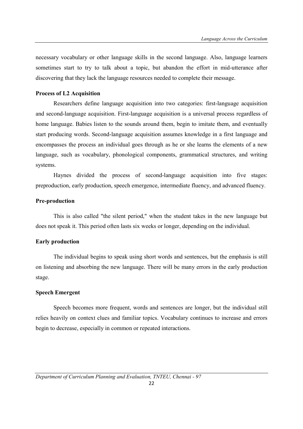necessary vocabulary or other language skills in the second language. Also, language learners sometimes start to try to talk about a topic, but abandon the effort in mid-utterance after discovering that they lack the language resources needed to complete their message.

# Process of L2 Acquisition

Researchers define language acquisition into two categories: first-language acquisition and second-language acquisition. First-language acquisition is a universal process regardless of home language. Babies listen to the sounds around them, begin to imitate them, and eventually start producing words. Second-language acquisition assumes knowledge in a first language and encompasses the process an individual goes through as he or she learns the elements of a new language, such as vocabulary, phonological components, grammatical structures, and writing systems.

Haynes divided the process of second-language acquisition into five stages: preproduction, early production, speech emergence, intermediate fluency, and advanced fluency.

# Pre-production

This is also called "the silent period," when the student takes in the new language but does not speak it. This period often lasts six weeks or longer, depending on the individual.

#### Early production

The individual begins to speak using short words and sentences, but the emphasis is still on listening and absorbing the new language. There will be many errors in the early production stage.

### Speech Emergent

Speech becomes more frequent, words and sentences are longer, but the individual still relies heavily on context clues and familiar topics. Vocabulary continues to increase and errors begin to decrease, especially in common or repeated interactions.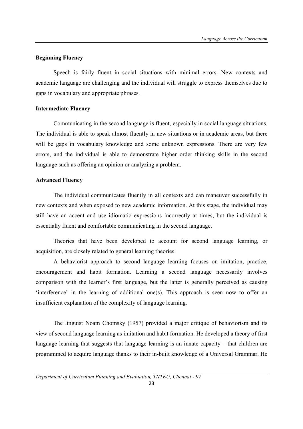# Beginning Fluency

Speech is fairly fluent in social situations with minimal errors. New contexts and academic language are challenging and the individual will struggle to express themselves due to gaps in vocabulary and appropriate phrases.

# Intermediate Fluency

Communicating in the second language is fluent, especially in social language situations. The individual is able to speak almost fluently in new situations or in academic areas, but there will be gaps in vocabulary knowledge and some unknown expressions. There are very few errors, and the individual is able to demonstrate higher order thinking skills in the second language such as offering an opinion or analyzing a problem.

#### Advanced Fluency

The individual communicates fluently in all contexts and can maneuver successfully in new contexts and when exposed to new academic information. At this stage, the individual may still have an accent and use idiomatic expressions incorrectly at times, but the individual is essentially fluent and comfortable communicating in the second language.

Theories that have been developed to account for second language learning, or acquisition, are closely related to general learning theories.

A behaviorist approach to second language learning focuses on imitation, practice, encouragement and habit formation. Learning a second language necessarily involves comparison with the learner's first language, but the latter is generally perceived as causing 'interference' in the learning of additional one(s). This approach is seen now to offer an insufficient explanation of the complexity of language learning.

The linguist Noam Chomsky (1957) provided a major critique of behaviorism and its view of second language learning as imitation and habit formation. He developed a theory of first language learning that suggests that language learning is an innate capacity – that children are programmed to acquire language thanks to their in-built knowledge of a Universal Grammar. He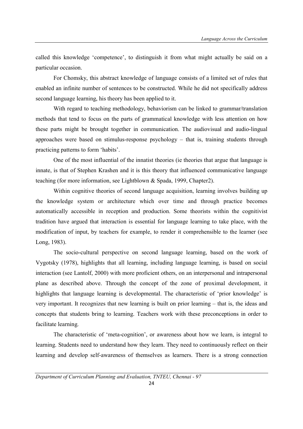called this knowledge 'competence', to distinguish it from what might actually be said on a particular occasion.

For Chomsky, this abstract knowledge of language consists of a limited set of rules that enabled an infinite number of sentences to be constructed. While he did not specifically address second language learning, his theory has been applied to it.

With regard to teaching methodology, behaviorism can be linked to grammar/translation methods that tend to focus on the parts of grammatical knowledge with less attention on how these parts might be brought together in communication. The audiovisual and audio-lingual approaches were based on stimulus-response psychology – that is, training students through practicing patterns to form 'habits'.

One of the most influential of the innatist theories (ie theories that argue that language is innate, is that of Stephen Krashen and it is this theory that influenced communicative language teaching (for more information, see Lightblown & Spada, 1999, Chapter2).

Within cognitive theories of second language acquisition, learning involves building up the knowledge system or architecture which over time and through practice becomes automatically accessible in reception and production. Some theorists within the cognitivist tradition have argued that interaction is essential for language learning to take place, with the modification of input, by teachers for example, to render it comprehensible to the learner (see Long, 1983).

The socio-cultural perspective on second language learning, based on the work of Vygotsky (1978), highlights that all learning, including language learning, is based on social interaction (see Lantolf, 2000) with more proficient others, on an interpersonal and intrapersonal plane as described above. Through the concept of the zone of proximal development, it highlights that language learning is developmental. The characteristic of 'prior knowledge' is very important. It recognizes that new learning is built on prior learning – that is, the ideas and concepts that students bring to learning. Teachers work with these preconceptions in order to facilitate learning.

The characteristic of 'meta-cognition', or awareness about how we learn, is integral to learning. Students need to understand how they learn. They need to continuously reflect on their learning and develop self-awareness of themselves as learners. There is a strong connection

Department of Curriculum Planning and Evaluation, TNTEU, Chennai - 97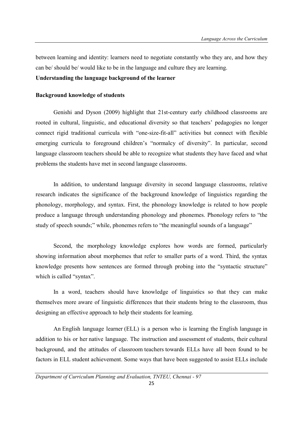between learning and identity: learners need to negotiate constantly who they are, and how they can be/ should be/ would like to be in the language and culture they are learning. Understanding the language background of the learner

# Background knowledge of students

Genishi and Dyson (2009) highlight that 21st-century early childhood classrooms are rooted in cultural, linguistic, and educational diversity so that teachers' pedagogies no longer connect rigid traditional curricula with "one-size-fit-all" activities but connect with flexible emerging curricula to foreground children's "normalcy of diversity". In particular, second language classroom teachers should be able to recognize what students they have faced and what problems the students have met in second language classrooms.

In addition, to understand language diversity in second language classrooms, relative research indicates the significance of the background knowledge of linguistics regarding the phonology, morphology, and syntax. First, the phonology knowledge is related to how people produce a language through understanding phonology and phonemes. Phonology refers to "the study of speech sounds;" while, phonemes refers to "the meaningful sounds of a language"

Second, the morphology knowledge explores how words are formed, particularly showing information about morphemes that refer to smaller parts of a word. Third, the syntax knowledge presents how sentences are formed through probing into the "syntactic structure" which is called "syntax".

In a word, teachers should have knowledge of linguistics so that they can make themselves more aware of linguistic differences that their students bring to the classroom, thus designing an effective approach to help their students for learning.

An English language learner (ELL) is a person who is learning the English language in addition to his or her native language. The instruction and assessment of students, their cultural background, and the attitudes of classroom teachers towards ELLs have all been found to be factors in ELL student achievement. Some ways that have been suggested to assist ELLs include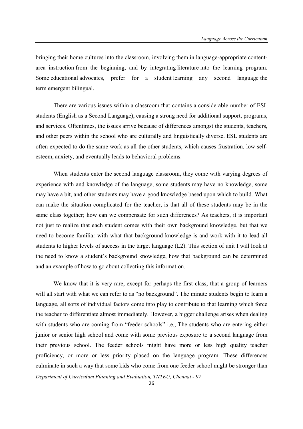bringing their home cultures into the classroom, involving them in language-appropriate contentarea instruction from the beginning, and by integrating literature into the learning program. Some educational advocates, prefer for a student learning any second language the term emergent bilingual.

There are various issues within a classroom that contains a considerable number of ESL students (English as a Second Language), causing a strong need for additional support, programs, and services. Oftentimes, the issues arrive because of differences amongst the students, teachers, and other peers within the school who are culturally and linguistically diverse. ESL students are often expected to do the same work as all the other students, which causes frustration, low selfesteem, anxiety, and eventually leads to behavioral problems.

When students enter the second language classroom, they come with varying degrees of experience with and knowledge of the language; some students may have no knowledge, some may have a bit, and other students may have a good knowledge based upon which to build. What can make the situation complicated for the teacher, is that all of these students may be in the same class together; how can we compensate for such differences? As teachers, it is important not just to realize that each student comes with their own background knowledge, but that we need to become familiar with what that background knowledge is and work with it to lead all students to higher levels of success in the target language (L2). This section of unit I will look at the need to know a student's background knowledge, how that background can be determined and an example of how to go about collecting this information.

We know that it is very rare, except for perhaps the first class, that a group of learners will all start with what we can refer to as "no background". The minute students begin to learn a language, all sorts of individual factors come into play to contribute to that learning which force the teacher to differentiate almost immediately. However, a bigger challenge arises when dealing with students who are coming from "feeder schools" i.e., The students who are entering either junior or senior high school and come with some previous exposure to a second language from their previous school. The feeder schools might have more or less high quality teacher proficiency, or more or less priority placed on the language program. These differences culminate in such a way that some kids who come from one feeder school might be stronger than

Department of Curriculum Planning and Evaluation, TNTEU, Chennai - 97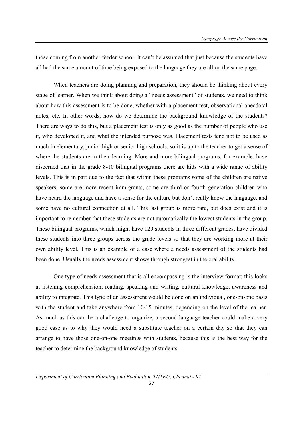those coming from another feeder school. It can't be assumed that just because the students have all had the same amount of time being exposed to the language they are all on the same page.

When teachers are doing planning and preparation, they should be thinking about every stage of learner. When we think about doing a "needs assessment" of students, we need to think about how this assessment is to be done, whether with a placement test, observational anecdotal notes, etc. In other words, how do we determine the background knowledge of the students? There are ways to do this, but a placement test is only as good as the number of people who use it, who developed it, and what the intended purpose was. Placement tests tend not to be used as much in elementary, junior high or senior high schools, so it is up to the teacher to get a sense of where the students are in their learning. More and more bilingual programs, for example, have discerned that in the grade 8-10 bilingual programs there are kids with a wide range of ability levels. This is in part due to the fact that within these programs some of the children are native speakers, some are more recent immigrants, some are third or fourth generation children who have heard the language and have a sense for the culture but don't really know the language, and some have no cultural connection at all. This last group is more rare, but does exist and it is important to remember that these students are not automatically the lowest students in the group. These bilingual programs, which might have 120 students in three different grades, have divided these students into three groups across the grade levels so that they are working more at their own ability level. This is an example of a case where a needs assessment of the students had been done. Usually the needs assessment shows through strongest in the oral ability.

One type of needs assessment that is all encompassing is the interview format; this looks at listening comprehension, reading, speaking and writing, cultural knowledge, awareness and ability to integrate. This type of an assessment would be done on an individual, one-on-one basis with the student and take anywhere from 10-15 minutes, depending on the level of the learner. As much as this can be a challenge to organize, a second language teacher could make a very good case as to why they would need a substitute teacher on a certain day so that they can arrange to have those one-on-one meetings with students, because this is the best way for the teacher to determine the background knowledge of students.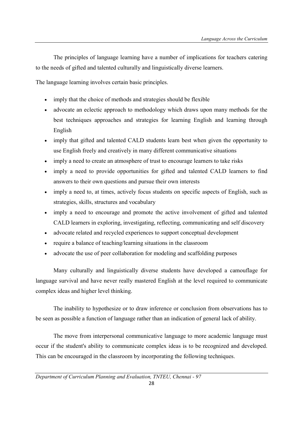The principles of language learning have a number of implications for teachers catering to the needs of gifted and talented culturally and linguistically diverse learners.

The language learning involves certain basic principles.

- imply that the choice of methods and strategies should be flexible
- advocate an eclectic approach to methodology which draws upon many methods for the best techniques approaches and strategies for learning English and learning through English
- imply that gifted and talented CALD students learn best when given the opportunity to use English freely and creatively in many different communicative situations
- imply a need to create an atmosphere of trust to encourage learners to take risks
- imply a need to provide opportunities for gifted and talented CALD learners to find answers to their own questions and pursue their own interests
- imply a need to, at times, actively focus students on specific aspects of English, such as strategies, skills, structures and vocabulary
- imply a need to encourage and promote the active involvement of gifted and talented CALD learners in exploring, investigating, reflecting, communicating and self discovery
- advocate related and recycled experiences to support conceptual development
- require a balance of teaching/learning situations in the classroom
- advocate the use of peer collaboration for modeling and scaffolding purposes

Many culturally and linguistically diverse students have developed a camouflage for language survival and have never really mastered English at the level required to communicate complex ideas and higher level thinking.

The inability to hypothesize or to draw inference or conclusion from observations has to be seen as possible a function of language rather than an indication of general lack of ability.

The move from interpersonal communicative language to more academic language must occur if the student's ability to communicate complex ideas is to be recognized and developed. This can be encouraged in the classroom by incorporating the following techniques.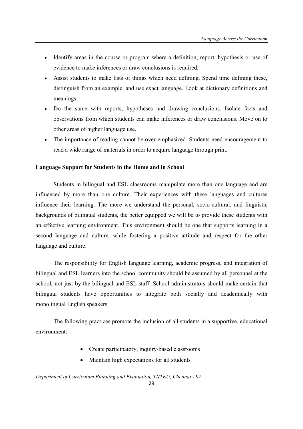- Identify areas in the course or program where a definition, report, hypothesis or use of evidence to make inferences or draw conclusions is required.
- Assist students to make lists of things which need defining. Spend time defining these, distinguish from an example, and use exact language. Look at dictionary definitions and meanings.
- Do the same with reports, hypotheses and drawing conclusions. Isolate facts and observations from which students can make inferences or draw conclusions. Move on to other areas of higher language use.
- The importance of reading cannot be over-emphasized. Students need encouragement to read a wide range of materials in order to acquire language through print.

# Language Support for Students in the Home and in School

Students in bilingual and ESL classrooms manipulate more than one language and are influenced by more than one culture. Their experiences with these languages and cultures influence their learning. The more we understand the personal, socio-cultural, and linguistic backgrounds of bilingual students, the better equipped we will be to provide these students with an effective learning environment. This environment should be one that supports learning in a second language and culture, while fostering a positive attitude and respect for the other language and culture.

The responsibility for English language learning, academic progress, and integration of bilingual and ESL learners into the school community should be assumed by all personnel at the school, not just by the bilingual and ESL staff. School administrators should make certain that bilingual students have opportunities to integrate both socially and academically with monolingual English speakers.

The following practices promote the inclusion of all students in a supportive, educational environment:

- Create participatory, inquiry-based classrooms
- Maintain high expectations for all students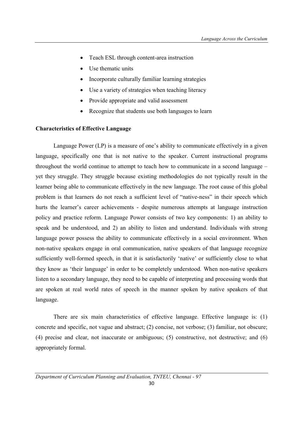- Teach ESL through content-area instruction
- Use thematic units
- Incorporate culturally familiar learning strategies
- Use a variety of strategies when teaching literacy
- Provide appropriate and valid assessment
- Recognize that students use both languages to learn

# Characteristics of Effective Language

Language Power (LP) is a measure of one's ability to communicate effectively in a given language, specifically one that is not native to the speaker. Current instructional programs throughout the world continue to attempt to teach how to communicate in a second language – yet they struggle. They struggle because existing methodologies do not typically result in the learner being able to communicate effectively in the new language. The root cause of this global problem is that learners do not reach a sufficient level of "native-ness" in their speech which hurts the learner's career achievements - despite numerous attempts at language instruction policy and practice reform. Language Power consists of two key components: 1) an ability to speak and be understood, and 2) an ability to listen and understand. Individuals with strong language power possess the ability to communicate effectively in a social environment. When non-native speakers engage in oral communication, native speakers of that language recognize sufficiently well-formed speech, in that it is satisfactorily 'native' or sufficiently close to what they know as 'their language' in order to be completely understood. When non-native speakers listen to a secondary language, they need to be capable of interpreting and processing words that are spoken at real world rates of speech in the manner spoken by native speakers of that language.

There are six main characteristics of effective language. Effective language is: (1) concrete and specific, not vague and abstract; (2) concise, not verbose; (3) familiar, not obscure; (4) precise and clear, not inaccurate or ambiguous; (5) constructive, not destructive; and (6) appropriately formal.

Department of Curriculum Planning and Evaluation, TNTEU, Chennai - 97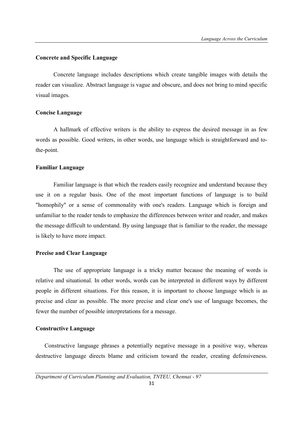# Concrete and Specific Language

Concrete language includes descriptions which create tangible images with details the reader can visualize. Abstract language is vague and obscure, and does not bring to mind specific visual images.

#### Concise Language

A hallmark of effective writers is the ability to express the desired message in as few words as possible. Good writers, in other words, use language which is straightforward and tothe-point.

#### Familiar Language

Familiar language is that which the readers easily recognize and understand because they use it on a regular basis. One of the most important functions of language is to build "homophily" or a sense of commonality with one's readers. Language which is foreign and unfamiliar to the reader tends to emphasize the differences between writer and reader, and makes the message difficult to understand. By using language that is familiar to the reader, the message is likely to have more impact.

#### Precise and Clear Language

The use of appropriate language is a tricky matter because the meaning of words is relative and situational. In other words, words can be interpreted in different ways by different people in different situations. For this reason, it is important to choose language which is as precise and clear as possible. The more precise and clear one's use of language becomes, the fewer the number of possible interpretations for a message.

#### Constructive Language

Constructive language phrases a potentially negative message in a positive way, whereas destructive language directs blame and criticism toward the reader, creating defensiveness.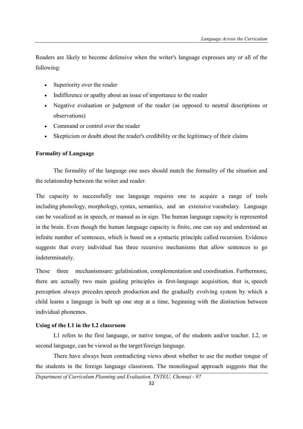Readers are likely to become defensive when the writer's language expresses any or all of the following:

- Superiority over the reader
- Indifference or apathy about an issue of importance to the reader
- Negative evaluation or judgment of the reader (as opposed to neutral descriptions or observations)
- Command or control over the reader
- Skepticism or doubt about the reader's credibility or the legitimacy of their claims

# Formality of Language

The formality of the language one uses should match the formality of the situation and the relationship between the writer and reader.

The capacity to successfully use language requires one to acquire a range of tools including phonology, morphology, syntax, semantics, and an extensive vocabulary. Language can be vocalized as in speech, or manual as in sign. The human language capacity is represented in the brain. Even though the human language capacity is finite, one can say and understand an infinite number of sentences, which is based on a syntactic principle called recursion. Evidence suggests that every individual has three recursive mechanisms that allow sentences to go indeterminately.

These three mechanismsare: gelatinization, complementation and coordination. Furthermore, there are actually two main guiding principles in first-language acquisition, that is, speech perception always precedes speech production and the gradually evolving system by which a child learns a language is built up one step at a time, beginning with the distinction between individual phonemes.

# Using of the L1 in the L2 classroom

L1 refers to the first language, or native tongue, of the students and/or teacher. L2, or second language, can be viewed as the target/foreign language.

There have always been contradicting views about whether to use the mother tongue of the students in the foreign language classroom. The monolingual approach suggests that the

```
Department of Curriculum Planning and Evaluation, TNTEU, Chennai - 97
```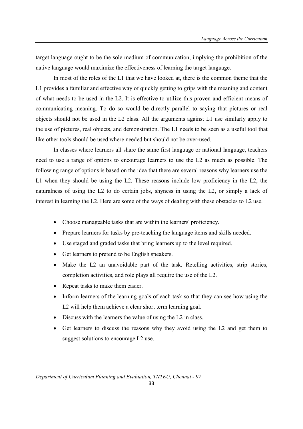target language ought to be the sole medium of communication, implying the prohibition of the native language would maximize the effectiveness of learning the target language.

In most of the roles of the L1 that we have looked at, there is the common theme that the L1 provides a familiar and effective way of quickly getting to grips with the meaning and content of what needs to be used in the L2. It is effective to utilize this proven and efficient means of communicating meaning. To do so would be directly parallel to saying that pictures or real objects should not be used in the L2 class. All the arguments against L1 use similarly apply to the use of pictures, real objects, and demonstration. The L1 needs to be seen as a useful tool that like other tools should be used where needed but should not be over-used.

In classes where learners all share the same first language or national language, teachers need to use a range of options to encourage learners to use the L2 as much as possible. The following range of options is based on the idea that there are several reasons why learners use the L1 when they should be using the L2. These reasons include low proficiency in the L2, the naturalness of using the L2 to do certain jobs, shyness in using the L2, or simply a lack of interest in learning the L2. Here are some of the ways of dealing with these obstacles to L2 use.

- Choose manageable tasks that are within the learners' proficiency.
- Prepare learners for tasks by pre-teaching the language items and skills needed.
- Use staged and graded tasks that bring learners up to the level required.
- Get learners to pretend to be English speakers.
- Make the L2 an unavoidable part of the task. Retelling activities, strip stories, completion activities, and role plays all require the use of the L2.
- Repeat tasks to make them easier.
- Inform learners of the learning goals of each task so that they can see how using the L<sub>2</sub> will help them achieve a clear short term learning goal.
- Discuss with the learners the value of using the L2 in class.
- Get learners to discuss the reasons why they avoid using the L2 and get them to suggest solutions to encourage L2 use.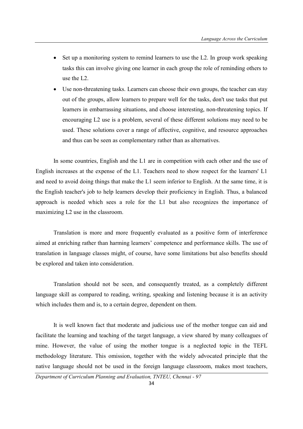- Set up a monitoring system to remind learners to use the L2. In group work speaking tasks this can involve giving one learner in each group the role of reminding others to use the L2.
- Use non-threatening tasks. Learners can choose their own groups, the teacher can stay out of the groups, allow learners to prepare well for the tasks, don't use tasks that put learners in embarrassing situations, and choose interesting, non-threatening topics. If encouraging L2 use is a problem, several of these different solutions may need to be used. These solutions cover a range of affective, cognitive, and resource approaches and thus can be seen as complementary rather than as alternatives.

In some countries, English and the L1 are in competition with each other and the use of English increases at the expense of the L1. Teachers need to show respect for the learners' L1 and need to avoid doing things that make the L1 seem inferior to English. At the same time, it is the English teacher's job to help learners develop their proficiency in English. Thus, a balanced approach is needed which sees a role for the L1 but also recognizes the importance of maximizing L2 use in the classroom.

Translation is more and more frequently evaluated as a positive form of interference aimed at enriching rather than harming learners' competence and performance skills. The use of translation in language classes might, of course, have some limitations but also benefits should be explored and taken into consideration.

Translation should not be seen, and consequently treated, as a completely different language skill as compared to reading, writing, speaking and listening because it is an activity which includes them and is, to a certain degree, dependent on them.

It is well known fact that moderate and judicious use of the mother tongue can aid and facilitate the learning and teaching of the target language, a view shared by many colleagues of mine. However, the value of using the mother tongue is a neglected topic in the TEFL methodology literature. This omission, together with the widely advocated principle that the native language should not be used in the foreign language classroom, makes most teachers,

Department of Curriculum Planning and Evaluation, TNTEU, Chennai - 97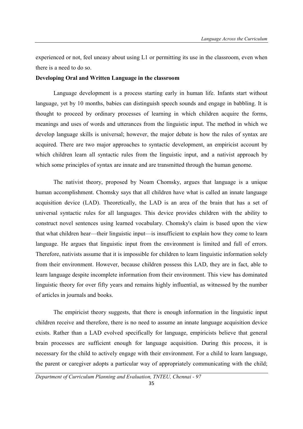experienced or not, feel uneasy about using L1 or permitting its use in the classroom, even when there is a need to do so.

#### Developing Oral and Written Language in the classroom

Language development is a process starting early in human life. Infants start without language, yet by 10 months, babies can distinguish speech sounds and engage in babbling. It is thought to proceed by ordinary processes of learning in which children acquire the forms, meanings and uses of words and utterances from the linguistic input. The method in which we develop language skills is universal; however, the major debate is how the rules of syntax are acquired. There are two major approaches to syntactic development, an empiricist account by which children learn all syntactic rules from the linguistic input, and a nativist approach by which some principles of syntax are innate and are transmitted through the human genome.

The nativist theory, proposed by Noam Chomsky, argues that language is a unique human accomplishment. Chomsky says that all children have what is called an innate language acquisition device (LAD). Theoretically, the LAD is an area of the brain that has a set of universal syntactic rules for all languages. This device provides children with the ability to construct novel sentences using learned vocabulary. Chomsky's claim is based upon the view that what children hear—their linguistic input—is insufficient to explain how they come to learn language. He argues that linguistic input from the environment is limited and full of errors. Therefore, nativists assume that it is impossible for children to learn linguistic information solely from their environment. However, because children possess this LAD, they are in fact, able to learn language despite incomplete information from their environment. This view has dominated linguistic theory for over fifty years and remains highly influential, as witnessed by the number of articles in journals and books.

The empiricist theory suggests, that there is enough information in the linguistic input children receive and therefore, there is no need to assume an innate language acquisition device exists. Rather than a LAD evolved specifically for language, empiricists believe that general brain processes are sufficient enough for language acquisition. During this process, it is necessary for the child to actively engage with their environment. For a child to learn language, the parent or caregiver adopts a particular way of appropriately communicating with the child;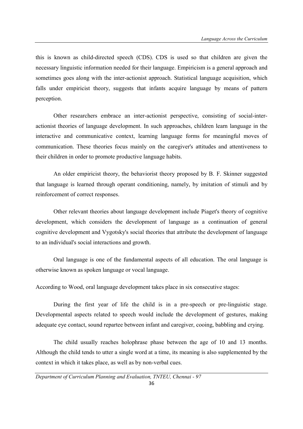this is known as child-directed speech (CDS). CDS is used so that children are given the necessary linguistic information needed for their language. Empiricism is a general approach and sometimes goes along with the inter-actionist approach. Statistical language acquisition, which falls under empiricist theory, suggests that infants acquire language by means of pattern perception.

Other researchers embrace an inter-actionist perspective, consisting of social-interactionist theories of language development. In such approaches, children learn language in the interactive and communicative context, learning language forms for meaningful moves of communication. These theories focus mainly on the caregiver's attitudes and attentiveness to their children in order to promote productive language habits.

An older empiricist theory, the behaviorist theory proposed by B. F. Skinner suggested that language is learned through operant conditioning, namely, by imitation of stimuli and by reinforcement of correct responses.

Other relevant theories about language development include Piaget's theory of cognitive development, which considers the development of language as a continuation of general cognitive development and Vygotsky's social theories that attribute the development of language to an individual's social interactions and growth.

Oral language is one of the fundamental aspects of all education. The oral language is otherwise known as spoken language or vocal language.

According to Wood, oral language development takes place in six consecutive stages:

During the first year of life the child is in a pre-speech or pre-linguistic stage. Developmental aspects related to speech would include the development of gestures, making adequate eye contact, sound repartee between infant and caregiver, cooing, babbling and crying.

The child usually reaches holophrase phase between the age of 10 and 13 months. Although the child tends to utter a single word at a time, its meaning is also supplemented by the context in which it takes place, as well as by non-verbal cues.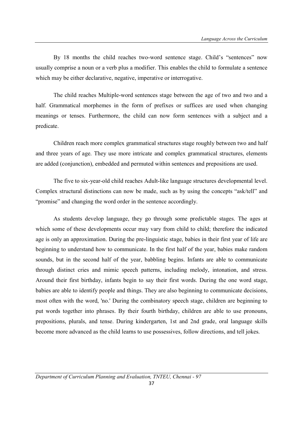By 18 months the child reaches two-word sentence stage. Child's "sentences" now usually comprise a noun or a verb plus a modifier. This enables the child to formulate a sentence which may be either declarative, negative, imperative or interrogative.

The child reaches Multiple-word sentences stage between the age of two and two and a half. Grammatical morphemes in the form of prefixes or suffices are used when changing meanings or tenses. Furthermore, the child can now form sentences with a subject and a predicate.

Children reach more complex grammatical structures stage roughly between two and half and three years of age. They use more intricate and complex grammatical structures, elements are added (conjunction), embedded and permuted within sentences and prepositions are used.

The five to six-year-old child reaches Adult-like language structures developmental level. Complex structural distinctions can now be made, such as by using the concepts "ask/tell" and "promise" and changing the word order in the sentence accordingly.

As students develop language, they go through some predictable stages. The ages at which some of these developments occur may vary from child to child; therefore the indicated age is only an approximation. During the pre-linguistic stage, babies in their first year of life are beginning to understand how to communicate. In the first half of the year, babies make random sounds, but in the second half of the year, babbling begins. Infants are able to communicate through distinct cries and mimic speech patterns, including melody, intonation, and stress. Around their first birthday, infants begin to say their first words. During the one word stage, babies are able to identify people and things. They are also beginning to communicate decisions, most often with the word, 'no.' During the combinatory speech stage, children are beginning to put words together into phrases. By their fourth birthday, children are able to use pronouns, prepositions, plurals, and tense. During kindergarten, 1st and 2nd grade, oral language skills become more advanced as the child learns to use possessives, follow directions, and tell jokes.

Department of Curriculum Planning and Evaluation, TNTEU, Chennai - 97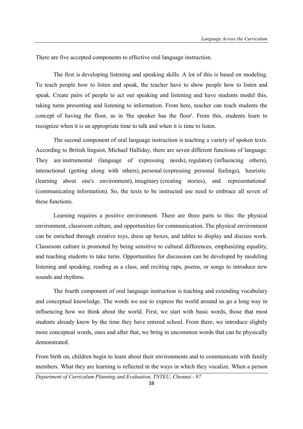There are five accepted components to effective oral language instruction.

The first is developing listening and speaking skills. A lot of this is based on modeling. To teach people how to listen and speak, the teacher have to show people how to listen and speak. Create pairs of people to act out speaking and listening and have students model this, taking turns presenting and listening to information. From here, teacher can teach students the concept of having the floor, as in 'the speaker has the floor'. From this, students learn to recognize when it is an appropriate time to talk and when it is time to listen.

The second component of oral language instruction is teaching a variety of spoken texts. According to British linguist, Michael Halliday, there are seven different functions of language. They are instrumental (language of expressing needs), regulatory (influencing others), interactional (getting along with others), personal (expressing personal feelings), heuristic (learning about one's environment), imaginary (creating stories), and representational (communicating information). So, the texts to be instructed use need to embrace all seven of these functions.

Learning requires a positive environment. There are three parts to this: the physical environment, classroom culture, and opportunities for communication. The physical environment can be enriched through creative toys, dress up boxes, and tables to display and discuss work. Classroom culture is promoted by being sensitive to cultural differences, emphasizing equality, and teaching students to take turns. Opportunities for discussion can be developed by modeling listening and speaking, reading as a class, and reciting raps, poems, or songs to introduce new sounds and rhythms.

The fourth component of oral language instruction is teaching and extending vocabulary and conceptual knowledge. The words we use to express the world around us go a long way in influencing how we think about the world. First, we start with basic words, those that most students already know by the time they have entered school. From there, we introduce slightly more conceptual words, ones and after that, we bring in uncommon words that can be physically demonstrated.

From birth on, children begin to learn about their environments and to communicate with family members. What they are learning is reflected in the ways in which they vocalize. When a person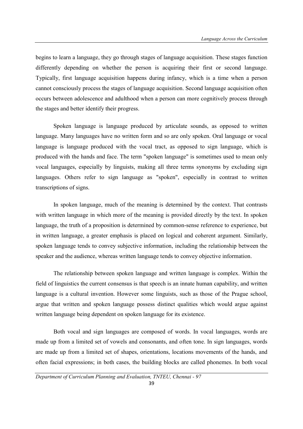begins to learn a language, they go through stages of language acquisition. These stages function differently depending on whether the person is acquiring their first or second language. Typically, first language acquisition happens during infancy, which is a time when a person cannot consciously process the stages of language acquisition. Second language acquisition often occurs between adolescence and adulthood when a person can more cognitively process through the stages and better identify their progress.

Spoken language is language produced by articulate sounds, as opposed to written language. Many languages have no written form and so are only spoken. Oral language or vocal language is language produced with the vocal tract, as opposed to sign language, which is produced with the hands and face. The term "spoken language" is sometimes used to mean only vocal languages, especially by linguists, making all three terms synonyms by excluding sign languages. Others refer to sign language as "spoken", especially in contrast to written transcriptions of signs.

In spoken language, much of the meaning is determined by the context. That contrasts with written language in which more of the meaning is provided directly by the text. In spoken language, the truth of a proposition is determined by common-sense reference to experience, but in written language, a greater emphasis is placed on logical and coherent argument. Similarly, spoken language tends to convey subjective information, including the relationship between the speaker and the audience, whereas written language tends to convey objective information.

The relationship between spoken language and written language is complex. Within the field of linguistics the current consensus is that speech is an innate human capability, and written language is a cultural invention. However some linguists, such as those of the Prague school, argue that written and spoken language possess distinct qualities which would argue against written language being dependent on spoken language for its existence.

Both vocal and sign languages are composed of words. In vocal languages, words are made up from a limited set of vowels and consonants, and often tone. In sign languages, words are made up from a limited set of shapes, orientations, locations movements of the hands, and often facial expressions; in both cases, the building blocks are called phonemes. In both vocal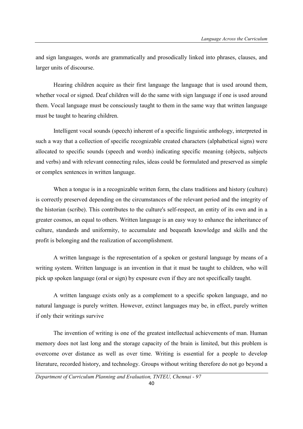and sign languages, words are grammatically and prosodically linked into phrases, clauses, and larger units of discourse.

Hearing children acquire as their first language the language that is used around them, whether vocal or signed. Deaf children will do the same with sign language if one is used around them. Vocal language must be consciously taught to them in the same way that written language must be taught to hearing children.

Intelligent vocal sounds (speech) inherent of a specific linguistic anthology, interpreted in such a way that a collection of specific recognizable created characters (alphabetical signs) were allocated to specific sounds (speech and words) indicating specific meaning (objects, subjects and verbs) and with relevant connecting rules, ideas could be formulated and preserved as simple or complex sentences in written language.

When a tongue is in a recognizable written form, the clans traditions and history (culture) is correctly preserved depending on the circumstances of the relevant period and the integrity of the historian (scribe). This contributes to the culture's self-respect, an entity of its own and in a greater cosmos, an equal to others. Written language is an easy way to enhance the inheritance of culture, standards and uniformity, to accumulate and bequeath knowledge and skills and the profit is belonging and the realization of accomplishment.

A written language is the representation of a spoken or gestural language by means of a writing system. Written language is an invention in that it must be taught to children, who will pick up spoken language (oral or sign) by exposure even if they are not specifically taught.

A written language exists only as a complement to a specific spoken language, and no natural language is purely written. However, extinct languages may be, in effect, purely written if only their writings survive

The invention of writing is one of the greatest intellectual achievements of man. Human memory does not last long and the storage capacity of the brain is limited, but this problem is overcome over distance as well as over time. Writing is essential for a people to develop literature, recorded history, and technology. Groups without writing therefore do not go beyond a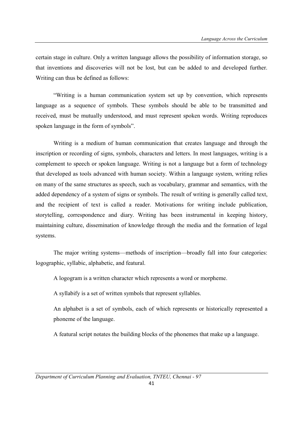certain stage in culture. Only a written language allows the possibility of information storage, so that inventions and discoveries will not be lost, but can be added to and developed further. Writing can thus be defined as follows:

"Writing is a human communication system set up by convention, which represents language as a sequence of symbols. These symbols should be able to be transmitted and received, must be mutually understood, and must represent spoken words. Writing reproduces spoken language in the form of symbols".

Writing is a medium of human communication that creates language and through the inscription or recording of signs, symbols, characters and letters. In most languages, writing is a complement to speech or spoken language. Writing is not a language but a form of technology that developed as tools advanced with human society. Within a language system, writing relies on many of the same structures as speech, such as vocabulary, grammar and semantics, with the added dependency of a system of signs or symbols. The result of writing is generally called text, and the recipient of text is called a reader. Motivations for writing include publication, storytelling, correspondence and diary. Writing has been instrumental in keeping history, maintaining culture, dissemination of knowledge through the media and the formation of legal systems.

The major writing systems—methods of inscription—broadly fall into four categories: logographic, syllabic, alphabetic, and featural.

A logogram is a written character which represents a word or morpheme.

A syllabify is a set of written symbols that represent syllables.

An alphabet is a set of symbols, each of which represents or historically represented a phoneme of the language.

A featural script notates the building blocks of the phonemes that make up a language.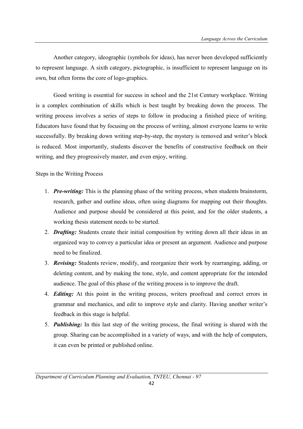Another category, ideographic (symbols for ideas), has never been developed sufficiently to represent language. A sixth category, pictographic, is insufficient to represent language on its own, but often forms the core of logo-graphics.

Good writing is essential for success in school and the 21st Century workplace. Writing is a complex combination of skills which is best taught by breaking down the process. The writing process involves a series of steps to follow in producing a finished piece of writing. Educators have found that by focusing on the process of writing, almost everyone learns to write successfully. By breaking down writing step-by-step, the mystery is removed and writer's block is reduced. Most importantly, students discover the benefits of constructive feedback on their writing, and they progressively master, and even enjoy, writing.

Steps in the Writing Process

- 1. **Pre-writing:** This is the planning phase of the writing process, when students brainstorm, research, gather and outline ideas, often using diagrams for mapping out their thoughts. Audience and purpose should be considered at this point, and for the older students, a working thesis statement needs to be started.
- 2. *Drafting:* Students create their initial composition by writing down all their ideas in an organized way to convey a particular idea or present an argument. Audience and purpose need to be finalized.
- 3. Revising: Students review, modify, and reorganize their work by rearranging, adding, or deleting content, and by making the tone, style, and content appropriate for the intended audience. The goal of this phase of the writing process is to improve the draft.
- 4. *Editing*: At this point in the writing process, writers proofread and correct errors in grammar and mechanics, and edit to improve style and clarity. Having another writer's feedback in this stage is helpful.
- 5. Publishing: In this last step of the writing process, the final writing is shared with the group. Sharing can be accomplished in a variety of ways, and with the help of computers, it can even be printed or published online.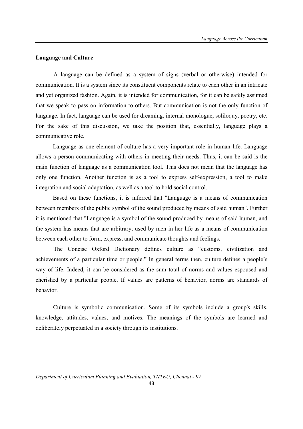## Language and Culture

A language can be defined as a system of signs (verbal or otherwise) intended for communication. It is a system since its constituent components relate to each other in an intricate and yet organized fashion. Again, it is intended for communication, for it can be safely assumed that we speak to pass on information to others. But communication is not the only function of language. In fact, language can be used for dreaming, internal monologue, soliloquy, poetry, etc. For the sake of this discussion, we take the position that, essentially, language plays a communicative role.

Language as one element of culture has a very important role in human life. Language allows a person communicating with others in meeting their needs. Thus, it can be said is the main function of language as a communication tool. This does not mean that the language has only one function. Another function is as a tool to express self-expression, a tool to make integration and social adaptation, as well as a tool to hold social control.

Based on these functions, it is inferred that "Language is a means of communication between members of the public symbol of the sound produced by means of said human". Further it is mentioned that "Language is a symbol of the sound produced by means of said human, and the system has means that are arbitrary; used by men in her life as a means of communication between each other to form, express, and communicate thoughts and feelings.

The Concise Oxford Dictionary defines culture as "customs, civilization and achievements of a particular time or people." In general terms then, culture defines a people's way of life. Indeed, it can be considered as the sum total of norms and values espoused and cherished by a particular people. If values are patterns of behavior, norms are standards of behavior.

Culture is symbolic communication. Some of its symbols include a group's skills, knowledge, attitudes, values, and motives. The meanings of the symbols are learned and deliberately perpetuated in a society through its institutions.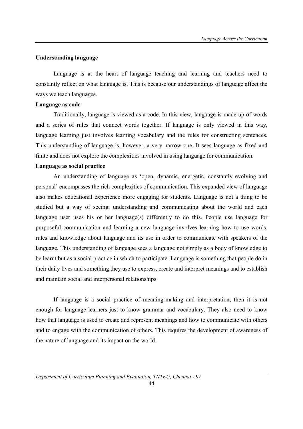## Understanding language

Language is at the heart of language teaching and learning and teachers need to constantly reflect on what language is. This is because our understandings of language affect the ways we teach languages.

### Language as code

Traditionally, language is viewed as a code. In this view, language is made up of words and a series of rules that connect words together. If language is only viewed in this way, language learning just involves learning vocabulary and the rules for constructing sentences. This understanding of language is, however, a very narrow one. It sees language as fixed and finite and does not explore the complexities involved in using language for communication.

#### Language as social practice

An understanding of language as 'open, dynamic, energetic, constantly evolving and personal' encompasses the rich complexities of communication. This expanded view of language also makes educational experience more engaging for students. Language is not a thing to be studied but a way of seeing, understanding and communicating about the world and each language user uses his or her language(s) differently to do this. People use language for purposeful communication and learning a new language involves learning how to use words, rules and knowledge about language and its use in order to communicate with speakers of the language. This understanding of language sees a language not simply as a body of knowledge to be learnt but as a social practice in which to participate. Language is something that people do in their daily lives and something they use to express, create and interpret meanings and to establish and maintain social and interpersonal relationships.

If language is a social practice of meaning-making and interpretation, then it is not enough for language learners just to know grammar and vocabulary. They also need to know how that language is used to create and represent meanings and how to communicate with others and to engage with the communication of others. This requires the development of awareness of the nature of language and its impact on the world.

Department of Curriculum Planning and Evaluation, TNTEU, Chennai - 97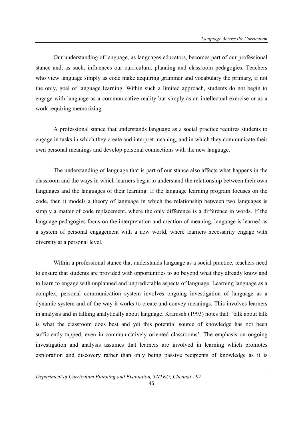Our understanding of language, as languages educators, becomes part of our professional stance and, as such, influences our curriculum, planning and classroom pedagogies. Teachers who view language simply as code make acquiring grammar and vocabulary the primary, if not the only, goal of language learning. Within such a limited approach, students do not begin to engage with language as a communicative reality but simply as an intellectual exercise or as a work requiring memorizing.

A professional stance that understands language as a social practice requires students to engage in tasks in which they create and interpret meaning, and in which they communicate their own personal meanings and develop personal connections with the new language.

The understanding of language that is part of our stance also affects what happens in the classroom and the ways in which learners begin to understand the relationship between their own languages and the languages of their learning. If the language learning program focuses on the code, then it models a theory of language in which the relationship between two languages is simply a matter of code replacement, where the only difference is a difference in words. If the language pedagogies focus on the interpretation and creation of meaning, language is learned as a system of personal engagement with a new world, where learners necessarily engage with diversity at a personal level.

Within a professional stance that understands language as a social practice, teachers need to ensure that students are provided with opportunities to go beyond what they already know and to learn to engage with unplanned and unpredictable aspects of language. Learning language as a complex, personal communication system involves ongoing investigation of language as a dynamic system and of the way it works to create and convey meanings. This involves learners in analysis and in talking analytically about language. Kramsch (1993) notes that: 'talk about talk is what the classroom does best and yet this potential source of knowledge has not been sufficiently tapped, even in communicatively oriented classrooms'. The emphasis on ongoing investigation and analysis assumes that learners are involved in learning which promotes exploration and discovery rather than only being passive recipients of knowledge as it is

Department of Curriculum Planning and Evaluation, TNTEU, Chennai - 97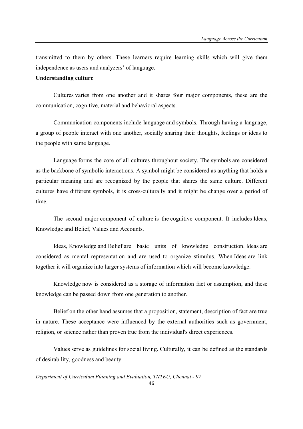transmitted to them by others. These learners require learning skills which will give them independence as users and analyzers' of language.

#### Understanding culture

Cultures varies from one another and it shares four major components, these are the communication, cognitive, material and behavioral aspects.

Communication components include language and symbols. Through having a language, a group of people interact with one another, socially sharing their thoughts, feelings or ideas to the people with same language.

Language forms the core of all cultures throughout society. The symbols are considered as the backbone of symbolic interactions. A symbol might be considered as anything that holds a particular meaning and are recognized by the people that shares the same culture. Different cultures have different symbols, it is cross-culturally and it might be change over a period of time.

The second major component of culture is the cognitive component. It includes Ideas, Knowledge and Belief, Values and Accounts.

Ideas, Knowledge and Belief are basic units of knowledge construction. Ideas are considered as mental representation and are used to organize stimulus. When Ideas are link together it will organize into larger systems of information which will become knowledge.

Knowledge now is considered as a storage of information fact or assumption, and these knowledge can be passed down from one generation to another.

Belief on the other hand assumes that a proposition, statement, description of fact are true in nature. These acceptance were influenced by the external authorities such as government, religion, or science rather than proven true from the individual's direct experiences.

Values serve as guidelines for social living. Culturally, it can be defined as the standards of desirability, goodness and beauty.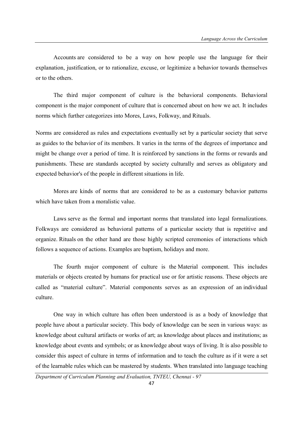Accounts are considered to be a way on how people use the language for their explanation, justification, or to rationalize, excuse, or legitimize a behavior towards themselves or to the others.

The third major component of culture is the behavioral components. Behavioral component is the major component of culture that is concerned about on how we act. It includes norms which further categorizes into Mores, Laws, Folkway, and Rituals.

Norms are considered as rules and expectations eventually set by a particular society that serve as guides to the behavior of its members. It varies in the terms of the degrees of importance and might be change over a period of time. It is reinforced by sanctions in the forms or rewards and punishments. These are standards accepted by society culturally and serves as obligatory and expected behavior's of the people in different situations in life.

Mores are kinds of norms that are considered to be as a customary behavior patterns which have taken from a moralistic value.

Laws serve as the formal and important norms that translated into legal formalizations. Folkways are considered as behavioral patterns of a particular society that is repetitive and organize. Rituals on the other hand are those highly scripted ceremonies of interactions which follows a sequence of actions. Examples are baptism, holidays and more.

The fourth major component of culture is the Material component. This includes materials or objects created by humans for practical use or for artistic reasons. These objects are called as "material culture". Material components serves as an expression of an individual culture.

One way in which culture has often been understood is as a body of knowledge that people have about a particular society. This body of knowledge can be seen in various ways: as knowledge about cultural artifacts or works of art; as knowledge about places and institutions; as knowledge about events and symbols; or as knowledge about ways of living. It is also possible to consider this aspect of culture in terms of information and to teach the culture as if it were a set of the learnable rules which can be mastered by students. When translated into language teaching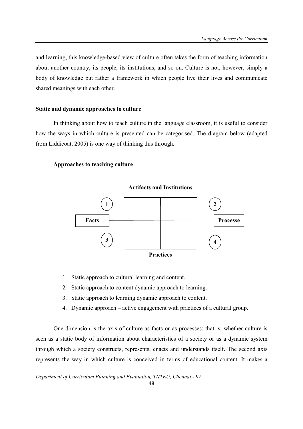and learning, this knowledge-based view of culture often takes the form of teaching information about another country, its people, its institutions, and so on. Culture is not, however, simply a body of knowledge but rather a framework in which people live their lives and communicate shared meanings with each other.

#### Static and dynamic approaches to culture

In thinking about how to teach culture in the language classroom, it is useful to consider how the ways in which culture is presented can be categorised. The diagram below (adapted from Liddicoat, 2005) is one way of thinking this through.

#### Approaches to teaching culture



- 1. Static approach to cultural learning and content.
- 2. Static approach to content dynamic approach to learning.
- 3. Static approach to learning dynamic approach to content.
- 4. Dynamic approach active engagement with practices of a cultural group.

One dimension is the axis of culture as facts or as processes: that is, whether culture is seen as a static body of information about characteristics of a society or as a dynamic system through which a society constructs, represents, enacts and understands itself. The second axis represents the way in which culture is conceived in terms of educational content. It makes a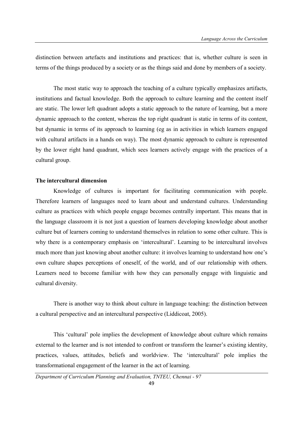distinction between artefacts and institutions and practices: that is, whether culture is seen in terms of the things produced by a society or as the things said and done by members of a society.

The most static way to approach the teaching of a culture typically emphasizes artifacts, institutions and factual knowledge. Both the approach to culture learning and the content itself are static. The lower left quadrant adopts a static approach to the nature of learning, but a more dynamic approach to the content, whereas the top right quadrant is static in terms of its content, but dynamic in terms of its approach to learning (eg as in activities in which learners engaged with cultural artifacts in a hands on way). The most dynamic approach to culture is represented by the lower right hand quadrant, which sees learners actively engage with the practices of a cultural group.

#### The intercultural dimension

Knowledge of cultures is important for facilitating communication with people. Therefore learners of languages need to learn about and understand cultures. Understanding culture as practices with which people engage becomes centrally important. This means that in the language classroom it is not just a question of learners developing knowledge about another culture but of learners coming to understand themselves in relation to some other culture. This is why there is a contemporary emphasis on 'intercultural'. Learning to be intercultural involves much more than just knowing about another culture: it involves learning to understand how one's own culture shapes perceptions of oneself, of the world, and of our relationship with others. Learners need to become familiar with how they can personally engage with linguistic and cultural diversity.

There is another way to think about culture in language teaching: the distinction between a cultural perspective and an intercultural perspective (Liddicoat, 2005).

This 'cultural' pole implies the development of knowledge about culture which remains external to the learner and is not intended to confront or transform the learner's existing identity, practices, values, attitudes, beliefs and worldview. The 'intercultural' pole implies the transformational engagement of the learner in the act of learning.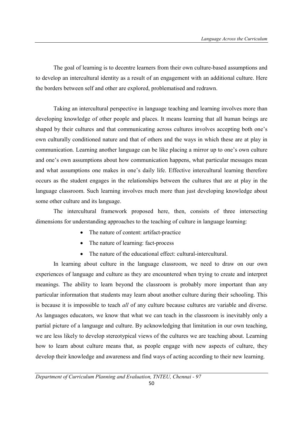The goal of learning is to decentre learners from their own culture-based assumptions and to develop an intercultural identity as a result of an engagement with an additional culture. Here the borders between self and other are explored, problematised and redrawn.

Taking an intercultural perspective in language teaching and learning involves more than developing knowledge of other people and places. It means learning that all human beings are shaped by their cultures and that communicating across cultures involves accepting both one's own culturally conditioned nature and that of others and the ways in which these are at play in communication. Learning another language can be like placing a mirror up to one's own culture and one's own assumptions about how communication happens, what particular messages mean and what assumptions one makes in one's daily life. Effective intercultural learning therefore occurs as the student engages in the relationships between the cultures that are at play in the language classroom. Such learning involves much more than just developing knowledge about some other culture and its language.

The intercultural framework proposed here, then, consists of three intersecting dimensions for understanding approaches to the teaching of culture in language learning:

- The nature of content: artifact-practice
- The nature of learning: fact-process
- The nature of the educational effect: cultural-intercultural.

In learning about culture in the language classroom, we need to draw on our own experiences of language and culture as they are encountered when trying to create and interpret meanings. The ability to learn beyond the classroom is probably more important than any particular information that students may learn about another culture during their schooling. This is because it is impossible to teach all of any culture because cultures are variable and diverse. As languages educators, we know that what we can teach in the classroom is inevitably only a partial picture of a language and culture. By acknowledging that limitation in our own teaching, we are less likely to develop stereotypical views of the cultures we are teaching about. Learning how to learn about culture means that, as people engage with new aspects of culture, they develop their knowledge and awareness and find ways of acting according to their new learning.

Department of Curriculum Planning and Evaluation, TNTEU, Chennai - 97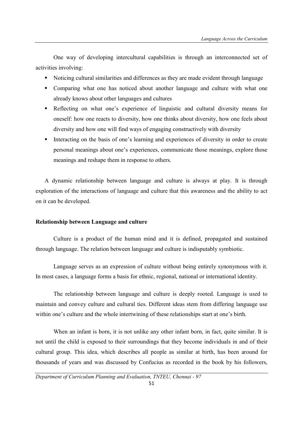One way of developing intercultural capabilities is through an interconnected set of activities involving:

- Noticing cultural similarities and differences as they are made evident through language
- Comparing what one has noticed about another language and culture with what one already knows about other languages and cultures
- Reflecting on what one's experience of linguistic and cultural diversity means for oneself: how one reacts to diversity, how one thinks about diversity, how one feels about diversity and how one will find ways of engaging constructively with diversity
- Interacting on the basis of one's learning and experiences of diversity in order to create personal meanings about one's experiences, communicate those meanings, explore those meanings and reshape them in response to others.

A dynamic relationship between language and culture is always at play. It is through exploration of the interactions of language and culture that this awareness and the ability to act on it can be developed.

### Relationship between Language and culture

Culture is a product of the human mind and it is defined, propagated and sustained through language. The relation between language and culture is indisputably symbiotic.

Language serves as an expression of culture without being entirely synonymous with it. In most cases, a language forms a basis for ethnic, regional, national or international identity.

The relationship between language and culture is deeply rooted. Language is used to maintain and convey culture and cultural ties. Different ideas stem from differing language use within one's culture and the whole intertwining of these relationships start at one's birth.

When an infant is born, it is not unlike any other infant born, in fact, quite similar. It is not until the child is exposed to their surroundings that they become individuals in and of their cultural group. This idea, which describes all people as similar at birth, has been around for thousands of years and was discussed by Confucius as recorded in the book by his followers,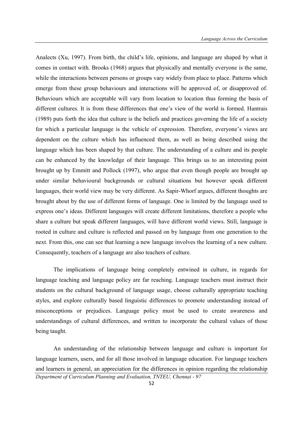Analects (Xu, 1997). From birth, the child's life, opinions, and language are shaped by what it comes in contact with. Brooks (1968) argues that physically and mentally everyone is the same, while the interactions between persons or groups vary widely from place to place. Patterns which emerge from these group behaviours and interactions will be approved of, or disapproved of. Behaviours which are acceptable will vary from location to location thus forming the basis of different cultures. It is from these differences that one's view of the world is formed. Hantrais (1989) puts forth the idea that culture is the beliefs and practices governing the life of a society for which a particular language is the vehicle of expression. Therefore, everyone's views are dependent on the culture which has influenced them, as well as being described using the language which has been shaped by that culture. The understanding of a culture and its people can be enhanced by the knowledge of their language. This brings us to an interesting point brought up by Emmitt and Pollock (1997), who argue that even though people are brought up under similar behavioural backgrounds or cultural situations but however speak different languages, their world view may be very different. As Sapir-Whorf argues, different thoughts are brought about by the use of different forms of language. One is limited by the language used to express one's ideas. Different languages will create different limitations, therefore a people who share a culture but speak different languages, will have different world views. Still, language is rooted in culture and culture is reflected and passed on by language from one generation to the next. From this, one can see that learning a new language involves the learning of a new culture. Consequently, teachers of a language are also teachers of culture.

The implications of language being completely entwined in culture, in regards for language teaching and language policy are far reaching. Language teachers must instruct their students on the cultural background of language usage, choose culturally appropriate teaching styles, and explore culturally based linguistic differences to promote understanding instead of misconceptions or prejudices. Language policy must be used to create awareness and understandings of cultural differences, and written to incorporate the cultural values of those being taught.

Department of Curriculum Planning and Evaluation, TNTEU, Chennai - 97 An understanding of the relationship between language and culture is important for language learners, users, and for all those involved in language education. For language teachers and learners in general, an appreciation for the differences in opinion regarding the relationship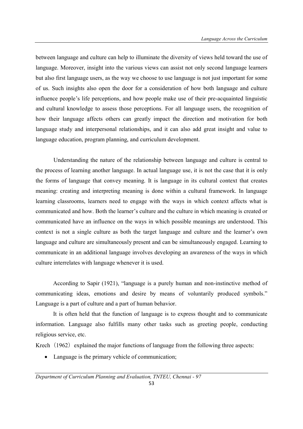between language and culture can help to illuminate the diversity of views held toward the use of language. Moreover, insight into the various views can assist not only second language learners but also first language users, as the way we choose to use language is not just important for some of us. Such insights also open the door for a consideration of how both language and culture influence people's life perceptions, and how people make use of their pre-acquainted linguistic and cultural knowledge to assess those perceptions. For all language users, the recognition of how their language affects others can greatly impact the direction and motivation for both language study and interpersonal relationships, and it can also add great insight and value to language education, program planning, and curriculum development.

Understanding the nature of the relationship between language and culture is central to the process of learning another language. In actual language use, it is not the case that it is only the forms of language that convey meaning. It is language in its cultural context that creates meaning: creating and interpreting meaning is done within a cultural framework. In language learning classrooms, learners need to engage with the ways in which context affects what is communicated and how. Both the learner's culture and the culture in which meaning is created or communicated have an influence on the ways in which possible meanings are understood. This context is not a single culture as both the target language and culture and the learner's own language and culture are simultaneously present and can be simultaneously engaged. Learning to communicate in an additional language involves developing an awareness of the ways in which culture interrelates with language whenever it is used.

According to Sapir (1921), "language is a purely human and non-instinctive method of communicating ideas, emotions and desire by means of voluntarily produced symbols." Language is a part of culture and a part of human behavior.

It is often held that the function of language is to express thought and to communicate information. Language also fulfills many other tasks such as greeting people, conducting religious service, etc.

Krech  $(1962)$  explained the major functions of language from the following three aspects:

• Language is the primary vehicle of communication;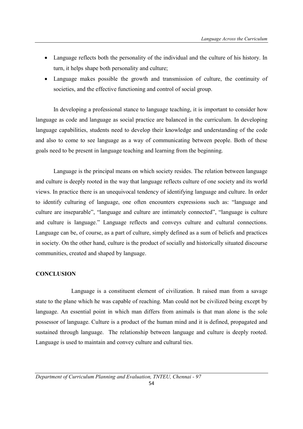- Language reflects both the personality of the individual and the culture of his history. In turn, it helps shape both personality and culture;
- Language makes possible the growth and transmission of culture, the continuity of societies, and the effective functioning and control of social group.

In developing a professional stance to language teaching, it is important to consider how language as code and language as social practice are balanced in the curriculum. In developing language capabilities, students need to develop their knowledge and understanding of the code and also to come to see language as a way of communicating between people. Both of these goals need to be present in language teaching and learning from the beginning.

Language is the principal means on which society resides. The relation between language and culture is deeply rooted in the way that language reflects culture of one society and its world views. In practice there is an unequivocal tendency of identifying language and culture. In order to identify culturing of language, one often encounters expressions such as: "language and culture are inseparable", "language and culture are intimately connected", "language is culture and culture is language." Language reflects and conveys culture and cultural connections. Language can be, of course, as a part of culture, simply defined as a sum of beliefs and practices in society. On the other hand, culture is the product of socially and historically situated discourse communities, created and shaped by language.

## **CONCLUSION**

Language is a constituent element of civilization. It raised man from a savage state to the plane which he was capable of reaching. Man could not be civilized being except by language. An essential point in which man differs from animals is that man alone is the sole possessor of language. Culture is a product of the human mind and it is defined, propagated and sustained through language. The relationship between language and culture is deeply rooted. Language is used to maintain and convey culture and cultural ties.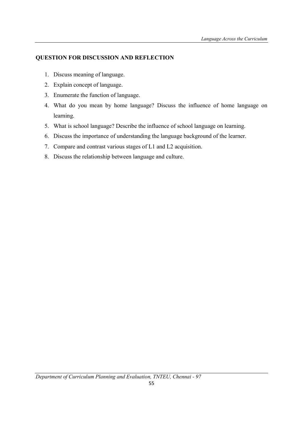# QUESTION FOR DISCUSSION AND REFLECTION

- 1. Discuss meaning of language.
- 2. Explain concept of language.
- 3. Enumerate the function of language.
- 4. What do you mean by home language? Discuss the influence of home language on learning.
- 5. What is school language? Describe the influence of school language on learning.
- 6. Discuss the importance of understanding the language background of the learner.
- 7. Compare and contrast various stages of L1 and L2 acquisition.
- 8. Discuss the relationship between language and culture.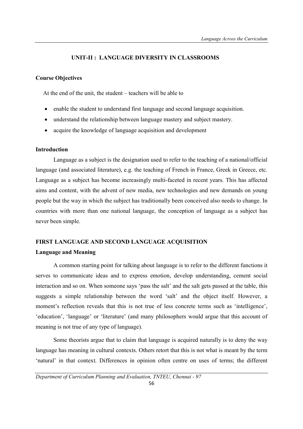## UNIT-II : LANGUAGE DIVERSITY IN CLASSROOMS

#### Course Objectives

At the end of the unit, the student – teachers will be able to

- enable the student to understand first language and second language acquisition.
- understand the relationship between language mastery and subject mastery.
- acquire the knowledge of language acquisition and development

## Introduction

Language as a subject is the designation used to refer to the teaching of a national/official language (and associated literature), e.g. the teaching of French in France, Greek in Greece, etc. Language as a subject has become increasingly multi-faceted in recent years. This has affected aims and content, with the advent of new media, new technologies and new demands on young people but the way in which the subject has traditionally been conceived also needs to change. In countries with more than one national language, the conception of language as a subject has never been simple.

# FIRST LANGUAGE AND SECOND LANGUAGE ACQUISITION

## Language and Meaning

A common starting point for talking about language is to refer to the different functions it serves to communicate ideas and to express emotion, develop understanding, cement social interaction and so on. When someone says 'pass the salt' and the salt gets passed at the table, this suggests a simple relationship between the word 'salt' and the object itself. However, a moment's reflection reveals that this is not true of less concrete terms such as 'intelligence', 'education', 'language' or 'literature' (and many philosophers would argue that this account of meaning is not true of any type of language).

Some theorists argue that to claim that language is acquired naturally is to deny the way language has meaning in cultural contexts. Others retort that this is not what is meant by the term 'natural' in that context. Differences in opinion often centre on uses of terms; the different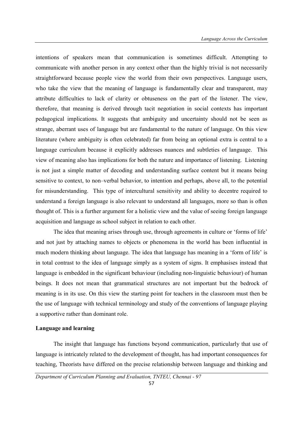intentions of speakers mean that communication is sometimes difficult. Attempting to communicate with another person in any context other than the highly trivial is not necessarily straightforward because people view the world from their own perspectives. Language users, who take the view that the meaning of language is fundamentally clear and transparent, may attribute difficulties to lack of clarity or obtuseness on the part of the listener. The view, therefore, that meaning is derived through tacit negotiation in social contexts has important pedagogical implications. It suggests that ambiguity and uncertainty should not be seen as strange, aberrant uses of language but are fundamental to the nature of language. On this view literature (where ambiguity is often celebrated) far from being an optional extra is central to a language curriculum because it explicitly addresses nuances and subtleties of language. This view of meaning also has implications for both the nature and importance of listening. Listening is not just a simple matter of decoding and understanding surface content but it means being sensitive to context, to non–verbal behavior, to intention and perhaps, above all, to the potential for misunderstanding. This type of intercultural sensitivity and ability to decentre required to understand a foreign language is also relevant to understand all languages, more so than is often thought of. This is a further argument for a holistic view and the value of seeing foreign language acquisition and language as school subject in relation to each other.

The idea that meaning arises through use, through agreements in culture or 'forms of life' and not just by attaching names to objects or phenomena in the world has been influential in much modern thinking about language. The idea that language has meaning in a 'form of life' is in total contrast to the idea of language simply as a system of signs. It emphasises instead that language is embedded in the significant behaviour (including non-linguistic behaviour) of human beings. It does not mean that grammatical structures are not important but the bedrock of meaning is in its use. On this view the starting point for teachers in the classroom must then be the use of language with technical terminology and study of the conventions of language playing a supportive rather than dominant role.

#### Language and learning

The insight that language has functions beyond communication, particularly that use of language is intricately related to the development of thought, has had important consequences for teaching, Theorists have differed on the precise relationship between language and thinking and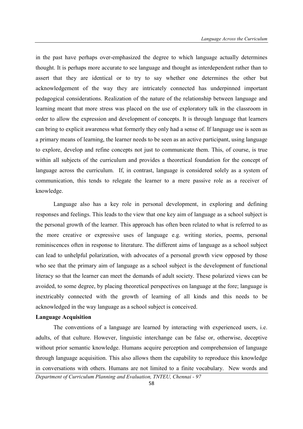in the past have perhaps over-emphasized the degree to which language actually determines thought. It is perhaps more accurate to see language and thought as interdependent rather than to assert that they are identical or to try to say whether one determines the other but acknowledgement of the way they are intricately connected has underpinned important pedagogical considerations. Realization of the nature of the relationship between language and learning meant that more stress was placed on the use of exploratory talk in the classroom in order to allow the expression and development of concepts. It is through language that learners can bring to explicit awareness what formerly they only had a sense of. If language use is seen as a primary means of learning, the learner needs to be seen as an active participant, using language to explore, develop and refine concepts not just to communicate them. This, of course, is true within all subjects of the curriculum and provides a theoretical foundation for the concept of language across the curriculum. If, in contrast, language is considered solely as a system of communication, this tends to relegate the learner to a mere passive role as a receiver of knowledge.

Language also has a key role in personal development, in exploring and defining responses and feelings. This leads to the view that one key aim of language as a school subject is the personal growth of the learner. This approach has often been related to what is referred to as the more creative or expressive uses of language e.g. writing stories, poems, personal reminiscences often in response to literature. The different aims of language as a school subject can lead to unhelpful polarization, with advocates of a personal growth view opposed by those who see that the primary aim of language as a school subject is the development of functional literacy so that the learner can meet the demands of adult society. These polarized views can be avoided, to some degree, by placing theoretical perspectives on language at the fore; language is inextricably connected with the growth of learning of all kinds and this needs to be acknowledged in the way language as a school subject is conceived.

#### Language Acquisition

Department of Curriculum Planning and Evaluation, TNTEU, Chennai - 97 The conventions of a language are learned by interacting with experienced users, i.e. adults, of that culture. However, linguistic interchange can be false or, otherwise, deceptive without prior semantic knowledge. Humans acquire perception and comprehension of language through language acquisition. This also allows them the capability to reproduce this knowledge in conversations with others. Humans are not limited to a finite vocabulary. New words and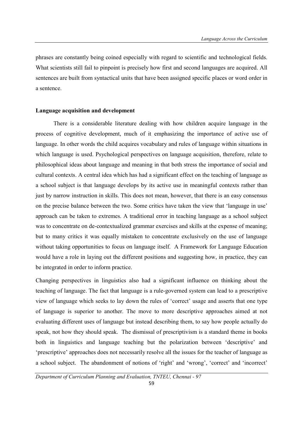phrases are constantly being coined especially with regard to scientific and technological fields. What scientists still fail to pinpoint is precisely how first and second languages are acquired. All sentences are built from syntactical units that have been assigned specific places or word order in a sentence.

#### Language acquisition and development

There is a considerable literature dealing with how children acquire language in the process of cognitive development, much of it emphasizing the importance of active use of language. In other words the child acquires vocabulary and rules of language within situations in which language is used. Psychological perspectives on language acquisition, therefore, relate to philosophical ideas about language and meaning in that both stress the importance of social and cultural contexts. A central idea which has had a significant effect on the teaching of language as a school subject is that language develops by its active use in meaningful contexts rather than just by narrow instruction in skills. This does not mean, however, that there is an easy consensus on the precise balance between the two. Some critics have taken the view that 'language in use' approach can be taken to extremes. A traditional error in teaching language as a school subject was to concentrate on de-contextualized grammar exercises and skills at the expense of meaning; but to many critics it was equally mistaken to concentrate exclusively on the use of language without taking opportunities to focus on language itself. A Framework for Language Education would have a role in laying out the different positions and suggesting how, in practice, they can be integrated in order to inform practice.

Changing perspectives in linguistics also had a significant influence on thinking about the teaching of language. The fact that language is a rule-governed system can lead to a prescriptive view of language which seeks to lay down the rules of 'correct' usage and asserts that one type of language is superior to another. The move to more descriptive approaches aimed at not evaluating different uses of language but instead describing them, to say how people actually do speak, not how they should speak. The dismissal of prescriptivism is a standard theme in books both in linguistics and language teaching but the polarization between 'descriptive' and 'prescriptive' approaches does not necessarily resolve all the issues for the teacher of language as a school subject. The abandonment of notions of 'right' and 'wrong', 'correct' and 'incorrect'

Department of Curriculum Planning and Evaluation, TNTEU, Chennai - 97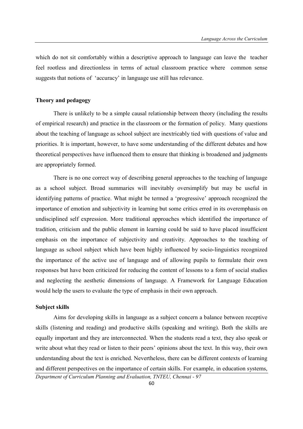which do not sit comfortably within a descriptive approach to language can leave the teacher feel rootless and directionless in terms of actual classroom practice where common sense suggests that notions of 'accuracy' in language use still has relevance.

## Theory and pedagogy

 There is unlikely to be a simple causal relationship between theory (including the results of empirical research) and practice in the classroom or the formation of policy. Many questions about the teaching of language as school subject are inextricably tied with questions of value and priorities. It is important, however, to have some understanding of the different debates and how theoretical perspectives have influenced them to ensure that thinking is broadened and judgments are appropriately formed.

There is no one correct way of describing general approaches to the teaching of language as a school subject. Broad summaries will inevitably oversimplify but may be useful in identifying patterns of practice. What might be termed a 'progressive' approach recognized the importance of emotion and subjectivity in learning but some critics erred in its overemphasis on undisciplined self expression. More traditional approaches which identified the importance of tradition, criticism and the public element in learning could be said to have placed insufficient emphasis on the importance of subjectivity and creativity. Approaches to the teaching of language as school subject which have been highly influenced by socio-linguistics recognized the importance of the active use of language and of allowing pupils to formulate their own responses but have been criticized for reducing the content of lessons to a form of social studies and neglecting the aesthetic dimensions of language. A Framework for Language Education would help the users to evaluate the type of emphasis in their own approach.

#### Subject skills

Department of Curriculum Planning and Evaluation, TNTEU, Chennai - 97 Aims for developing skills in language as a subject concern a balance between receptive skills (listening and reading) and productive skills (speaking and writing). Both the skills are equally important and they are interconnected. When the students read a text, they also speak or write about what they read or listen to their peers' opinions about the text. In this way, their own understanding about the text is enriched. Nevertheless, there can be different contexts of learning and different perspectives on the importance of certain skills. For example, in education systems,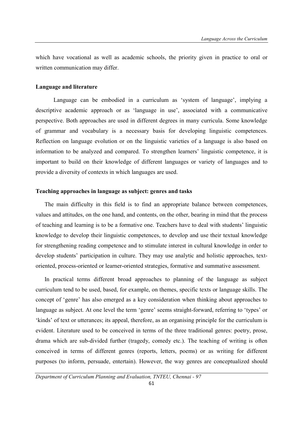which have vocational as well as academic schools, the priority given in practice to oral or written communication may differ.

#### Language and literature

Language can be embodied in a curriculum as 'system of language', implying a descriptive academic approach or as 'language in use', associated with a communicative perspective. Both approaches are used in different degrees in many curricula. Some knowledge of grammar and vocabulary is a necessary basis for developing linguistic competences. Reflection on language evolution or on the linguistic varieties of a language is also based on information to be analyzed and compared. To strengthen learners' linguistic competence, it is important to build on their knowledge of different languages or variety of languages and to provide a diversity of contexts in which languages are used.

#### Teaching approaches in language as subject: genres and tasks

The main difficulty in this field is to find an appropriate balance between competences, values and attitudes, on the one hand, and contents, on the other, bearing in mind that the process of teaching and learning is to be a formative one. Teachers have to deal with students' linguistic knowledge to develop their linguistic competences, to develop and use their textual knowledge for strengthening reading competence and to stimulate interest in cultural knowledge in order to develop students' participation in culture. They may use analytic and holistic approaches, textoriented, process-oriented or learner-oriented strategies, formative and summative assessment.

In practical terms different broad approaches to planning of the language as subject curriculum tend to be used, based, for example, on themes, specific texts or language skills. The concept of 'genre' has also emerged as a key consideration when thinking about approaches to language as subject. At one level the term 'genre' seems straight-forward, referring to 'types' or 'kinds' of text or utterances; its appeal, therefore, as an organising principle for the curriculum is evident. Literature used to be conceived in terms of the three traditional genres: poetry, prose, drama which are sub-divided further (tragedy, comedy etc.). The teaching of writing is often conceived in terms of different genres (reports, letters, poems) or as writing for different purposes (to inform, persuade, entertain). However, the way genres are conceptualized should

Department of Curriculum Planning and Evaluation, TNTEU, Chennai - 97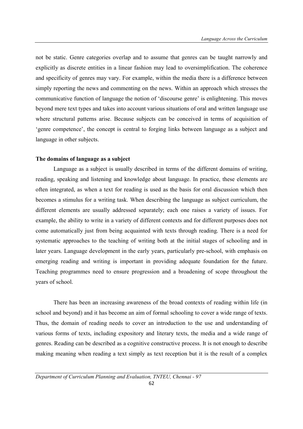not be static. Genre categories overlap and to assume that genres can be taught narrowly and explicitly as discrete entities in a linear fashion may lead to oversimplification. The coherence and specificity of genres may vary. For example, within the media there is a difference between simply reporting the news and commenting on the news. Within an approach which stresses the communicative function of language the notion of 'discourse genre' is enlightening. This moves beyond mere text types and takes into account various situations of oral and written language use where structural patterns arise. Because subjects can be conceived in terms of acquisition of 'genre competence', the concept is central to forging links between language as a subject and language in other subjects.

#### The domains of language as a subject

Language as a subject is usually described in terms of the different domains of writing, reading, speaking and listening and knowledge about language. In practice, these elements are often integrated, as when a text for reading is used as the basis for oral discussion which then becomes a stimulus for a writing task. When describing the language as subject curriculum, the different elements are usually addressed separately; each one raises a variety of issues. For example, the ability to write in a variety of different contexts and for different purposes does not come automatically just from being acquainted with texts through reading. There is a need for systematic approaches to the teaching of writing both at the initial stages of schooling and in later years. Language development in the early years, particularly pre-school, with emphasis on emerging reading and writing is important in providing adequate foundation for the future. Teaching programmes need to ensure progression and a broadening of scope throughout the years of school.

There has been an increasing awareness of the broad contexts of reading within life (in school and beyond) and it has become an aim of formal schooling to cover a wide range of texts. Thus, the domain of reading needs to cover an introduction to the use and understanding of various forms of texts, including expository and literary texts, the media and a wide range of genres. Reading can be described as a cognitive constructive process. It is not enough to describe making meaning when reading a text simply as text reception but it is the result of a complex

Department of Curriculum Planning and Evaluation, TNTEU, Chennai - 97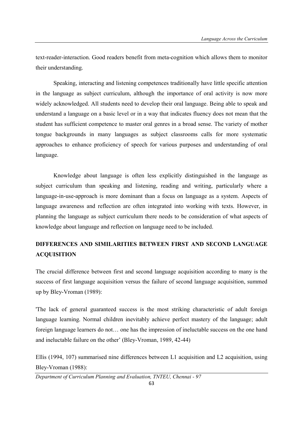text-reader-interaction. Good readers benefit from meta-cognition which allows them to monitor their understanding.

Speaking, interacting and listening competences traditionally have little specific attention in the language as subject curriculum, although the importance of oral activity is now more widely acknowledged. All students need to develop their oral language. Being able to speak and understand a language on a basic level or in a way that indicates fluency does not mean that the student has sufficient competence to master oral genres in a broad sense. The variety of mother tongue backgrounds in many languages as subject classrooms calls for more systematic approaches to enhance proficiency of speech for various purposes and understanding of oral language.

Knowledge about language is often less explicitly distinguished in the language as subject curriculum than speaking and listening, reading and writing, particularly where a language-in-use-approach is more dominant than a focus on language as a system. Aspects of language awareness and reflection are often integrated into working with texts. However, in planning the language as subject curriculum there needs to be consideration of what aspects of knowledge about language and reflection on language need to be included.

# DIFFERENCES AND SIMILARITIES BETWEEN FIRST AND SECOND LANGUAGE ACQUISITION

The crucial difference between first and second language acquisition according to many is the success of first language acquisition versus the failure of second language acquisition, summed up by Bley-Vroman (1989):

'The lack of general guaranteed success is the most striking characteristic of adult foreign language learning. Normal children inevitably achieve perfect mastery of the language; adult foreign language learners do not… one has the impression of ineluctable success on the one hand and ineluctable failure on the other' (Bley-Vroman, 1989, 42-44)

Ellis (1994, 107) summarised nine differences between L1 acquisition and L2 acquisition, using Bley-Vroman (1988):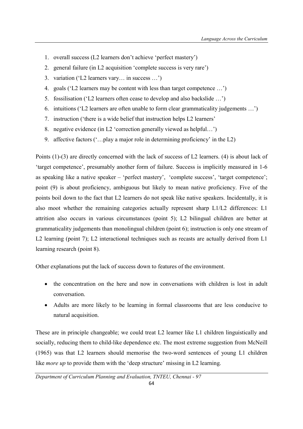- 1. overall success (L2 learners don't achieve 'perfect mastery')
- 2. general failure (in L2 acquisition 'complete success is very rare')
- 3. variation ('L2 learners vary… in success …')
- 4. goals ('L2 learners may be content with less than target competence …')
- 5. fossilisation ('L2 learners often cease to develop and also backslide …')
- 6. intuitions ('L2 learners are often unable to form clear grammaticality judgements …')
- 7. instruction ('there is a wide belief that instruction helps L2 learners'
- 8. negative evidence (in L2 'correction generally viewed as helpful…')
- 9. affective factors ('…play a major role in determining proficiency' in the L2)

Points (1)-(3) are directly concerned with the lack of success of L2 learners. (4) is about lack of 'target competence', presumably another form of failure. Success is implicitly measured in 1-6 as speaking like a native speaker – 'perfect mastery', 'complete success', 'target competence'; point (9) is about proficiency, ambiguous but likely to mean native proficiency. Five of the points boil down to the fact that L2 learners do not speak like native speakers. Incidentally, it is also moot whether the remaining categories actually represent sharp L1/L2 differences: L1 attrition also occurs in various circumstances (point 5); L2 bilingual children are better at grammaticality judgements than monolingual children (point 6); instruction is only one stream of L2 learning (point 7); L2 interactional techniques such as recasts are actually derived from L1 learning research (point 8).

Other explanations put the lack of success down to features of the environment.

- the concentration on the here and now in conversations with children is lost in adult conversation.
- Adults are more likely to be learning in formal classrooms that are less conducive to natural acquisition.

These are in principle changeable; we could treat L2 learner like L1 children linguistically and socially, reducing them to child-like dependence etc. The most extreme suggestion from McNeill (1965) was that L2 learners should memorise the two-word sentences of young L1 children like *more up* to provide them with the 'deep structure' missing in L2 learning.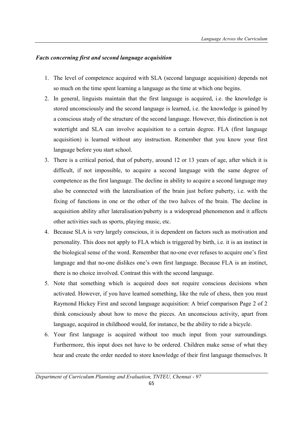## Facts concerning first and second language acquisition

- 1. The level of competence acquired with SLA (second language acquisition) depends not so much on the time spent learning a language as the time at which one begins.
- 2. In general, linguists maintain that the first language is acquired, i.e. the knowledge is stored unconsciously and the second language is learned, i.e. the knowledge is gained by a conscious study of the structure of the second language. However, this distinction is not watertight and SLA can involve acquisition to a certain degree. FLA (first language acquisition) is learned without any instruction. Remember that you know your first language before you start school.
- 3. There is a critical period, that of puberty, around 12 or 13 years of age, after which it is difficult, if not impossible, to acquire a second language with the same degree of competence as the first language. The decline in ability to acquire a second language may also be connected with the lateralisation of the brain just before puberty, i.e. with the fixing of functions in one or the other of the two halves of the brain. The decline in acquisition ability after lateralisation/puberty is a widespread phenomenon and it affects other activities such as sports, playing music, etc.
- 4. Because SLA is very largely conscious, it is dependent on factors such as motivation and personality. This does not apply to FLA which is triggered by birth, i.e. it is an instinct in the biological sense of the word. Remember that no-one ever refuses to acquire one's first language and that no-one dislikes one's own first language. Because FLA is an instinct, there is no choice involved. Contrast this with the second language.
- 5. Note that something which is acquired does not require conscious decisions when activated. However, if you have learned something, like the rule of chess, then you must Raymond Hickey First and second language acquisition: A brief comparison Page 2 of 2 think consciously about how to move the pieces. An unconscious activity, apart from language, acquired in childhood would, for instance, be the ability to ride a bicycle.
- 6. Your first language is acquired without too much input from your surroundings. Furthermore, this input does not have to be ordered. Children make sense of what they hear and create the order needed to store knowledge of their first language themselves. It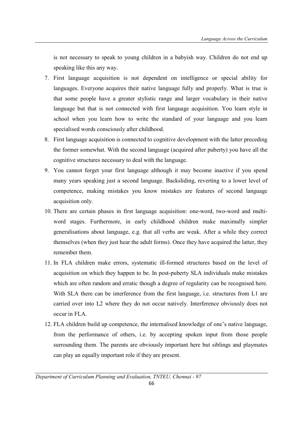is not necessary to speak to young children in a babyish way. Children do not end up speaking like this any way.

- 7. First language acquisition is not dependent on intelligence or special ability for languages. Everyone acquires their native language fully and properly. What is true is that some people have a greater stylistic range and larger vocabulary in their native language but that is not connected with first language acquisition. You learn style in school when you learn how to write the standard of your language and you learn specialised words consciously after childhood.
- 8. First language acquisition is connected to cognitive development with the latter preceding the former somewhat. With the second language (acquired after puberty) you have all the cognitive structures necessary to deal with the language.
- 9. You cannot forget your first language although it may become inactive if you spend many years speaking just a second language. Backsliding, reverting to a lower level of competence, making mistakes you know mistakes are features of second language acquisition only.
- 10. There are certain phases in first language acquisition: one-word, two-word and multiword stages. Furthermore, in early childhood children make maximally simpler generalisations about language, e.g. that all verbs are weak. After a while they correct themselves (when they just hear the adult forms). Once they have acquired the latter, they remember them.
- 11. In FLA children make errors, systematic ill-formed structures based on the level of acquisition on which they happen to be. In post-puberty SLA individuals make mistakes which are often random and erratic though a degree of regularity can be recognised here. With SLA there can be interference from the first language, i.e. structures from L1 are carried over into L2 where they do not occur natively. Interference obviously does not occur in FLA.
- 12. FLA children build up competence, the internalised knowledge of one's native language, from the performance of others, i.e. by accepting spoken input from those people surrounding them. The parents are obviously important here but siblings and playmates can play an equally important role if they are present.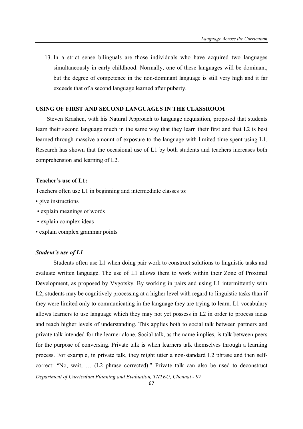13. In a strict sense bilinguals are those individuals who have acquired two languages simultaneously in early childhood. Normally, one of these languages will be dominant, but the degree of competence in the non-dominant language is still very high and it far exceeds that of a second language learned after puberty.

## USING OF FIRST AND SECOND LANGUAGES IN THE CLASSROOM

Steven Krashen, with his Natural Approach to language acquisition, proposed that students learn their second language much in the same way that they learn their first and that L2 is best learned through massive amount of exposure to the language with limited time spent using L1. Research has shown that the occasional use of L1 by both students and teachers increases both comprehension and learning of L2.

#### Teacher's use of L1:

Teachers often use L1 in beginning and intermediate classes to:

- give instructions
- explain meanings of words
- explain complex ideas
- explain complex grammar points

#### Student's use of L1

Students often use L1 when doing pair work to construct solutions to linguistic tasks and evaluate written language. The use of L1 allows them to work within their Zone of Proximal Development, as proposed by Vygotsky. By working in pairs and using L1 intermittently with L2, students may be cognitively processing at a higher level with regard to linguistic tasks than if they were limited only to communicating in the language they are trying to learn. L1 vocabulary allows learners to use language which they may not yet possess in L2 in order to process ideas and reach higher levels of understanding. This applies both to social talk between partners and private talk intended for the learner alone. Social talk, as the name implies, is talk between peers for the purpose of conversing. Private talk is when learners talk themselves through a learning process. For example, in private talk, they might utter a non-standard L2 phrase and then selfcorrect: "No, wait, … (L2 phrase corrected)." Private talk can also be used to deconstruct

Department of Curriculum Planning and Evaluation, TNTEU, Chennai - 97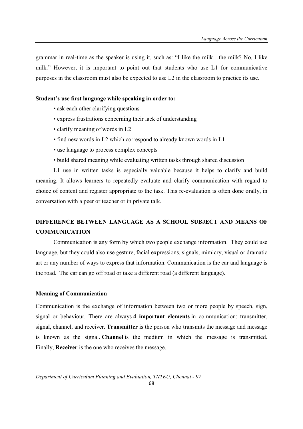grammar in real-time as the speaker is using it, such as: "I like the milk…the milk? No, I like milk." However, it is important to point out that students who use L1 for communicative purposes in the classroom must also be expected to use L2 in the classroom to practice its use.

#### Student's use first language while speaking in order to:

- ask each other clarifying questions
- express frustrations concerning their lack of understanding
- clarify meaning of words in L2
- find new words in L2 which correspond to already known words in L1
- use language to process complex concepts
- build shared meaning while evaluating written tasks through shared discussion

L1 use in written tasks is especially valuable because it helps to clarify and build meaning. It allows learners to repeatedly evaluate and clarify communication with regard to choice of content and register appropriate to the task. This re-evaluation is often done orally, in conversation with a peer or teacher or in private talk.

# DIFFERENCE BETWEEN LANGUAGE AS A SCHOOL SUBJECT AND MEANS OF **COMMUNICATION**

Communication is any form by which two people exchange information. They could use language, but they could also use gesture, facial expressions, signals, mimicry, visual or dramatic art or any number of ways to express that information. Communication is the car and language is the road. The car can go off road or take a different road (a different language).

#### Meaning of Communication

Communication is the exchange of information between two or more people by speech, sign, signal or behaviour. There are always 4 important elements in communication: transmitter, signal, channel, and receiver. **Transmitter** is the person who transmits the message and message is known as the signal. Channel is the medium in which the message is transmitted. Finally, Receiver is the one who receives the message.

Department of Curriculum Planning and Evaluation, TNTEU, Chennai - 97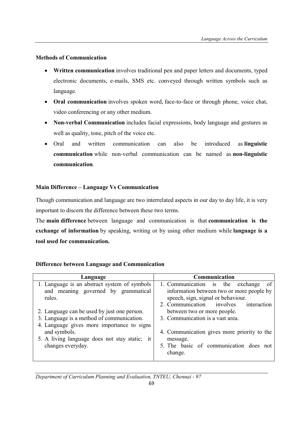# Methods of Communication

- Written communication involves traditional pen and paper letters and documents, typed electronic documents, e-mails, SMS etc. conveyed through written symbols such as language.
- Oral communication involves spoken word, face-to-face or through phone, voice chat, video conferencing or any other medium.
- Non-verbal Communication includes facial expressions, body language and gestures as well as quality, tone, pitch of the voice etc.
- Oral and written communication can also be introduced as linguistic communication while non-verbal communication can be named as non-linguistic communication.

## Main Difference – Language Vs Communication

Though communication and language are two interrelated aspects in our day to day life, it is very important to discern the difference between these two terms.

The main difference between language and communication is that communication is the exchange of information by speaking, writing or by using other medium while language is a tool used for communication.

| Language                                                                                                                                                                                                                                                                                                 | Communication                                                                                                                                                                                                                                                                        |
|----------------------------------------------------------------------------------------------------------------------------------------------------------------------------------------------------------------------------------------------------------------------------------------------------------|--------------------------------------------------------------------------------------------------------------------------------------------------------------------------------------------------------------------------------------------------------------------------------------|
| 1. Language is an abstract system of symbols<br>and meaning governed by grammatical<br>rules.<br>2. Language can be used by just one person.<br>3. Language is a method of communication.<br>4. Language gives more importance to signs<br>and symbols.<br>5. A living language does not stay static; it | 1. Communication is the exchange<br>of<br>information between two or more people by<br>speech, sign, signal or behaviour.<br>2. Communication involves interaction<br>between two or more people.<br>3. Communication is a vast area.<br>4. Communication gives more priority to the |
| changes everyday.                                                                                                                                                                                                                                                                                        | message.<br>5. The basic of communication does not<br>change.                                                                                                                                                                                                                        |

# Difference between Language and Communication

Department of Curriculum Planning and Evaluation, TNTEU, Chennai - 97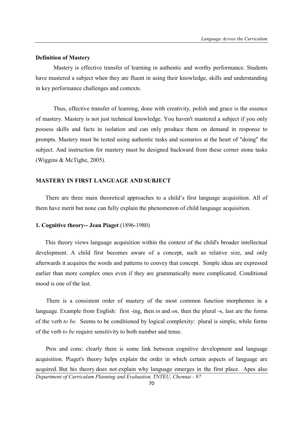#### Definition of Mastery

Mastery is effective transfer of learning in authentic and worthy performance. Students have mastered a subject when they are fluent in using their knowledge, skills and understanding in key performance challenges and contexts.

Thus, effective transfer of learning, done with creativity, polish and grace is the essence of mastery. Mastery is not just technical knowledge. You haven't mastered a subject if you only possess skills and facts in isolation and can only produce them on demand in response to prompts. Mastery must be tested using authentic tasks and scenarios at the heart of "doing" the subject. And instruction for mastery must be designed backward from these corner stone tasks (Wiggins & McTighe, 2005).

#### MASTERY IN FIRST LANGUAGE AND SUBJECT

 There are three main theoretical approaches to a child's first language acquisition. All of them have merit but none can fully explain the phenomenon of child language acquisition.

#### 1. Cognitive theory-- Jean Piaget (1896-1980)

 This theory views language acquisition within the context of the child's broader intellectual development. A child first becomes aware of a concept, such as relative size, and only afterwards it acquires the words and patterns to convey that concept. Simple ideas are expressed earlier than more complex ones even if they are grammatically more complicated. Conditional mood is one of the last.

 There is a consistent order of mastery of the most common function morphemes in a language. Example from English: first -ing, then in and on, then the plural -s, last are the forms of the verb to be. Seems to be conditioned by logical complexity: plural is simple, while forms of the verb to be require sensitivity to both number and tense.

Department of Curriculum Planning and Evaluation, TNTEU, Chennai - 97 Pros and cons: clearly there is some link between cognitive development and language acquisition. Piaget's theory helps explain the order in which certain aspects of language are acquired. But his theory does not explain why language emerges in the first place. Apes also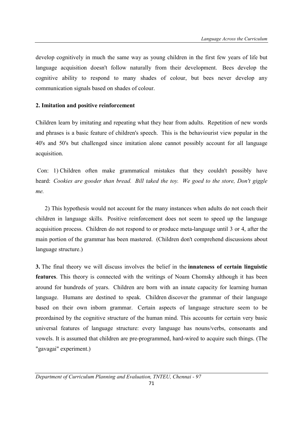develop cognitively in much the same way as young children in the first few years of life but language acquisition doesn't follow naturally from their development. Bees develop the cognitive ability to respond to many shades of colour, but bees never develop any communication signals based on shades of colour.

## 2. Imitation and positive reinforcement

Children learn by imitating and repeating what they hear from adults. Repetition of new words and phrases is a basic feature of children's speech. This is the behaviourist view popular in the 40's and 50's but challenged since imitation alone cannot possibly account for all language acquisition.

 Con: 1) Children often make grammatical mistakes that they couldn't possibly have heard: Cookies are gooder than bread. Bill taked the toy. We goed to the store, Don't giggle me.

 2) This hypothesis would not account for the many instances when adults do not coach their children in language skills. Positive reinforcement does not seem to speed up the language acquisition process. Children do not respond to or produce meta-language until 3 or 4, after the main portion of the grammar has been mastered. (Children don't comprehend discussions about language structure.)

3. The final theory we will discuss involves the belief in the innateness of certain linguistic features. This theory is connected with the writings of Noam Chomsky although it has been around for hundreds of years. Children are born with an innate capacity for learning human language. Humans are destined to speak. Children discover the grammar of their language based on their own inborn grammar. Certain aspects of language structure seem to be preordained by the cognitive structure of the human mind. This accounts for certain very basic universal features of language structure: every language has nouns/verbs, consonants and vowels. It is assumed that children are pre-programmed, hard-wired to acquire such things. (The "gavagai" experiment.)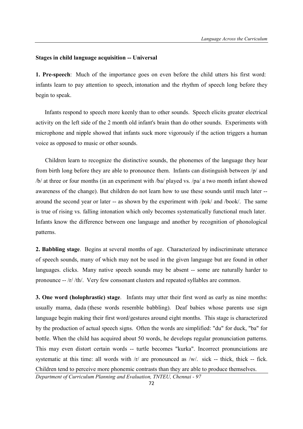#### Stages in child language acquisition -- Universal

1. Pre-speech: Much of the importance goes on even before the child utters his first word: infants learn to pay attention to speech, intonation and the rhythm of speech long before they begin to speak.

 Infants respond to speech more keenly than to other sounds. Speech elicits greater electrical activity on the left side of the 2 month old infant's brain than do other sounds. Experiments with microphone and nipple showed that infants suck more vigorously if the action triggers a human voice as opposed to music or other sounds.

 Children learn to recognize the distinctive sounds, the phonemes of the language they hear from birth long before they are able to pronounce them. Infants can distinguish between /p/ and /b/ at three or four months (in an experiment with /ba/ played vs. /pa/ a two month infant showed awareness of the change). But children do not learn how to use these sounds until much later - around the second year or later -- as shown by the experiment with /pok/ and /book/. The same is true of rising vs. falling intonation which only becomes systematically functional much later. Infants know the difference between one language and another by recognition of phonological patterns.

2. Babbling stage. Begins at several months of age. Characterized by indiscriminate utterance of speech sounds, many of which may not be used in the given language but are found in other languages. clicks. Many native speech sounds may be absent -- some are naturally harder to pronounce -- /r/ /th/. Very few consonant clusters and repeated syllables are common.

Department of Curriculum Planning and Evaluation, TNTEU, Chennai - 97 3. One word (holophrastic) stage. Infants may utter their first word as early as nine months: usually mama, dada (these words resemble babbling). Deaf babies whose parents use sign language begin making their first word/gestures around eight months. This stage is characterized by the production of actual speech signs. Often the words are simplified: "du" for duck, "ba" for bottle. When the child has acquired about 50 words, he develops regular pronunciation patterns. This may even distort certain words -- turtle becomes "kurka". Incorrect pronunciations are systematic at this time: all words with /r/ are pronounced as /w/. sick -- thick, thick -- fick. Children tend to perceive more phonemic contrasts than they are able to produce themselves.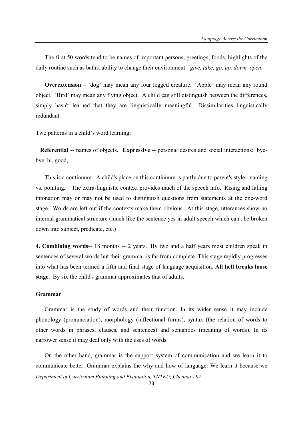The first 50 words tend to be names of important persons, greetings, foods, highlights of the daily routine such as baths, ability to change their environment - give, take, go, up, down, open.

 Overextension – 'dog' may mean any four legged creature. 'Apple' may mean any round object. 'Bird' may mean any flying object. A child can still distinguish between the differences, simply hasn't learned that they are linguistically meaningful. Dissimilarities linguistically redundant.

Two patterns in a child's word learning:

 Referential -- names of objects. Expressive -- personal desires and social interactions: byebye, hi, good,

 This is a continuum. A child's place on this continuum is partly due to parent's style: naming vs. pointing. The extra-linguistic context provides much of the speech info. Rising and falling intonation may or may not be used to distinguish questions from statements at the one-word stage. Words are left out if the contexts make them obvious. At this stage, utterances show no internal grammatical structure (much like the sentence yes in adult speech which can't be broken down into subject, predicate, etc.)

4. Combining words-- 18 months -- 2 years. By two and a half years most children speak in sentences of several words but their grammar is far from complete. This stage rapidly progresses into what has been termed a fifth and final stage of language acquisition. All hell breaks loose stage. By six the child's grammar approximates that of adults.

### Grammar

Grammar is the study of words and their function. In its wider sense it may include phonology (pronunciation), morphology (inflectional forms), syntax (the relation of words to other words in phrases, clauses, and sentences) and semantics (meaning of words). In its narrower sense it may deal only with the uses of words.

On the other hand, grammar is the support system of communication and we learn it to communicate better. Grammar explains the why and how of language. We learn it because we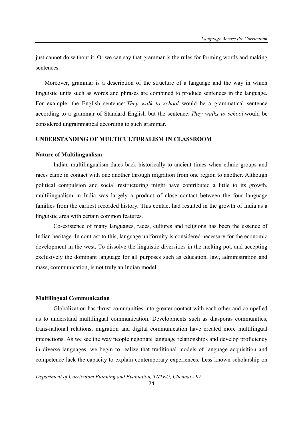just cannot do without it. Or we can say that grammar is the rules for forming words and making sentences.

Moreover, grammar is a description of the structure of a language and the way in which linguistic units such as words and phrases are combined to produce sentences in the language. For example, the English sentence: They walk to school would be a grammatical sentence according to a grammar of Standard English but the sentence: They walks to school would be considered ungrammatical according to such grammar.

## UNDERSTANDING OF MULTICULTURALISM IN CLASSROOM

### Nature of Multilingualism

Indian multilingualism dates back historically to ancient times when ethnic groups and races came in contact with one another through migration from one region to another. Although political compulsion and social restructuring might have contributed a little to its growth, multilingualism in India was largely a product of close contact between the four language families from the earliest recorded history. This contact had resulted in the growth of India as a linguistic area with certain common features.

 Co-existence of many languages, races, cultures and religions has been the essence of Indian heritage. In contrast to this, language uniformity is considered necessary for the economic development in the west. To dissolve the linguistic diversities in the melting pot, and accepting exclusively the dominant language for all purposes such as education, law, administration and mass, communication, is not truly an Indian model.

### Multilingual Communication

 Globalization has thrust communities into greater contact with each other and compelled us to understand multilingual communication. Developments such as diasporas communities, trans-national relations, migration and digital communication have created more multilingual interactions. As we see the way people negotiate language relationships and develop proficiency in diverse languages, we begin to realize that traditional models of language acquisition and competence lack the capacity to explain contemporary experiences. Less known scholarship on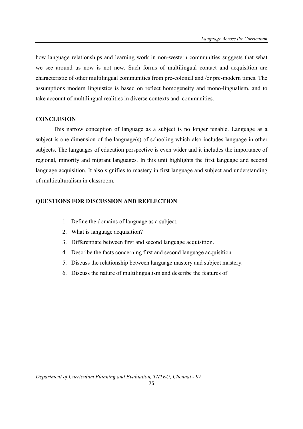how language relationships and learning work in non-western communities suggests that what we see around us now is not new. Such forms of multilingual contact and acquisition are characteristic of other multilingual communities from pre-colonial and /or pre-modern times. The assumptions modern linguistics is based on reflect homogeneity and mono-lingualism, and to take account of multilingual realities in diverse contexts and communities.

### **CONCLUSION**

This narrow conception of language as a subject is no longer tenable. Language as a subject is one dimension of the language(s) of schooling which also includes language in other subjects. The languages of education perspective is even wider and it includes the importance of regional, minority and migrant languages. In this unit highlights the first language and second language acquisition. It also signifies to mastery in first language and subject and understanding of multiculturalism in classroom.

## QUESTIONS FOR DISCUSSION AND REFLECTION

- 1. Define the domains of language as a subject.
- 2. What is language acquisition?
- 3. Differentiate between first and second language acquisition.
- 4. Describe the facts concerning first and second language acquisition.
- 5. Discuss the relationship between language mastery and subject mastery.
- 6. Discuss the nature of multilingualism and describe the features of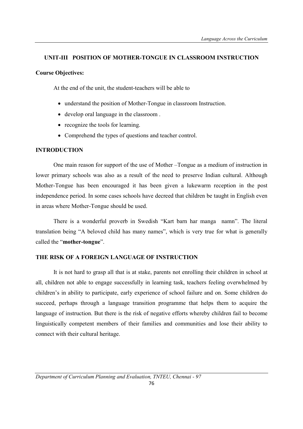## UNIT-III POSITION OF MOTHER-TONGUE IN CLASSROOM INSTRUCTION

### Course Objectives:

At the end of the unit, the student-teachers will be able to

- understand the position of Mother-Tongue in classroom Instruction.
- develop oral language in the classroom .
- recognize the tools for learning.
- Comprehend the types of questions and teacher control.

### INTRODUCTION

One main reason for support of the use of Mother –Tongue as a medium of instruction in lower primary schools was also as a result of the need to preserve Indian cultural. Although Mother-Tongue has been encouraged it has been given a lukewarm reception in the post independence period. In some cases schools have decreed that children be taught in English even in areas where Mother-Tongue should be used.

There is a wonderful proverb in Swedish "Kart barn har manga namn". The literal translation being "A beloved child has many names", which is very true for what is generally called the "mother-tongue".

## THE RISK OF A FOREIGN LANGUAGE OF INSTRUCTION

 It is not hard to grasp all that is at stake, parents not enrolling their children in school at all, children not able to engage successfully in learning task, teachers feeling overwhelmed by children's in ability to participate, early experience of school failure and on. Some children do succeed, perhaps through a language transition programme that helps them to acquire the language of instruction. But there is the risk of negative efforts whereby children fail to become linguistically competent members of their families and communities and lose their ability to connect with their cultural heritage.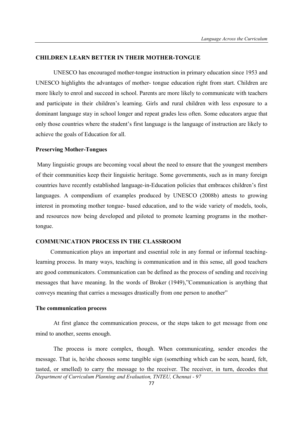#### CHILDREN LEARN BETTER IN THEIR MOTHER-TONGUE

UNESCO has encouraged mother-tongue instruction in primary education since 1953 and UNESCO highlights the advantages of mother- tongue education right from start. Children are more likely to enrol and succeed in school. Parents are more likely to communicate with teachers and participate in their children's learning. Girls and rural children with less exposure to a dominant language stay in school longer and repeat grades less often. Some educators argue that only those countries where the student's first language is the language of instruction are likely to achieve the goals of Education for all.

### Preserving Mother-Tongues

 Many linguistic groups are becoming vocal about the need to ensure that the youngest members of their communities keep their linguistic heritage. Some governments, such as in many foreign countries have recently established language-in-Education policies that embraces children's first languages. A compendium of examples produced by UNESCO (2008b) attests to growing interest in promoting mother tongue- based education, and to the wide variety of models, tools, and resources now being developed and piloted to promote learning programs in the mothertongue.

#### COMMUNICATION PROCESS IN THE CLASSROOM

 Communication plays an important and essential role in any formal or informal teachinglearning process. In many ways, teaching is communication and in this sense, all good teachers are good communicators. Communication can be defined as the process of sending and receiving messages that have meaning. In the words of Broker (1949),"Communication is anything that conveys meaning that carries a messages drastically from one person to another"

#### The communication process

 At first glance the communication process, or the steps taken to get message from one mind to another, seems enough.

Department of Curriculum Planning and Evaluation, TNTEU, Chennai - 97 The process is more complex, though. When communicating, sender encodes the message. That is, he/she chooses some tangible sign (something which can be seen, heard, felt, tasted, or smelled) to carry the message to the receiver. The receiver, in turn, decodes that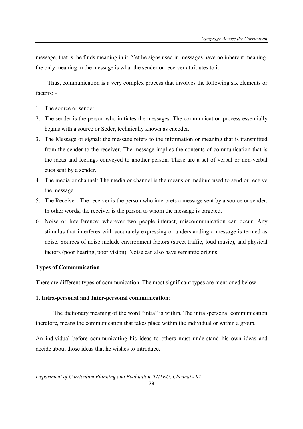message, that is, he finds meaning in it. Yet he signs used in messages have no inherent meaning, the only meaning in the message is what the sender or receiver attributes to it.

 Thus, communication is a very complex process that involves the following six elements or factors: -

- 1. The source or sender:
- 2. The sender is the person who initiates the messages. The communication process essentially begins with a source or Seder, technically known as encoder.
- 3. The Message or signal: the message refers to the information or meaning that is transmitted from the sender to the receiver. The message implies the contents of communication-that is the ideas and feelings conveyed to another person. These are a set of verbal or non-verbal cues sent by a sender.
- 4. The media or channel: The media or channel is the means or medium used to send or receive the message.
- 5. The Receiver: The receiver is the person who interprets a message sent by a source or sender. In other words, the receiver is the person to whom the message is targeted.
- 6. Noise or Interference: wherever two people interact, miscommunication can occur. Any stimulus that interferes with accurately expressing or understanding a message is termed as noise. Sources of noise include environment factors (street traffic, loud music), and physical factors (poor hearing, poor vision). Noise can also have semantic origins.

## Types of Communication

There are different types of communication. The most significant types are mentioned below

### 1. Intra-personal and Inter-personal communication:

 The dictionary meaning of the word "intra" is within. The intra -personal communication therefore, means the communication that takes place within the individual or within a group.

An individual before communicating his ideas to others must understand his own ideas and decide about those ideas that he wishes to introduce.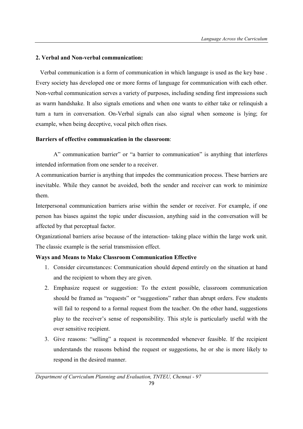### 2. Verbal and Non-verbal communication:

 Verbal communication is a form of communication in which language is used as the key base . Every society has developed one or more forms of language for communication with each other. Non-verbal communication serves a variety of purposes, including sending first impressions such as warm handshake. It also signals emotions and when one wants to either take or relinquish a turn a turn in conversation. On-Verbal signals can also signal when someone is lying; for example, when being deceptive, vocal pitch often rises.

### Barriers of effective communication in the classroom:

 A" communication barrier" or "a barrier to communication" is anything that interferes intended information from one sender to a receiver.

A communication barrier is anything that impedes the communication process. These barriers are inevitable. While they cannot be avoided, both the sender and receiver can work to minimize them.

Interpersonal communication barriers arise within the sender or receiver. For example, if one person has biases against the topic under discussion, anything said in the conversation will be affected by that perceptual factor.

Organizational barriers arise because of the interaction- taking place within the large work unit. The classic example is the serial transmission effect.

### Ways and Means to Make Classroom Communication Effective

- 1. Consider circumstances: Communication should depend entirely on the situation at hand and the recipient to whom they are given.
- 2. Emphasize request or suggestion: To the extent possible, classroom communication should be framed as "requests" or "suggestions" rather than abrupt orders. Few students will fail to respond to a formal request from the teacher. On the other hand, suggestions play to the receiver's sense of responsibility. This style is particularly useful with the over sensitive recipient.
- 3. Give reasons: "selling" a request is recommended whenever feasible. If the recipient understands the reasons behind the request or suggestions, he or she is more likely to respond in the desired manner.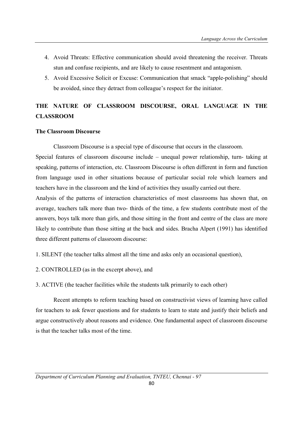- 4. Avoid Threats: Effective communication should avoid threatening the receiver. Threats stun and confuse recipients, and are likely to cause resentment and antagonism.
- 5. Avoid Excessive Solicit or Excuse: Communication that smack "apple-polishing" should be avoided, since they detract from colleague's respect for the initiator.

# THE NATURE OF CLASSROOM DISCOURSE, ORAL LANGUAGE IN THE CLASSROOM

### The Classroom Discourse

Classroom Discourse is a special type of discourse that occurs in the classroom.

Special features of classroom discourse include – unequal power relationship, turn- taking at speaking, patterns of interaction, etc. Classroom Discourse is often different in form and function from language used in other situations because of particular social role which learners and teachers have in the classroom and the kind of activities they usually carried out there.

Analysis of the patterns of interaction characteristics of most classrooms has shown that, on average, teachers talk more than two- thirds of the time, a few students contribute most of the answers, boys talk more than girls, and those sitting in the front and centre of the class are more likely to contribute than those sitting at the back and sides. Bracha Alpert (1991) has identified three different patterns of classroom discourse:

1. SILENT (the teacher talks almost all the time and asks only an occasional question),

2. CONTROLLED (as in the excerpt above), and

3. ACTIVE (the teacher facilities while the students talk primarily to each other)

Recent attempts to reform teaching based on constructivist views of learning have called for teachers to ask fewer questions and for students to learn to state and justify their beliefs and argue constructively about reasons and evidence. One fundamental aspect of classroom discourse is that the teacher talks most of the time.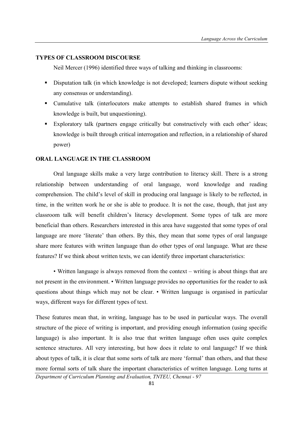### TYPES OF CLASSROOM DISCOURSE

Neil Mercer (1996) identified three ways of talking and thinking in classrooms:

- Disputation talk (in which knowledge is not developed; learners dispute without seeking any consensus or understanding).
- Cumulative talk (interlocutors make attempts to establish shared frames in which knowledge is built, but unquestioning).
- Exploratory talk (partners engage critically but constructively with each other' ideas; knowledge is built through critical interrogation and reflection, in a relationship of shared power)

### ORAL LANGUAGE IN THE CLASSROOM

Oral language skills make a very large contribution to literacy skill. There is a strong relationship between understanding of oral language, word knowledge and reading comprehension. The child's level of skill in producing oral language is likely to be reflected, in time, in the written work he or she is able to produce. It is not the case, though, that just any classroom talk will benefit children's literacy development. Some types of talk are more beneficial than others. Researchers interested in this area have suggested that some types of oral language are more 'literate' than others. By this, they mean that some types of oral language share more features with written language than do other types of oral language. What are these features? If we think about written texts, we can identify three important characteristics:

• Written language is always removed from the context – writing is about things that are not present in the environment. • Written language provides no opportunities for the reader to ask questions about things which may not be clear. • Written language is organised in particular ways, different ways for different types of text.

Department of Curriculum Planning and Evaluation, TNTEU, Chennai - 97 These features mean that, in writing, language has to be used in particular ways. The overall structure of the piece of writing is important, and providing enough information (using specific language) is also important. It is also true that written language often uses quite complex sentence structures. All very interesting, but how does it relate to oral language? If we think about types of talk, it is clear that some sorts of talk are more 'formal' than others, and that these more formal sorts of talk share the important characteristics of written language. Long turns at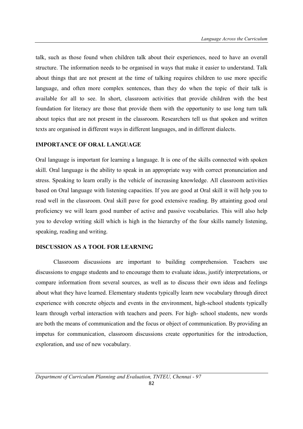talk, such as those found when children talk about their experiences, need to have an overall structure. The information needs to be organised in ways that make it easier to understand. Talk about things that are not present at the time of talking requires children to use more specific language, and often more complex sentences, than they do when the topic of their talk is available for all to see. In short, classroom activities that provide children with the best foundation for literacy are those that provide them with the opportunity to use long turn talk about topics that are not present in the classroom. Researchers tell us that spoken and written texts are organised in different ways in different languages, and in different dialects.

#### IMPORTANCE OF ORAL LANGUAGE

Oral language is important for learning a language. It is one of the skills connected with spoken skill. Oral language is the ability to speak in an appropriate way with correct pronunciation and stress. Speaking to learn orally is the vehicle of increasing knowledge. All classroom activities based on Oral language with listening capacities. If you are good at Oral skill it will help you to read well in the classroom. Oral skill pave for good extensive reading. By attainting good oral proficiency we will learn good number of active and passive vocabularies. This will also help you to develop writing skill which is high in the hierarchy of the four skills namely listening, speaking, reading and writing.

#### DISCUSSION AS A TOOL FOR LEARNING

 Classroom discussions are important to building comprehension. Teachers use discussions to engage students and to encourage them to evaluate ideas, justify interpretations, or compare information from several sources, as well as to discuss their own ideas and feelings about what they have learned. Elementary students typically learn new vocabulary through direct experience with concrete objects and events in the environment, high-school students typically learn through verbal interaction with teachers and peers. For high- school students, new words are both the means of communication and the focus or object of communication. By providing an impetus for communication, classroom discussions create opportunities for the introduction, exploration, and use of new vocabulary.

Department of Curriculum Planning and Evaluation, TNTEU, Chennai - 97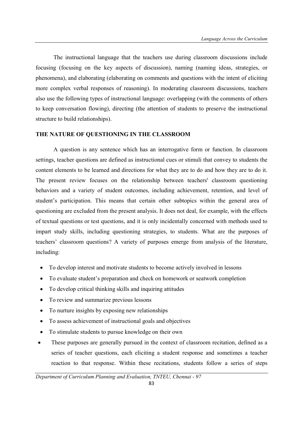The instructional language that the teachers use during classroom discussions include focusing (focusing on the key aspects of discussion), naming (naming ideas, strategies, or phenomena), and elaborating (elaborating on comments and questions with the intent of eliciting more complex verbal responses of reasoning). In moderating classroom discussions, teachers also use the following types of instructional language: overlapping (with the comments of others to keep conversation flowing), directing (the attention of students to preserve the instructional structure to build relationships).

### THE NATURE OF QUESTIONING IN THE CLASSROOM

A question is any sentence which has an interrogative form or function. In classroom settings, teacher questions are defined as instructional cues or stimuli that convey to students the content elements to be learned and directions for what they are to do and how they are to do it. The present review focuses on the relationship between teachers' classroom questioning behaviors and a variety of student outcomes, including achievement, retention, and level of student's participation. This means that certain other subtopics within the general area of questioning are excluded from the present analysis. It does not deal, for example, with the effects of textual questions or test questions, and it is only incidentally concerned with methods used to impart study skills, including questioning strategies, to students. What are the purposes of teachers' classroom questions? A variety of purposes emerge from analysis of the literature, including:

- To develop interest and motivate students to become actively involved in lessons
- To evaluate student's preparation and check on homework or seatwork completion
- To develop critical thinking skills and inquiring attitudes
- To review and summarize previous lessons
- To nurture insights by exposing new relationships
- To assess achievement of instructional goals and objectives
- To stimulate students to pursue knowledge on their own
- These purposes are generally pursued in the context of classroom recitation, defined as a series of teacher questions, each eliciting a student response and sometimes a teacher reaction to that response. Within these recitations, students follow a series of steps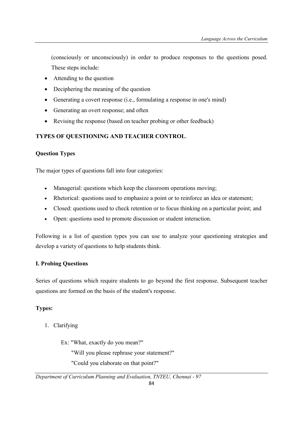(consciously or unconsciously) in order to produce responses to the questions posed. These steps include:

- Attending to the question
- Deciphering the meaning of the question
- Generating a covert response (i.e., formulating a response in one's mind)
- Generating an overt response; and often
- Revising the response (based on teacher probing or other feedback)

## TYPES OF QUESTIONING AND TEACHER CONTROL.

### Question Types

The major types of questions fall into four categories:

- Managerial: questions which keep the classroom operations moving;
- Rhetorical: questions used to emphasize a point or to reinforce an idea or statement;
- Closed: questions used to check retention or to focus thinking on a particular point; and
- Open: questions used to promote discussion or student interaction.

Following is a list of question types you can use to analyze your questioning strategies and develop a variety of questions to help students think.

## I. Probing Questions

Series of questions which require students to go beyond the first response. Subsequent teacher questions are formed on the basis of the student's response.

## Types:

1. Clarifying

Ex: "What, exactly do you mean?"

"Will you please rephrase your statement?"

"Could you elaborate on that point?"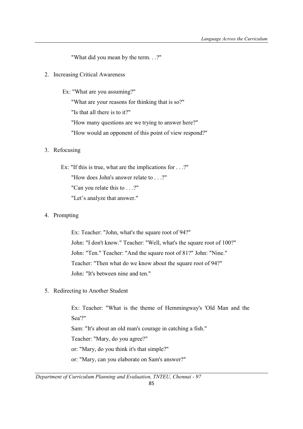"What did you mean by the term. . .?"

2. Increasing Critical Awareness

Ex: "What are you assuming?"

"What are your reasons for thinking that is so?"

"Is that all there is to it?"

"How many questions are we trying to answer here?"

"How would an opponent of this point of view respond?"

#### 3. Refocusing

 Ex: "If this is true, what are the implications for . . .?" "How does John's answer relate to . . .?" "Can you relate this to . . .?" "Let's analyze that answer."

### 4. Prompting

Ex: Teacher: "John, what's the square root of 94?" John: "I don't know." Teacher: "Well, what's the square root of 100?" John: "Ten." Teacher: "And the square root of 81?" John: "Nine." Teacher: "Then what do we know about the square root of 94?" John: "It's between nine and ten."

5. Redirecting to Another Student

Ex: Teacher: "What is the theme of Hemmingway's 'Old Man and the Sea'?" Sam: "It's about an old man's courage in catching a fish." Teacher: "Mary, do you agree?" or: "Mary, do you think it's that simple?" or: "Mary, can you elaborate on Sam's answer?"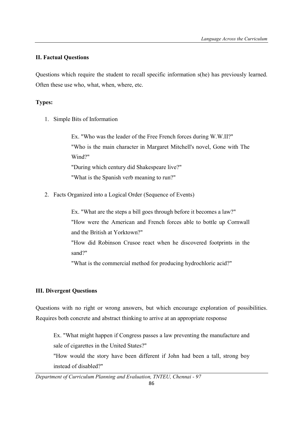## II. Factual Questions

Questions which require the student to recall specific information s(he) has previously learned. Often these use who, what, when, where, etc.

## Types:

1. Simple Bits of Information

Ex. "Who was the leader of the Free French forces during W.W.II?" "Who is the main character in Margaret Mitchell's novel, Gone with The Wind?" "During which century did Shakespeare live?" "What is the Spanish verb meaning to run?"

2. Facts Organized into a Logical Order (Sequence of Events)

Ex. "What are the steps a bill goes through before it becomes a law?" "How were the American and French forces able to bottle up Cornwall and the British at Yorktown?"

"How did Robinson Crusoe react when he discovered footprints in the sand?"

"What is the commercial method for producing hydrochloric acid?"

## III. Divergent Questions

Questions with no right or wrong answers, but which encourage exploration of possibilities. Requires both concrete and abstract thinking to arrive at an appropriate response

Ex. "What might happen if Congress passes a law preventing the manufacture and sale of cigarettes in the United States?"

"How would the story have been different if John had been a tall, strong boy instead of disabled?"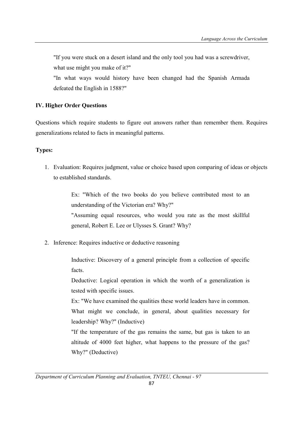"If you were stuck on a desert island and the only tool you had was a screwdriver, what use might you make of it?"

"In what ways would history have been changed had the Spanish Armada defeated the English in 1588?"

### IV. Higher Order Questions

Questions which require students to figure out answers rather than remember them. Requires generalizations related to facts in meaningful patterns.

### Types:

1. Evaluation: Requires judgment, value or choice based upon comparing of ideas or objects to established standards.

> Ex: "Which of the two books do you believe contributed most to an understanding of the Victorian era? Why?"

> "Assuming equal resources, who would you rate as the most skillful general, Robert E. Lee or Ulysses S. Grant? Why?

2. Inference: Requires inductive or deductive reasoning

Inductive: Discovery of a general principle from a collection of specific facts.

Deductive: Logical operation in which the worth of a generalization is tested with specific issues.

Ex: "We have examined the qualities these world leaders have in common. What might we conclude, in general, about qualities necessary for leadership? Why?" (Inductive)

"If the temperature of the gas remains the same, but gas is taken to an altitude of 4000 feet higher, what happens to the pressure of the gas? Why?" (Deductive)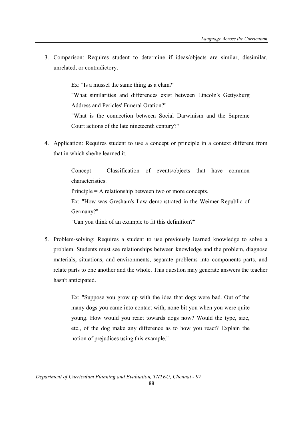3. Comparison: Requires student to determine if ideas/objects are similar, dissimilar, unrelated, or contradictory.

> Ex: "Is a mussel the same thing as a clam?" "What similarities and differences exist between Lincoln's Gettysburg Address and Pericles' Funeral Oration?" "What is the connection between Social Darwinism and the Supreme Court actions of the late nineteenth century?"

4. Application: Requires student to use a concept or principle in a context different from that in which she/he learned it.

> Concept = Classification of events/objects that have common characteristics. Principle = A relationship between two or more concepts. Ex: "How was Gresham's Law demonstrated in the Weimer Republic of Germany?" "Can you think of an example to fit this definition?"

5. Problem-solving: Requires a student to use previously learned knowledge to solve a problem. Students must see relationships between knowledge and the problem, diagnose materials, situations, and environments, separate problems into components parts, and relate parts to one another and the whole. This question may generate answers the teacher hasn't anticipated.

> Ex: "Suppose you grow up with the idea that dogs were bad. Out of the many dogs you came into contact with, none bit you when you were quite young. How would you react towards dogs now? Would the type, size, etc., of the dog make any difference as to how you react? Explain the notion of prejudices using this example."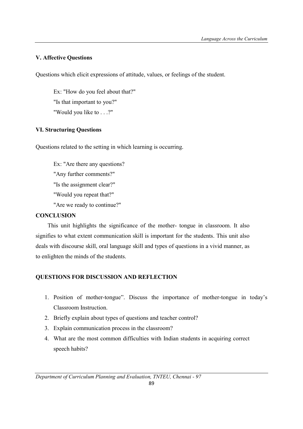## V. Affective Questions

Questions which elicit expressions of attitude, values, or feelings of the student.

Ex: "How do you feel about that?" "Is that important to you?" "Would you like to . . .?"

## VI. Structuring Questions

Questions related to the setting in which learning is occurring.

Ex: "Are there any questions? "Any further comments?"

"Is the assignment clear?"

"Would you repeat that?"

"Are we ready to continue?"

## **CONCLUSION**

 This unit highlights the significance of the mother- tongue in classroom. It also signifies to what extent communication skill is important for the students. This unit also deals with discourse skill, oral language skill and types of questions in a vivid manner, as to enlighten the minds of the students.

## QUESTIONS FOR DISCUSSION AND REFLECTION

- 1. Position of mother-tongue". Discuss the importance of mother-tongue in today's Classroom Instruction.
- 2. Briefly explain about types of questions and teacher control?
- 3. Explain communication process in the classroom?
- 4. What are the most common difficulties with Indian students in acquiring correct speech habits?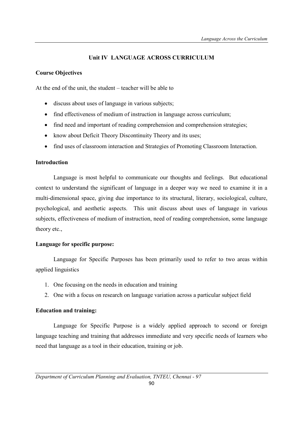## Unit IV LANGUAGE ACROSS CURRICULUM

### Course Objectives

At the end of the unit, the student – teacher will be able to

- discuss about uses of language in various subjects;
- find effectiveness of medium of instruction in language across curriculum;
- find need and important of reading comprehension and comprehension strategies;
- know about Deficit Theory Discontinuity Theory and its uses;
- find uses of classroom interaction and Strategies of Promoting Classroom Interaction.

### Introduction

 Language is most helpful to communicate our thoughts and feelings. But educational context to understand the significant of language in a deeper way we need to examine it in a multi-dimensional space, giving due importance to its structural, literary, sociological, culture, psychological, and aesthetic aspects. This unit discuss about uses of language in various subjects, effectiveness of medium of instruction, need of reading comprehension, some language theory etc.,

### Language for specific purpose:

Language for Specific Purposes has been primarily used to refer to two areas within applied linguistics

- 1. One focusing on the needs in education and training
- 2. One with a focus on research on language variation across a particular subject field

### Education and training:

Language for Specific Purpose is a widely applied approach to second or foreign language teaching and training that addresses immediate and very specific needs of learners who need that language as a tool in their education, training or job.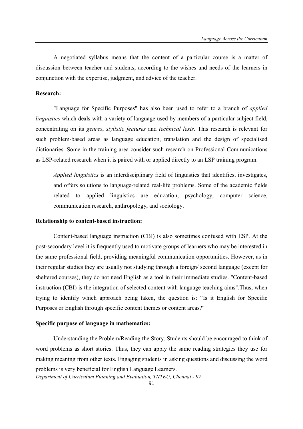A negotiated syllabus means that the content of a particular course is a matter of discussion between teacher and students, according to the wishes and needs of the learners in conjunction with the expertise, judgment, and advice of the teacher.

#### Research:

"Language for Specific Purposes" has also been used to refer to a branch of *applied* linguistics which deals with a variety of language used by members of a particular subject field, concentrating on its genres, stylistic features and technical lexis. This research is relevant for such problem-based areas as language education, translation and the design of specialised dictionaries. Some in the training area consider such research on Professional Communications as LSP-related research when it is paired with or applied directly to an LSP training program.

Applied linguistics is an interdisciplinary field of linguistics that identifies, investigates, and offers solutions to language-related real-life problems. Some of the academic fields related to applied linguistics are education, psychology, computer science, communication research, anthropology, and sociology.

#### Relationship to content-based instruction:

Content-based language instruction (CBI) is also sometimes confused with ESP. At the post-secondary level it is frequently used to motivate groups of learners who may be interested in the same professional field, providing meaningful communication opportunities. However, as in their regular studies they are usually not studying through a foreign/ second language (except for sheltered courses), they do not need English as a tool in their immediate studies. "Content-based instruction (CBI) is the integration of selected content with language teaching aims".Thus, when trying to identify which approach being taken, the question is: "Is it English for Specific Purposes or English through specific content themes or content areas?"

### Specific purpose of language in mathematics:

Understanding the Problem/Reading the Story. Students should be encouraged to think of word problems as short stories. Thus, they can apply the same reading strategies they use for making meaning from other texts. Engaging students in asking questions and discussing the word problems is very beneficial for English Language Learners.

Department of Curriculum Planning and Evaluation, TNTEU, Chennai - 97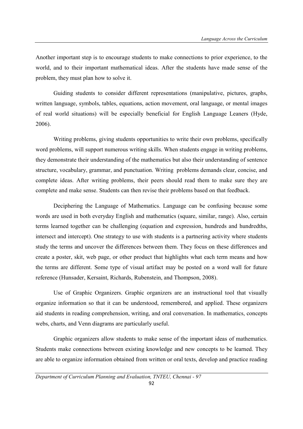Another important step is to encourage students to make connections to prior experience, to the world, and to their important mathematical ideas. After the students have made sense of the problem, they must plan how to solve it.

Guiding students to consider different representations (manipulative, pictures, graphs, written language, symbols, tables, equations, action movement, oral language, or mental images of real world situations) will be especially beneficial for English Language Leaners (Hyde, 2006).

Writing problems, giving students opportunities to write their own problems, specifically word problems, will support numerous writing skills. When students engage in writing problems, they demonstrate their understanding of the mathematics but also their understanding of sentence structure, vocabulary, grammar, and punctuation. Writing problems demands clear, concise, and complete ideas. After writing problems, their peers should read them to make sure they are complete and make sense. Students can then revise their problems based on that feedback.

Deciphering the Language of Mathematics. Language can be confusing because some words are used in both everyday English and mathematics (square, similar, range). Also, certain terms learned together can be challenging (equation and expression, hundreds and hundredths, intersect and intercept). One strategy to use with students is a partnering activity where students study the terms and uncover the differences between them. They focus on these differences and create a poster, skit, web page, or other product that highlights what each term means and how the terms are different. Some type of visual artifact may be posted on a word wall for future reference (Hunsader, Kersaint, Richards, Rubenstein, and Thompson, 2008).

Use of Graphic Organizers. Graphic organizers are an instructional tool that visually organize information so that it can be understood, remembered, and applied. These organizers aid students in reading comprehension, writing, and oral conversation. In mathematics, concepts webs, charts, and Venn diagrams are particularly useful.

Graphic organizers allow students to make sense of the important ideas of mathematics. Students make connections between existing knowledge and new concepts to be learned. They are able to organize information obtained from written or oral texts, develop and practice reading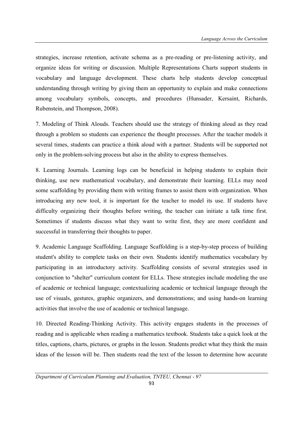strategies, increase retention, activate schema as a pre-reading or pre-listening activity, and organize ideas for writing or discussion. Multiple Representations Charts support students in vocabulary and language development. These charts help students develop conceptual understanding through writing by giving them an opportunity to explain and make connections among vocabulary symbols, concepts, and procedures (Hunsader, Kersaint, Richards, Rubenstein, and Thompson, 2008).

7. Modeling of Think Alouds. Teachers should use the strategy of thinking aloud as they read through a problem so students can experience the thought processes. After the teacher models it several times, students can practice a think aloud with a partner. Students will be supported not only in the problem-solving process but also in the ability to express themselves.

8. Learning Journals. Learning logs can be beneficial in helping students to explain their thinking, use new mathematical vocabulary, and demonstrate their learning. ELLs may need some scaffolding by providing them with writing frames to assist them with organization. When introducing any new tool, it is important for the teacher to model its use. If students have difficulty organizing their thoughts before writing, the teacher can initiate a talk time first. Sometimes if students discuss what they want to write first, they are more confident and successful in transferring their thoughts to paper.

9. Academic Language Scaffolding. Language Scaffolding is a step-by-step process of building student's ability to complete tasks on their own. Students identify mathematics vocabulary by participating in an introductory activity. Scaffolding consists of several strategies used in conjunction to "shelter" curriculum content for ELLs. These strategies include modeling the use of academic or technical language; contextualizing academic or technical language through the use of visuals, gestures, graphic organizers, and demonstrations; and using hands-on learning activities that involve the use of academic or technical language.

10. Directed Reading-Thinking Activity. This activity engages students in the processes of reading and is applicable when reading a mathematics textbook. Students take a quick look at the titles, captions, charts, pictures, or graphs in the lesson. Students predict what they think the main ideas of the lesson will be. Then students read the text of the lesson to determine how accurate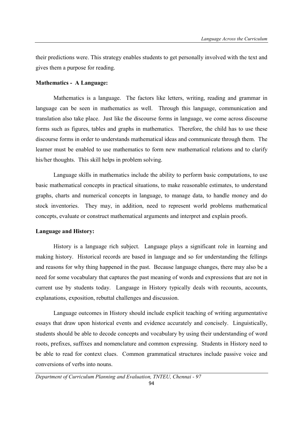their predictions were. This strategy enables students to get personally involved with the text and gives them a purpose for reading.

### Mathematics - A Language:

 Mathematics is a language. The factors like letters, writing, reading and grammar in language can be seen in mathematics as well. Through this language, communication and translation also take place. Just like the discourse forms in language, we come across discourse forms such as figures, tables and graphs in mathematics. Therefore, the child has to use these discourse forms in order to understands mathematical ideas and communicate through them. The learner must be enabled to use mathematics to form new mathematical relations and to clarify his/her thoughts. This skill helps in problem solving.

Language skills in mathematics include the ability to perform basic computations, to use basic mathematical concepts in practical situations, to make reasonable estimates, to understand graphs, charts and numerical concepts in language, to manage data, to handle money and do stock inventories. They may, in addition, need to represent world problems mathematical concepts, evaluate or construct mathematical arguments and interpret and explain proofs.

### Language and History:

History is a language rich subject. Language plays a significant role in learning and making history. Historical records are based in language and so for understanding the fellings and reasons for why thing happened in the past. Because language changes, there may also be a need for some vocabulary that captures the past meaning of words and expressions that are not in current use by students today. Language in History typically deals with recounts, accounts, explanations, exposition, rebuttal challenges and discussion.

 Language outcomes in History should include explicit teaching of writing argumentative essays that draw upon historical events and evidence accurately and concisely. Linguistically, students should be able to decode concepts and vocabulary by using their understanding of word roots, prefixes, suffixes and nomenclature and common expressing. Students in History need to be able to read for context clues. Common grammatical structures include passive voice and conversions of verbs into nouns.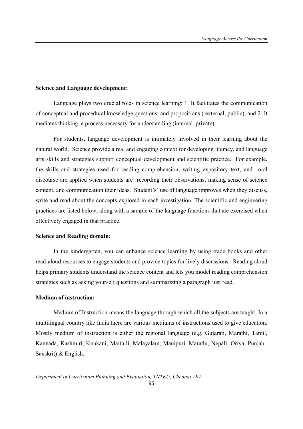### Science and Language development:

 Language plays two crucial roles in science learning: 1. It facilitates the communication of conceptual and procedural knowledge questions, and propositions ( external, public), and 2. It mediates thinking, a process necessary for understanding (internal, private).

For students, language development is intimately involved in their learning about the natural world. Science provide a real and engaging context for developing literacy, and language arts skills and strategies support conceptual development and scientific practice. For example, the skills and strategies used for reading comprehension, writing expository text, and oral discourse are applied when students are recording their observations, making sense of science content, and communication their ideas. Student's' use of language improves when they discuss, write and read about the concepts explored in each investigation. The scientific and engineering practices are listed below, along with a sample of the language functions that ate exercised when effectively engaged in that practice.

#### Science and Reading domain:

In the kindergarten, you can enhance science learning by using trade books and other read-aloud resources to engage students and provide topics for lively discussions. Reading aloud helps primary students understand the science content and lets you model reading comprehension strategies such as asking yourself questions and summarizing a paragraph just read.

#### Medium of instruction:

Medium of Instruction means the language through which all the subjects are taught. In a multilingual country like India there are various mediums of instructions used to give education. Mostly medium of instruction is either the regional language (e.g. Gujarati, Marathi, Tamil, Kannada, Kashmiri, Konkani, Maithili, Malayalam, Manipuri, Marathi, Nepali, Oriya, Punjabi, Sanskrit) & English.

Department of Curriculum Planning and Evaluation, TNTEU, Chennai - 97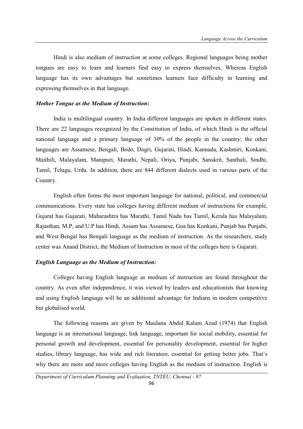Hindi is also medium of instruction at some colleges. Regional languages being mother tongues are easy to learn and learners find easy to express themselves, Whereas English language has its own advantages but sometimes learners face difficulty in learning and expressing themselves in that language.

### Mother Tongue as the Medium of Instruction:

India is multilingual country. In India different languages are spoken in different states. There are 22 languages recognized by the Constitution of India, of which Hindi is the official national language and a primary language of 30% of the people in the country; the other languages are Assamese, Bengali, Bodo, Dogri, Gujarati, Hindi, Kannada, Kashmiri, Konkani, Maithili, Malayalam, Manipuri, Marathi, Nepali, Oriya, Punjabi, Sanskrit, Santhali, Sindhi, Tamil, Telugu, Urdu. In addition, there are 844 different dialects used in various parts of the Country.

English often forms the most important language for national, political, and commercial communications. Every state has colleges having different medium of instructions for example, Gujarat has Gujarati, Maharashtra has Marathi, Tamil Nadu has Tamil, Kerala has Malayalam, Rajasthan, M.P, and U.P has Hindi, Assam has Assamese, Goa has Konkani, Punjab has Punjabi, and West Bengal has Bengali language as the medium of instruction. As the researchers, study center was Anand District, the Medium of Instruction in most of the colleges here is Gujarati.

#### English Language as the Medium of Instruction:

Colleges having English language as medium of instruction are found throughout the country. As even after independence, it was viewed by leaders and educationists that knowing and using English language will be an additional advantage for Indians in modern competitive but globalised world.

The following reasons are given by Maulana Abdul Kalam Azad (1974) that English language is an international language, link language, important for social mobility, essential for personal growth and development, essential for personality development, essential for higher studies, library language, has wide and rich literature, essential for getting better jobs. That's why there are more and more colleges having English as the medium of instruction. English is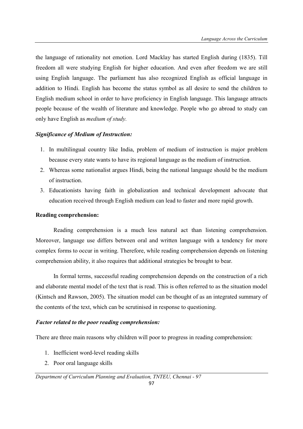the language of rationality not emotion. Lord Macklay has started English during (1835). Till freedom all were studying English for higher education. And even after freedom we are still using English language. The parliament has also recognized English as official language in addition to Hindi. English has become the status symbol as all desire to send the children to English medium school in order to have proficiency in English language. This language attracts people because of the wealth of literature and knowledge. People who go abroad to study can only have English as medium of study.

### Significance of Medium of Instruction:

- 1. In multilingual country like India, problem of medium of instruction is major problem because every state wants to have its regional language as the medium of instruction.
- 2. Whereas some nationalist argues Hindi, being the national language should be the medium of instruction.
- 3. Educationists having faith in globalization and technical development advocate that education received through English medium can lead to faster and more rapid growth.

### Reading comprehension:

Reading comprehension is a much less natural act than listening comprehension. Moreover, language use differs between oral and written language with a tendency for more complex forms to occur in writing. Therefore, while reading comprehension depends on listening comprehension ability, it also requires that additional strategies be brought to bear.

In formal terms, successful reading comprehension depends on the construction of a rich and elaborate mental model of the text that is read. This is often referred to as the situation model (Kintsch and Rawson, 2005). The situation model can be thought of as an integrated summary of the contents of the text, which can be scrutinised in response to questioning.

### Factor related to the poor reading comprehension:

There are three main reasons why children will poor to progress in reading comprehension:

- 1. Inefficient word-level reading skills
- 2. Poor oral language skills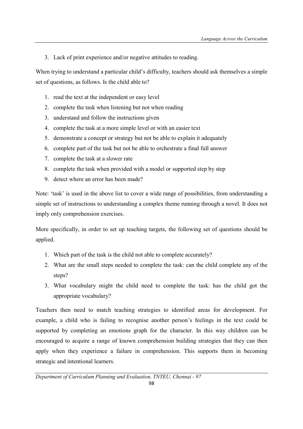3. Lack of print experience and/or negative attitudes to reading.

When trying to understand a particular child's difficulty, teachers should ask themselves a simple set of questions, as follows. Is the child able to?

- 1. read the text at the independent or easy level
- 2. complete the task when listening but not when reading
- 3. understand and follow the instructions given
- 4. complete the task at a more simple level or with an easier text
- 5. demonstrate a concept or strategy but not be able to explain it adequately
- 6. complete part of the task but not be able to orchestrate a final full answer
- 7. complete the task at a slower rate
- 8. complete the task when provided with a model or supported step by step
- 9. detect where an error has been made?

Note: 'task' is used in the above list to cover a wide range of possibilities, from understanding a simple set of instructions to understanding a complex theme running through a novel. It does not imply only comprehension exercises.

More specifically, in order to set up teaching targets, the following set of questions should be applied.

- 1. Which part of the task is the child not able to complete accurately?
- 2. What are the small steps needed to complete the task: can the child complete any of the steps?
- 3. What vocabulary might the child need to complete the task: has the child got the appropriate vocabulary?

Teachers then need to match teaching strategies to identified areas for development. For example, a child who is failing to recognise another person's feelings in the text could be supported by completing an emotions graph for the character. In this way children can be encouraged to acquire a range of known comprehension building strategies that they can then apply when they experience a failure in comprehension. This supports them in becoming strategic and intentional learners.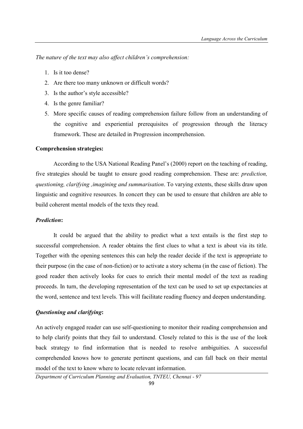The nature of the text may also affect children's comprehension:

- 1. Is it too dense?
- 2. Are there too many unknown or difficult words?
- 3. Is the author's style accessible?
- 4. Is the genre familiar?
- 5. More specific causes of reading comprehension failure follow from an understanding of the cognitive and experiential prerequisites of progression through the literacy framework. These are detailed in Progression incomprehension.

#### Comprehension strategies:

According to the USA National Reading Panel's (2000) report on the teaching of reading, five strategies should be taught to ensure good reading comprehension. These are: prediction, questioning, clarifying ,imagining and summarisation. To varying extents, these skills draw upon linguistic and cognitive resources. In concert they can be used to ensure that children are able to build coherent mental models of the texts they read.

#### Prediction:

It could be argued that the ability to predict what a text entails is the first step to successful comprehension. A reader obtains the first clues to what a text is about via its title. Together with the opening sentences this can help the reader decide if the text is appropriate to their purpose (in the case of non-fiction) or to activate a story schema (in the case of fiction). The good reader then actively looks for cues to enrich their mental model of the text as reading proceeds. In turn, the developing representation of the text can be used to set up expectancies at the word, sentence and text levels. This will facilitate reading fluency and deepen understanding.

### Questioning and clarifying:

An actively engaged reader can use self-questioning to monitor their reading comprehension and to help clarify points that they fail to understand. Closely related to this is the use of the look back strategy to find information that is needed to resolve ambiguities. A successful comprehended knows how to generate pertinent questions, and can fall back on their mental model of the text to know where to locate relevant information.

Department of Curriculum Planning and Evaluation, TNTEU, Chennai - 97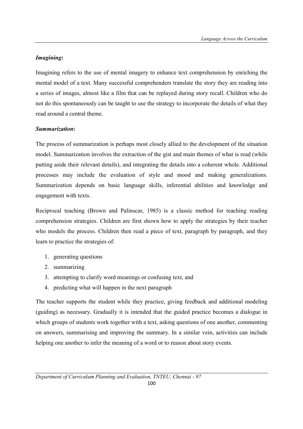## Imagining:

Imagining refers to the use of mental imagery to enhance text comprehension by enriching the mental model of a text. Many successful comprehenders translate the story they are reading into a series of images, almost like a film that can be replayed during story recall. Children who do not do this spontaneously can be taught to use the strategy to incorporate the details of what they read around a central theme.

## Summarization:

The process of summarization is perhaps most closely allied to the development of the situation model. Summarization involves the extraction of the gist and main themes of what is read (while putting aside their relevant details), and integrating the details into a coherent whole. Additional processes may include the evaluation of style and mood and making generalizations. Summarization depends on basic language skills, inferential abilities and knowledge and engagement with texts.

Reciprocal teaching (Brown and Palinscar, 1985) is a classic method for teaching reading comprehension strategies. Children are first shown how to apply the strategies by their teacher who models the process. Children then read a piece of text, paragraph by paragraph, and they learn to practice the strategies of:

- 1. generating questions
- 2. summarizing
- 3. attempting to clarify word meanings or confusing text, and
- 4. predicting what will happen in the next paragraph

The teacher supports the student while they practice, giving feedback and additional modeling (guiding) as necessary. Gradually it is intended that the guided practice becomes a dialogue in which groups of students work together with a text, asking questions of one another, commenting on answers, summarising and improving the summary. In a similar vein, activities can include helping one another to infer the meaning of a word or to reason about story events.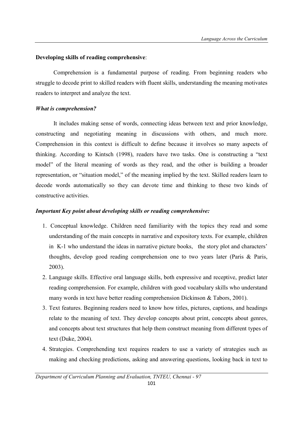### Developing skills of reading comprehensive:

Comprehension is a fundamental purpose of reading. From beginning readers who struggle to decode print to skilled readers with fluent skills, understanding the meaning motivates readers to interpret and analyze the text.

### What is comprehension?

 It includes making sense of words, connecting ideas between text and prior knowledge, constructing and negotiating meaning in discussions with others, and much more. Comprehension in this context is difficult to define because it involves so many aspects of thinking. According to Kintsch (1998), readers have two tasks. One is constructing a "text model" of the literal meaning of words as they read, and the other is building a broader representation, or "situation model," of the meaning implied by the text. Skilled readers learn to decode words automatically so they can devote time and thinking to these two kinds of constructive activities.

### Important Key point about developing skills or reading comprehensive:

- 1. Conceptual knowledge. Children need familiarity with the topics they read and some understanding of the main concepts in narrative and expository texts. For example, children in K-1 who understand the ideas in narrative picture books, the story plot and characters' thoughts, develop good reading comprehension one to two years later (Paris & Paris, 2003).
- 2. Language skills. Effective oral language skills, both expressive and receptive, predict later reading comprehension. For example, children with good vocabulary skills who understand many words in text have better reading comprehension Dickinson & Tabors, 2001).
- 3. Text features. Beginning readers need to know how titles, pictures, captions, and headings relate to the meaning of text. They develop concepts about print, concepts about genres, and concepts about text structures that help them construct meaning from different types of text (Duke, 2004).
- 4. Strategies. Comprehending text requires readers to use a variety of strategies such as making and checking predictions, asking and answering questions, looking back in text to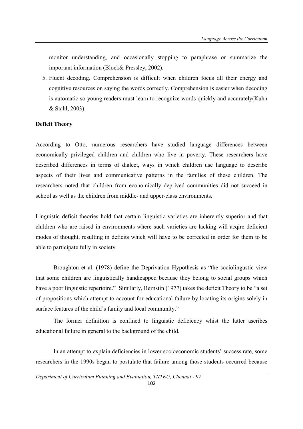monitor understanding, and occasionally stopping to paraphrase or summarize the important information (Block& Pressley, 2002).

5. Fluent decoding. Comprehension is difficult when children focus all their energy and cognitive resources on saying the words correctly. Comprehension is easier when decoding is automatic so young readers must learn to recognize words quickly and accurately(Kuhn & Stahl, 2003).

### Deficit Theory

According to Otto, numerous researchers have studied language differences between economically privileged children and children who live in poverty. These researchers have described differences in terms of dialect, ways in which children use language to describe aspects of their lives and communicative patterns in the families of these children. The researchers noted that children from economically deprived communities did not succeed in school as well as the children from middle- and upper-class environments.

Linguistic deficit theories hold that certain linguistic varieties are inherently superior and that children who are raised in environments where such varieties are lacking will acqire deficient modes of thought, resulting in deficits which will have to be corrected in order for them to be able to participate fully in society.

 Broughton et al. (1978) define the Deprivation Hypothesis as "the sociolingustic view that some children are linguistically handicapped because they belong to social groups which have a poor linguistic repertoire." Similarly, Bernstin (1977) takes the deficit Theory to be "a set of propositions which attempt to account for educational failure by locating its origins solely in surface features of the child's family and local community."

 The former definition is confined to linguistic deficiency whist the latter ascribes educational failure in general to the background of the child.

 In an attempt to explain deficiencies in lower socioeconomic students' success rate, some researchers in the 1990s began to postulate that failure among those students occurred because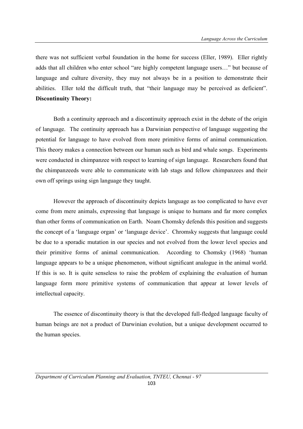there was not sufficient verbal foundation in the home for success (Eller, 1989). Eller rightly adds that all children who enter school "are highly competent language users…" but because of language and culture diversity, they may not always be in a position to demonstrate their abilities. Eller told the difficult truth, that "their language may be perceived as deficient". Discontinuity Theory:

 Both a continuity approach and a discontinuity approach exist in the debate of the origin of language. The continuity approach has a Darwinian perspective of language suggesting the potential for language to have evolved from more primitive forms of animal communication. This theory makes a connection between our human such as bird and whale songs. Experiments were conducted in chimpanzee with respect to learning of sign language. Researchers found that the chimpanzeeds were able to communicate with lab stags and fellow chimpanzees and their own off springs using sign language they taught.

 However the approach of discontinuity depicts language as too complicated to have ever come from mere animals, expressing that language is unique to humans and far more complex than other forms of communication on Earth. Noam Chomsky defends this position and suggests the concept of a 'language organ' or 'language device'. Chromsky suggests that language could be due to a sporadic mutation in our species and not evolved from the lower level species and their primitive forms of animal communication. According to Chomsky (1968) 'human language appears to be a unique phenomenon, without significant analogue in the animal world. If this is so. It is quite senseless to raise the problem of explaining the evaluation of human language form more primitive systems of communication that appear at lower levels of intellectual capacity.

 The essence of discontinuity theory is that the developed full-fledged language faculty of human beings are not a product of Darwinian evolution, but a unique development occurred to the human species.

# Department of Curriculum Planning and Evaluation, TNTEU, Chennai - 97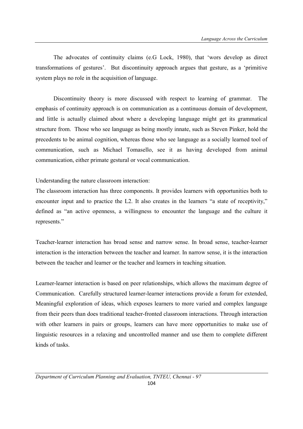The advocates of continuity claims (e.G Lock, 1980), that 'wors develop as direct transformations of gestures'. But discontinuity approach argues that gesture, as a 'primitive system plays no role in the acquisition of language.

 Discontinuity theory is more discussed with respect to learning of grammar. The emphasis of continuity approach is on communication as a continuous domain of development, and little is actually claimed about where a developing language might get its grammatical structure from. Those who see language as being mostly innate, such as Steven Pinker, hold the precedents to be animal cognition, whereas those who see language as a socially learned tool of communication, such as Michael Tomasello, see it as having developed from animal communication, either primate gestural or vocal communication.

Understanding the nature classroom interaction:

The classroom interaction has three components. It provides learners with opportunities both to encounter input and to practice the L2. It also creates in the learners "a state of receptivity," defined as "an active openness, a willingness to encounter the language and the culture it represents."

Teacher-learner interaction has broad sense and narrow sense. In broad sense, teacher-learner interaction is the interaction between the teacher and learner. In narrow sense, it is the interaction between the teacher and learner or the teacher and learners in teaching situation.

Learner-learner interaction is based on peer relationships, which allows the maximum degree of Communication. Carefully structured learner-learner interactions provide a forum for extended, Meaningful exploration of ideas, which exposes learners to more varied and complex language from their peers than does traditional teacher-fronted classroom interactions. Through interaction with other learners in pairs or groups, learners can have more opportunities to make use of linguistic resources in a relaxing and uncontrolled manner and use them to complete different kinds of tasks.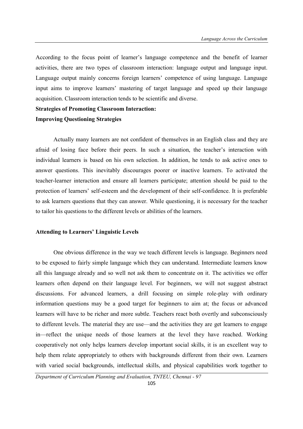According to the focus point of learner's language competence and the benefit of learner activities, there are two types of classroom interaction: language output and language input. Language output mainly concerns foreign learners' competence of using language. Language input aims to improve learners' mastering of target language and speed up their language acquisition. Classroom interaction tends to be scientific and diverse.

#### Strategies of Promoting Classroom Interaction:

### Improving Questioning Strategies

Actually many learners are not confident of themselves in an English class and they are afraid of losing face before their peers. In such a situation, the teacher's interaction with individual learners is based on his own selection. In addition, he tends to ask active ones to answer questions. This inevitably discourages poorer or inactive learners. To activated the teacher-learner interaction and ensure all learners participate; attention should be paid to the protection of learners' self-esteem and the development of their self-confidence. It is preferable to ask learners questions that they can answer. While questioning, it is necessary for the teacher to tailor his questions to the different levels or abilities of the learners.

#### Attending to Learners' Linguistic Levels

One obvious difference in the way we teach different levels is language. Beginners need to be exposed to fairly simple language which they can understand. Intermediate learners know all this language already and so well not ask them to concentrate on it. The activities we offer learners often depend on their language level. For beginners, we will not suggest abstract discussions. For advanced learners, a drill focusing on simple role-play with ordinary information questions may be a good target for beginners to aim at; the focus or advanced learners will have to be richer and more subtle. Teachers react both overtly and subconsciously to different levels. The material they are use—and the activities they are get learners to engage in—reflect the unique needs of those learners at the level they have reached. Working cooperatively not only helps learners develop important social skills, it is an excellent way to help them relate appropriately to others with backgrounds different from their own. Learners with varied social backgrounds, intellectual skills, and physical capabilities work together to

Department of Curriculum Planning and Evaluation, TNTEU, Chennai - 97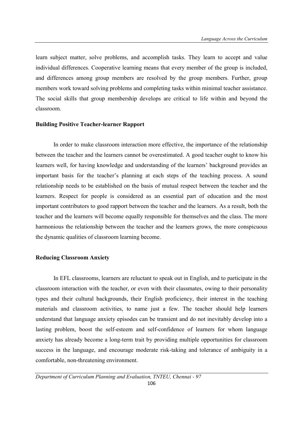learn subject matter, solve problems, and accomplish tasks. They learn to accept and value individual differences. Cooperative learning means that every member of the group is included, and differences among group members are resolved by the group members. Further, group members work toward solving problems and completing tasks within minimal teacher assistance. The social skills that group membership develops are critical to life within and beyond the classroom.

#### Building Positive Teacher-learner Rapport

In order to make classroom interaction more effective, the importance of the relationship between the teacher and the learners cannot be overestimated. A good teacher ought to know his learners well, for having knowledge and understanding of the learners' background provides an important basis for the teacher's planning at each steps of the teaching process. A sound relationship needs to be established on the basis of mutual respect between the teacher and the learners. Respect for people is considered as an essential part of education and the most important contributors to good rapport between the teacher and the learners. As a result, both the teacher and the learners will become equally responsible for themselves and the class. The more harmonious the relationship between the teacher and the learners grows, the more conspicuous the dynamic qualities of classroom learning become.

#### Reducing Classroom Anxiety

In EFL classrooms, learners are reluctant to speak out in English, and to participate in the classroom interaction with the teacher, or even with their classmates, owing to their personality types and their cultural backgrounds, their English proficiency, their interest in the teaching materials and classroom activities, to name just a few. The teacher should help learners understand that language anxiety episodes can be transient and do not inevitably develop into a lasting problem, boost the self-esteem and self-confidence of learners for whom language anxiety has already become a long-term trait by providing multiple opportunities for classroom success in the language, and encourage moderate risk-taking and tolerance of ambiguity in a comfortable, non-threatening environment.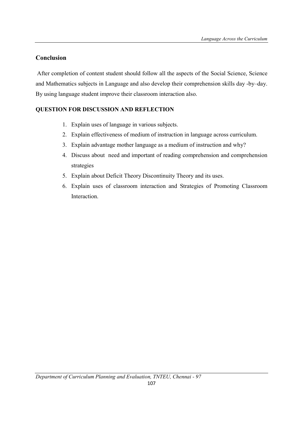## Conclusion

After completion of content student should follow all the aspects of the Social Science, Science and Mathematics subjects in Language and also develop their comprehension skills day -by–day. By using language student improve their classroom interaction also.

## QUESTION FOR DISCUSSION AND REFLECTION

- 1. Explain uses of language in various subjects.
- 2. Explain effectiveness of medium of instruction in language across curriculum.
- 3. Explain advantage mother language as a medium of instruction and why?
- 4. Discuss about need and important of reading comprehension and comprehension strategies
- 5. Explain about Deficit Theory Discontinuity Theory and its uses.
- 6. Explain uses of classroom interaction and Strategies of Promoting Classroom Interaction.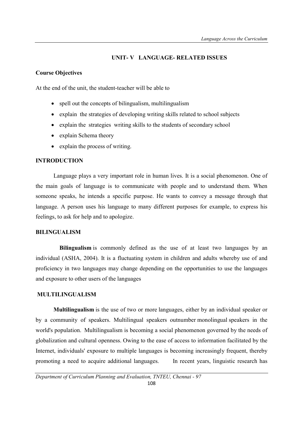#### UNIT- V LANGUAGE- RELATED ISSUES

#### Course Objectives

At the end of the unit, the student-teacher will be able to

- spell out the concepts of bilingualism, multilingualism
- explain the strategies of developing writing skills related to school subjects
- explain the strategies writing skills to the students of secondary school
- explain Schema theory
- explain the process of writing.

#### **INTRODUCTION**

Language plays a very important role in human lives. It is a social phenomenon. One of the main goals of language is to communicate with people and to understand them. When someone speaks, he intends a specific purpose. He wants to convey a message through that language. A person uses his language to many different purposes for example, to express his feelings, to ask for help and to apologize.

#### BILINGUALISM

Bilingualism is commonly defined as the use of at least two languages by an individual (ASHA, 2004). It is a fluctuating system in children and adults whereby use of and proficiency in two languages may change depending on the opportunities to use the languages and exposure to other users of the languages

#### MULTILINGUALISM

Multilingualism is the use of two or more languages, either by an individual speaker or by a community of speakers. Multilingual speakers outnumber monolingual speakers in the world's population. Multilingualism is becoming a social phenomenon governed by the needs of globalization and cultural openness. Owing to the ease of access to information facilitated by the Internet, individuals' exposure to multiple languages is becoming increasingly frequent, thereby promoting a need to acquire additional languages. In recent years, linguistic research has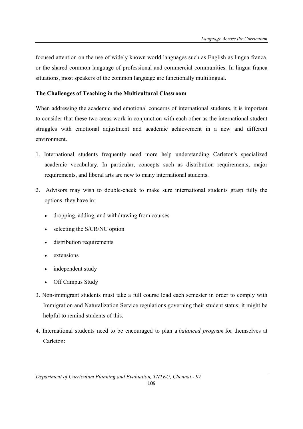focused attention on the use of widely known world languages such as English as lingua franca, or the shared common language of professional and commercial communities. In lingua franca situations, most speakers of the common language are functionally multilingual.

## The Challenges of Teaching in the Multicultural Classroom

When addressing the academic and emotional concerns of international students, it is important to consider that these two areas work in conjunction with each other as the international student struggles with emotional adjustment and academic achievement in a new and different environment.

- 1. International students frequently need more help understanding Carleton's specialized academic vocabulary. In particular, concepts such as distribution requirements, major requirements, and liberal arts are new to many international students.
- 2. Advisors may wish to double-check to make sure international students grasp fully the options they have in:
	- dropping, adding, and withdrawing from courses
	- selecting the S/CR/NC option
	- distribution requirements
	- extensions
	- independent study
	- Off Campus Study
- 3. Non-immigrant students must take a full course load each semester in order to comply with Immigration and Naturalization Service regulations governing their student status; it might be helpful to remind students of this.
- 4. International students need to be encouraged to plan a balanced program for themselves at Carleton: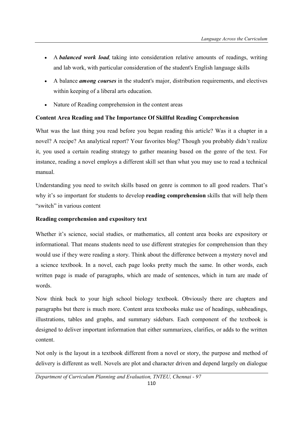- A *balanced work load*, taking into consideration relative amounts of readings, writing and lab work, with particular consideration of the student's English language skills
- A balance *among courses* in the student's major, distribution requirements, and electives within keeping of a liberal arts education.
- Nature of Reading comprehension in the content areas

## Content Area Reading and The Importance Of Skillful Reading Comprehension

What was the last thing you read before you began reading this article? Was it a chapter in a novel? A recipe? An analytical report? Your favorites blog? Though you probably didn't realize it, you used a certain reading strategy to gather meaning based on the genre of the text. For instance, reading a novel employs a different skill set than what you may use to read a technical manual.

Understanding you need to switch skills based on genre is common to all good readers. That's why it's so important for students to develop **reading comprehension** skills that will help them "switch" in various content

## Reading comprehension and expository text

Whether it's science, social studies, or mathematics, all content area books are expository or informational. That means students need to use different strategies for comprehension than they would use if they were reading a story. Think about the difference between a mystery novel and a science textbook. In a novel, each page looks pretty much the same. In other words, each written page is made of paragraphs, which are made of sentences, which in turn are made of words.

Now think back to your high school biology textbook. Obviously there are chapters and paragraphs but there is much more. Content area textbooks make use of headings, subheadings, illustrations, tables and graphs, and summary sidebars. Each component of the textbook is designed to deliver important information that either summarizes, clarifies, or adds to the written content.

Not only is the layout in a textbook different from a novel or story, the purpose and method of delivery is different as well. Novels are plot and character driven and depend largely on dialogue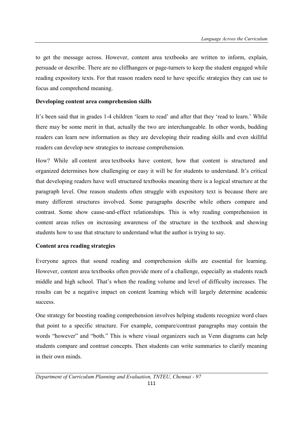to get the message across. However, content area textbooks are written to inform, explain, persuade or describe. There are no cliffhangers or page-turners to keep the student engaged while reading expository texts. For that reason readers need to have specific strategies they can use to focus and comprehend meaning.

#### Developing content area comprehension skills

It's been said that in grades 1-4 children 'learn to read' and after that they 'read to learn.' While there may be some merit in that, actually the two are interchangeable. In other words, budding readers can learn new information as they are developing their reading skills and even skillful readers can develop new strategies to increase comprehension.

How? While all content area textbooks have content, how that content is structured and organized determines how challenging or easy it will be for students to understand. It's critical that developing readers have well structured textbooks meaning there is a logical structure at the paragraph level. One reason students often struggle with expository text is because there are many different structures involved. Some paragraphs describe while others compare and contrast. Some show cause-and-effect relationships. This is why reading comprehension in content areas relies on increasing awareness of the structure in the textbook and showing students how to use that structure to understand what the author is trying to say.

## Content area reading strategies

Everyone agrees that sound reading and comprehension skills are essential for learning. However, content area textbooks often provide more of a challenge, especially as students reach middle and high school. That's when the reading volume and level of difficulty increases. The results can be a negative impact on content learning which will largely determine academic success.

One strategy for boosting reading comprehension involves helping students recognize word clues that point to a specific structure. For example, compare/contrast paragraphs may contain the words "however" and "both." This is where visual organizers such as Venn diagrams can help students compare and contrast concepts. Then students can write summaries to clarify meaning in their own minds.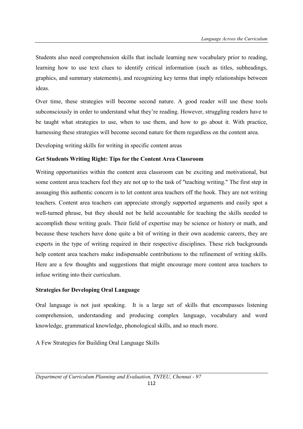Students also need comprehension skills that include learning new vocabulary prior to reading, learning how to use text clues to identify critical information (such as titles, subheadings, graphics, and summary statements), and recognizing key terms that imply relationships between ideas.

Over time, these strategies will become second nature. A good reader will use these tools subconsciously in order to understand what they're reading. However, struggling readers have to be taught what strategies to use, when to use them, and how to go about it. With practice, harnessing these strategies will become second nature for them regardless on the content area.

Developing writing skills for writing in specific content areas

## Get Students Writing Right: Tips for the Content Area Classroom

Writing opportunities within the content area classroom can be exciting and motivational, but some content area teachers feel they are not up to the task of "teaching writing." The first step in assuaging this authentic concern is to let content area teachers off the hook. They are not writing teachers. Content area teachers can appreciate strongly supported arguments and easily spot a well-turned phrase, but they should not be held accountable for teaching the skills needed to accomplish these writing goals. Their field of expertise may be science or history or math, and because these teachers have done quite a bit of writing in their own academic careers, they are experts in the type of writing required in their respective disciplines. These rich backgrounds help content area teachers make indispensable contributions to the refinement of writing skills. Here are a few thoughts and suggestions that might encourage more content area teachers to infuse writing into their curriculum.

## Strategies for Developing Oral Language

Oral language is not just speaking. It is a large set of skills that encompasses listening comprehension, understanding and producing complex language, vocabulary and word knowledge, grammatical knowledge, phonological skills, and so much more.

A Few Strategies for Building Oral Language Skills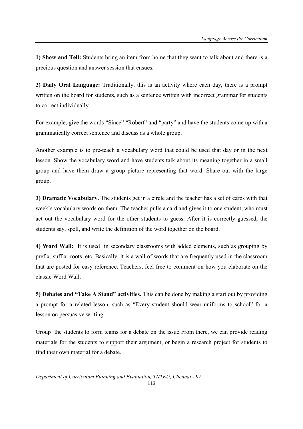1) Show and Tell: Students bring an item from home that they want to talk about and there is a precious question and answer session that ensues.

2) Daily Oral Language: Traditionally, this is an activity where each day, there is a prompt written on the board for students, such as a sentence written with incorrect grammar for students to correct individually.

For example, give the words "Since" "Robert" and "party" and have the students come up with a grammatically correct sentence and discuss as a whole group.

Another example is to pre-teach a vocabulary word that could be used that day or in the next lesson. Show the vocabulary word and have students talk about its meaning together in a small group and have them draw a group picture representing that word. Share out with the large group.

3) Dramatic Vocabulary. The students get in a circle and the teacher has a set of cards with that week's vocabulary words on them. The teacher pulls a card and gives it to one student, who must act out the vocabulary word for the other students to guess. After it is correctly guessed, the students say, spell, and write the definition of the word together on the board.

4) Word Wall: It is used in secondary classrooms with added elements, such as grouping by prefix, suffix, roots, etc. Basically, it is a wall of words that are frequently used in the classroom that are posted for easy reference. Teachers, feel free to comment on how you elaborate on the classic Word Wall.

5) Debates and "Take A Stand" activities. This can be done by making a start out by providing a prompt for a related lesson, such as "Every student should wear uniforms to school" for a lesson on persuasive writing.

Group the students to form teams for a debate on the issue From there, we can provide reading materials for the students to support their argument, or begin a research project for students to find their own material for a debate.

Department of Curriculum Planning and Evaluation, TNTEU, Chennai - 97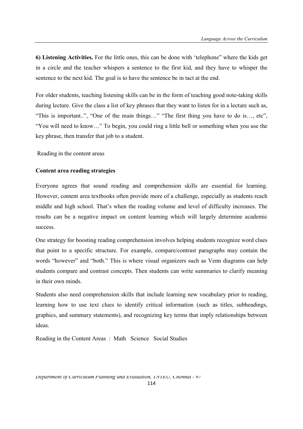6) Listening Activities. For the little ones, this can be done with 'telephone" where the kids get in a circle and the teacher whispers a sentence to the first kid, and they have to whisper the sentence to the next kid. The goal is to have the sentence be in tact at the end.

For older students, teaching listening skills can be in the form of teaching good note-taking skills during lecture. Give the class a list of key phrases that they want to listen for in a lecture such as, "This is important..", "One of the main things…" "The first thing you have to do is…, etc", "You will need to know…" To begin, you could ring a little bell or something when you use the key phrase, then transfer that job to a student.

Reading in the content areas

#### Content area reading strategies

Everyone agrees that sound reading and comprehension skills are essential for learning. However, content area textbooks often provide more of a challenge, especially as students reach middle and high school. That's when the reading volume and level of difficulty increases. The results can be a negative impact on content learning which will largely determine academic success.

One strategy for boosting reading comprehension involves helping students recognize word clues that point to a specific structure. For example, compare/contrast paragraphs may contain the words "however" and "both." This is where visual organizers such as Venn diagrams can help students compare and contrast concepts. Then students can write summaries to clarify meaning in their own minds.

Students also need comprehension skills that include learning new vocabulary prior to reading, learning how to use text clues to identify critical information (such as titles, subheadings, graphics, and summary statements), and recognizing key terms that imply relationships between ideas.

Reading in the Content Areas : Math Science Social Studies

Department of Curriculum Planning and Evaluation, TNTEU, Chennai - 97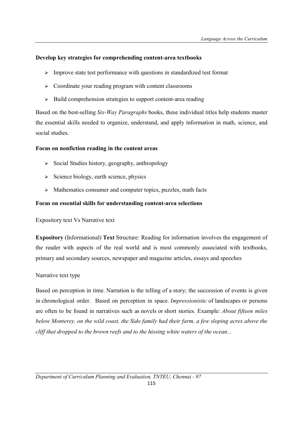## Develop key strategies for comprehending content-area textbooks

- $\triangleright$  Improve state test performance with questions in standardized test format
- $\triangleright$  Coordinate your reading program with content classrooms
- $\triangleright$  Build comprehension strategies to support content-area reading

Based on the best-selling Six-Way Paragraphs books, these individual titles help students master the essential skills needed to organize, understand, and apply information in math, science, and social studies.

## Focus on nonfiction reading in the content areas

- $\triangleright$  Social Studies history, geography, anthropology
- $\triangleright$  Science biology, earth science, physics
- $\triangleright$  Mathematics consumer and computer topics, puzzles, math facts

## Focus on essential skills for understanding content-area selections

Expository text Vs Narrative text

Expository (Informational) Text Structure: Reading for information involves the engagement of the reader with aspects of the real world and is most commonly associated with textbooks, primary and secondary sources, newspaper and magazine articles, essays and speeches

## Narrative text type

Based on perception in time. Narration is the telling of a story; the succession of events is given in chronological order. Based on perception in space. Impressionistic of landscapes or persons are often to be found in narratives such as novels or short stories. Example: About fifteen miles below Monterey, on the wild coast, the Sido family had their farm, a few sloping acres above the cliff that dropped to the brown reefs and to the hissing white waters of the ocean...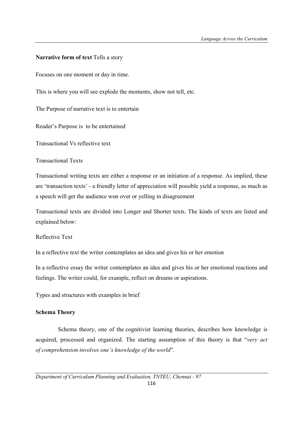#### Narrative form of text Tells a story

Focuses on one moment or day in time.

This is where you will see explode the moments, show not tell, etc.

The Purpose of narrative text is to entertain

Reader's Purpose is to be entertained

Transactional Vs reflective text

Transactional Texts

Transactional writing texts are either a response or an initiation of a response. As implied, these are 'transaction texts' - a friendly letter of appreciation will possible yield a response, as much as a speech will get the audience won over or yelling in disagreement

Transactional texts are divided into Longer and Shorter texts. The kinds of texts are listed and explained below:

Reflective Text

In a reflective text the writer contemplates an idea and gives his or her emotion

In a reflective essay the writer contemplates an idea and gives his or her emotional reactions and feelings. The writer could, for example, reflect on dreams or aspirations.

Types and structures with examples in brief

## Schema Theory

 Schema theory, one of the cognitivist learning theories, describes how knowledge is acquired, processed and organized. The starting assumption of this theory is that "very act of comprehension involves one's knowledge of the world".

Department of Curriculum Planning and Evaluation, TNTEU, Chennai - 97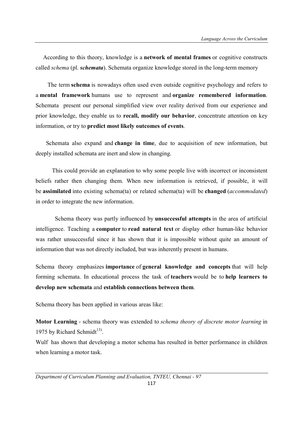According to this theory, knowledge is a network of mental frames or cognitive constructs called *schema* (pl. *schemata*). Schemata organize knowledge stored in the long-term memory

 The term schema is nowadays often used even outside cognitive psychology and refers to a mental framework humans use to represent and organize remembered information. Schemata present our personal simplified view over reality derived from our experience and prior knowledge, they enable us to recall, modify our behavior, concentrate attention on key information, or try to predict most likely outcomes of events.

 Schemata also expand and change in time, due to acquisition of new information, but deeply installed schemata are inert and slow in changing.

 This could provide an explanation to why some people live with incorrect or inconsistent beliefs rather then changing them. When new information is retrieved, if possible, it will be assimilated into existing schema(ta) or related schema(ta) will be changed (accommodated) in order to integrate the new information.

 Schema theory was partly influenced by unsuccessful attempts in the area of artificial intelligence. Teaching a computer to read natural text or display other human-like behavior was rather unsuccessful since it has shown that it is impossible without quite an amount of information that was not directly included, but was inherently present in humans.

Schema theory emphasizes importance of general knowledge and concepts that will help forming schemata. In educational process the task of teachers would be to help learners to develop new schemata and establish connections between them.

Schema theory has been applied in various areas like:

Motor Learning - schema theory was extended to *schema theory of discrete motor learning* in 1975 by Richard Schmidt<sup>13</sup>.

Wulf has shown that developing a motor schema has resulted in better performance in children when learning a motor task.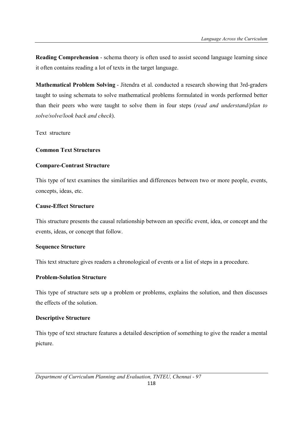Reading Comprehension - schema theory is often used to assist second language learning since it often contains reading a lot of texts in the target language.

Mathematical Problem Solving - Jitendra et al. conducted a research showing that 3rd-graders taught to using schemata to solve mathematical problems formulated in words performed better than their peers who were taught to solve them in four steps (read and understand/plan to solve/solve/look back and check).

Text structure

#### Common Text Structures

#### Compare-Contrast Structure

This type of text examines the similarities and differences between two or more people, events, concepts, ideas, etc.

#### Cause-Effect Structure

This structure presents the causal relationship between an specific event, idea, or concept and the events, ideas, or concept that follow.

#### Sequence Structure

This text structure gives readers a chronological of events or a list of steps in a procedure.

## Problem-Solution Structure

This type of structure sets up a problem or problems, explains the solution, and then discusses the effects of the solution.

## Descriptive Structure

This type of text structure features a detailed description of something to give the reader a mental picture.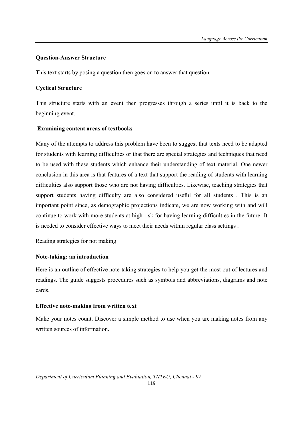## Question-Answer Structure

This text starts by posing a question then goes on to answer that question.

# Cyclical Structure

This structure starts with an event then progresses through a series until it is back to the beginning event.

## Examining content areas of textbooks

Many of the attempts to address this problem have been to suggest that texts need to be adapted for students with learning difficulties or that there are special strategies and techniques that need to be used with these students which enhance their understanding of text material. One newer conclusion in this area is that features of a text that support the reading of students with learning difficulties also support those who are not having difficulties. Likewise, teaching strategies that support students having difficulty are also considered useful for all students . This is an important point since, as demographic projections indicate, we are now working with and will continue to work with more students at high risk for having learning difficulties in the future It is needed to consider effective ways to meet their needs within regular class settings .

Reading strategies for not making

## Note-taking: an introduction

Here is an outline of effective note-taking strategies to help you get the most out of lectures and readings. The guide suggests procedures such as symbols and abbreviations, diagrams and note cards.

## Effective note-making from written text

Make your notes count. Discover a simple method to use when you are making notes from any written sources of information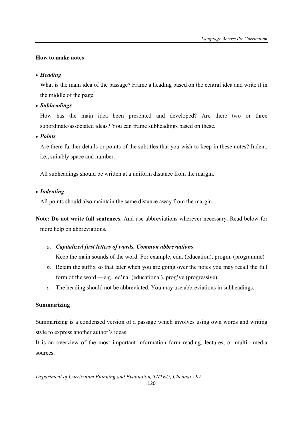## How to make notes

## • Heading

What is the main idea of the passage? Frame a heading based on the central idea and write it in the middle of the page.

Subheadings

How has the main idea been presented and developed? Are there two or three subordinate/associated ideas? You can frame subheadings based on these.

• Points

Are there further details or points of the subtitles that you wish to keep in these notes? Indent, i.e., suitably space and number.

All subheadings should be written at a uniform distance from the margin.

# • Indenting

All points should also maintain the same distance away from the margin.

Note: Do not write full sentences. And use abbreviations wherever necessary. Read below for more help on abbreviations.

# a. Capitalized first letters of words, Common abbreviations

Keep the main sounds of the word. For example, edn. (education), progm. (programme)

- b. Retain the suffix so that later when you are going over the notes you may recall the full form of the word —e.g., ed'nal (educational), prog've (progressive).
- c. The heading should not be abbreviated. You may use abbreviations in subheadings.

## Summarizing

Summarizing is a condensed version of a passage which involves using own words and writing style to express another author's ideas.

It is an overview of the most important information form reading, lectures, or multi –media sources.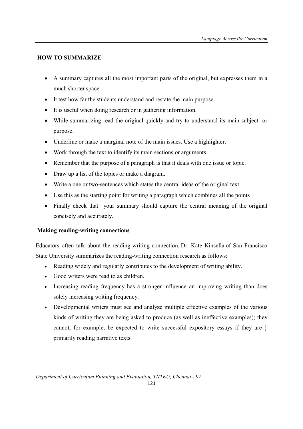#### HOW TO SUMMARIZE

- A summary captures all the most important parts of the original, but expresses them in a much shorter space.
- It test how far the students understand and restate the main purpose.
- It is useful when doing research or in gathering information.
- While summarizing read the original quickly and try to understand its main subject or purpose.
- Underline or make a marginal note of the main issues. Use a highlighter.
- Work through the text to identify its main sections or arguments.
- Remember that the purpose of a paragraph is that it deals with one issue or topic.
- Draw up a list of the topics or make a diagram.
- Write a one or two-sentences which states the central ideas of the original text.
- Use this as the starting point for writing a paragraph which combines all the points .
- Finally check that your summary should capture the central meaning of the original concisely and accurately.

## Making reading-writing connections

Educators often talk about the reading-writing connection. Dr. Kate Kinsella of San Francisco State University summarizes the reading-writing connection research as follows:

- Reading widely and regularly contributes to the development of writing ability.
- Good writers were read to as children
- Increasing reading frequency has a stronger influence on improving writing than does solely increasing writing frequency.
- Developmental writers must see and analyze multiple effective examples of the various kinds of writing they are being asked to produce (as well as ineffective examples); they cannot, for example, be expected to write successful expository essays if they are } primarily reading narrative texts.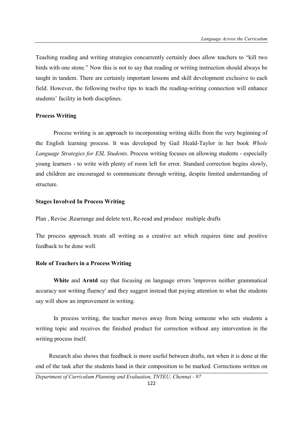Teaching reading and writing strategies concurrently certainly does allow teachers to "kill two birds with one stone." Now this is not to say that reading or writing instruction should always be taught in tandem. There are certainly important lessons and skill development exclusive to each field. However, the following twelve tips to teach the reading-writing connection will enhance students' facility in both disciplines.

#### Process Writing

 Process writing is an approach to incorporating writing skills from the very beginning of the English learning process. It was developed by Gail Heald-Taylor in her book Whole Language Strategies for ESL Students. Process writing focuses on allowing students - especially young learners - to write with plenty of room left for error. Standard correction begins slowly, and children are encouraged to communicate through writing, despite limited understanding of structure.

#### Stages Involved In Process Writing

Plan , Revise ,Rearrange and delete text, Re-read and produce multiple drafts

The process approach treats all writing as a creative act which requires time and positive feedback to be done well.

#### Role of Teachers in a Process Writing

White and Arntd say that focusing on language errors 'improves neither grammatical accuracy nor writing fluency' and they suggest instead that paying attention to what the students say will show an improvement in writing.

 In process writing, the teacher moves away from being someone who sets students a writing topic and receives the finished product for correction without any intervention in the writing process itself.

 Research also shows that feedback is more useful between drafts, not when it is done at the end of the task after the students hand in their composition to be marked. Corrections written on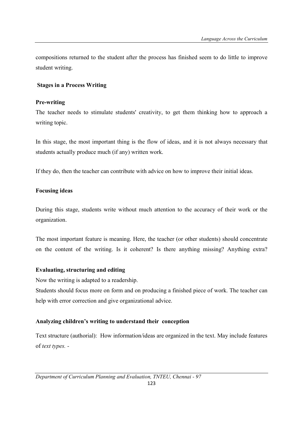compositions returned to the student after the process has finished seem to do little to improve student writing.

# Stages in a Process Writing

## Pre-writing

The teacher needs to stimulate students' creativity, to get them thinking how to approach a writing topic.

In this stage, the most important thing is the flow of ideas, and it is not always necessary that students actually produce much (if any) written work.

If they do, then the teacher can contribute with advice on how to improve their initial ideas.

# Focusing ideas

During this stage, students write without much attention to the accuracy of their work or the organization.

The most important feature is meaning. Here, the teacher (or other students) should concentrate on the content of the writing. Is it coherent? Is there anything missing? Anything extra?

## Evaluating, structuring and editing

Now the writing is adapted to a readership.

Students should focus more on form and on producing a finished piece of work. The teacher can help with error correction and give organizational advice.

## Analyzing children's writing to understand their conception

Text structure (authorial): How information/ideas are organized in the text. May include features of text types. -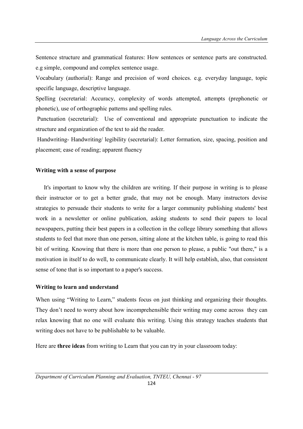Sentence structure and grammatical features: How sentences or sentence parts are constructed. e.g simple, compound and complex sentence usage.

Vocabulary (authorial): Range and precision of word choices. e.g. everyday language, topic specific language, descriptive language.

Spelling (secretarial: Accuracy, complexity of words attempted, attempts (prephonetic or phonetic), use of orthographic patterns and spelling rules.

 Punctuation (secretarial): Use of conventional and appropriate punctuation to indicate the structure and organization of the text to aid the reader.

 Handwriting- Handwriting/ legibility (secretarial): Letter formation, size, spacing, position and placement; ease of reading; apparent fluency

#### Writing with a sense of purpose

It's important to know why the children are writing. If their purpose in writing is to please their instructor or to get a better grade, that may not be enough. Many instructors devise strategies to persuade their students to write for a larger community publishing students' best work in a newsletter or online publication, asking students to send their papers to local newspapers, putting their best papers in a collection in the college library something that allows students to feel that more than one person, sitting alone at the kitchen table, is going to read this bit of writing. Knowing that there is more than one person to please, a public "out there," is a motivation in itself to do well, to communicate clearly. It will help establish, also, that consistent sense of tone that is so important to a paper's success.

#### Writing to learn and understand

When using "Writing to Learn," students focus on just thinking and organizing their thoughts. They don't need to worry about how incomprehensible their writing may come across they can relax knowing that no one will evaluate this writing. Using this strategy teaches students that writing does not have to be publishable to be valuable.

Here are **three ideas** from writing to Learn that you can try in your classroom today: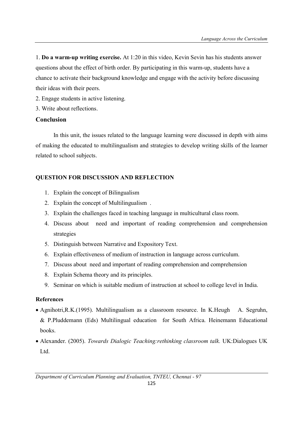1. Do a warm-up writing exercise. At 1:20 in this video, Kevin Sevin has his students answer questions about the effect of birth order. By participating in this warm-up, students have a chance to activate their background knowledge and engage with the activity before discussing their ideas with their peers.

- 2. Engage students in active listening.
- 3. Write about reflections.

# Conclusion

In this unit, the issues related to the language learning were discussed in depth with aims of making the educated to multilingualism and strategies to develop writing skills of the learner related to school subjects.

# QUESTION FOR DISCUSSION AND REFLECTION

- 1. Explain the concept of Bilingualism
- 2. Explain the concept of Multilingualism .
- 3. Explain the challenges faced in teaching language in multicultural class room.
- 4. Discuss about need and important of reading comprehension and comprehension strategies
- 5. Distinguish between Narrative and Expository Text.
- 6. Explain effectiveness of medium of instruction in language across curriculum.
- 7. Discuss about need and important of reading comprehension and comprehension
- 8. Explain Schema theory and its principles.
- 9. Seminar on which is suitable medium of instruction at school to college level in India.

# References

- Agnihotri, R.K. (1995). Multilingualism as a classroom resource. In K. Heugh A. Segruhn, & P.Pluddemann (Eds) Multilingual education for South Africa. Heinemann Educational books.
- Alexander. (2005). Towards Dialogic Teaching:rethinking classroom talk. UK:Dialogues UK Ltd.